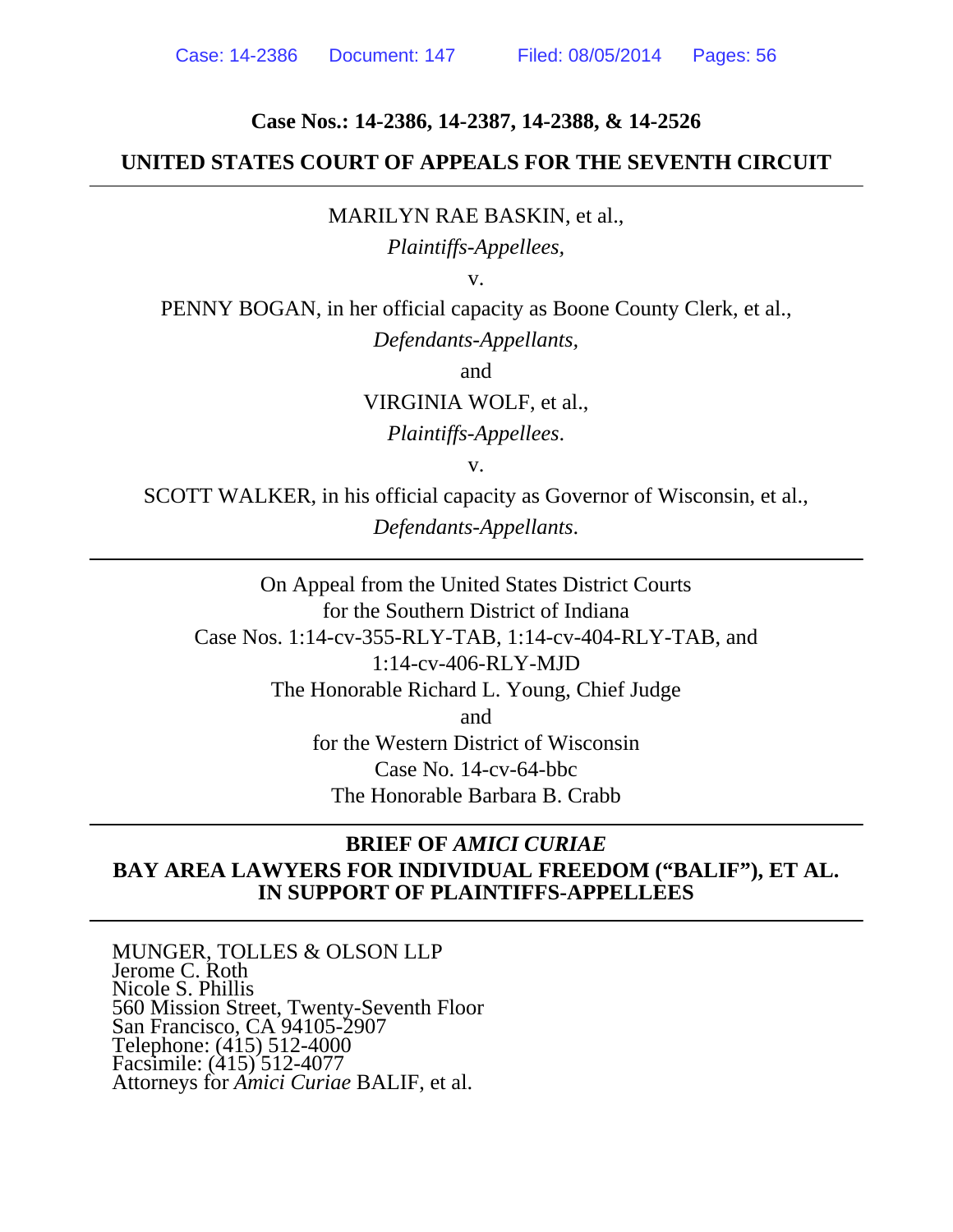#### **Case Nos.: 14-2386, 14-2387, 14-2388, & 14-2526**

#### **UNITED STATES COURT OF APPEALS FOR THE SEVENTH CIRCUIT**

MARILYN RAE BASKIN, et al.,

*Plaintiffs-Appellees,*

v.

PENNY BOGAN, in her official capacity as Boone County Clerk, et al.,

*Defendants-Appellants,* 

and

VIRGINIA WOLF, et al.,

*Plaintiffs-Appellees*.

v.

SCOTT WALKER, in his official capacity as Governor of Wisconsin, et al., *Defendants-Appellants*.

On Appeal from the United States District Courts for the Southern District of Indiana Case Nos. 1:14-cv-355-RLY-TAB, 1:14-cv-404-RLY-TAB, and 1:14-cv-406-RLY-MJD The Honorable Richard L. Young, Chief Judge and for the Western District of Wisconsin Case No. 14-cv-64-bbc The Honorable Barbara B. Crabb

#### **BRIEF OF** *AMICI CURIAE* **BAY AREA LAWYERS FOR INDIVIDUAL FREEDOM ("BALIF"), ET AL. IN SUPPORT OF PLAINTIFFS-APPELLEES**

MUNGER, TOLLES & OLSON LLP Jerome C. Roth Nicole S. Phillis 560 Mission Street, Twenty-Seventh Floor San Francisco, CA 94105-2907 Telephone: (415) 512-4000 Facsimile: (415) 512-4077 Attorneys for *Amici Curiae* BALIF, et al.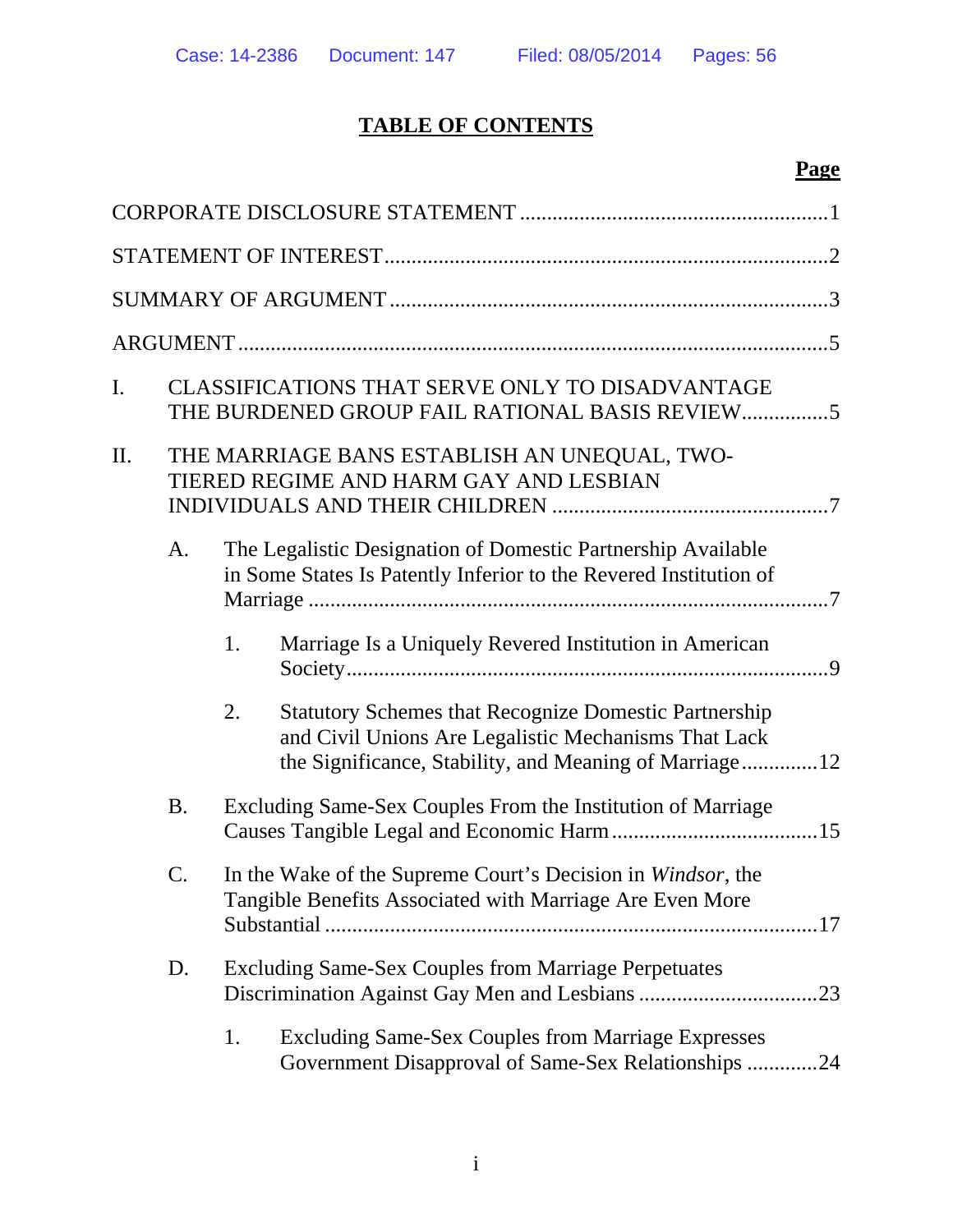# **TABLE OF CONTENTS**

| I. |                                                                                        | CLASSIFICATIONS THAT SERVE ONLY TO DISADVANTAGE<br>THE BURDENED GROUP FAIL RATIONAL BASIS REVIEW5                       |                                                                                                                                                                                |  |  |
|----|----------------------------------------------------------------------------------------|-------------------------------------------------------------------------------------------------------------------------|--------------------------------------------------------------------------------------------------------------------------------------------------------------------------------|--|--|
| Π. | THE MARRIAGE BANS ESTABLISH AN UNEQUAL, TWO-<br>TIERED REGIME AND HARM GAY AND LESBIAN |                                                                                                                         |                                                                                                                                                                                |  |  |
|    | A.                                                                                     |                                                                                                                         | The Legalistic Designation of Domestic Partnership Available<br>in Some States Is Patently Inferior to the Revered Institution of                                              |  |  |
|    |                                                                                        | 1.                                                                                                                      | Marriage Is a Uniquely Revered Institution in American                                                                                                                         |  |  |
|    |                                                                                        | 2.                                                                                                                      | <b>Statutory Schemes that Recognize Domestic Partnership</b><br>and Civil Unions Are Legalistic Mechanisms That Lack<br>the Significance, Stability, and Meaning of Marriage12 |  |  |
|    | <b>B.</b>                                                                              |                                                                                                                         | Excluding Same-Sex Couples From the Institution of Marriage                                                                                                                    |  |  |
|    | $\mathcal{C}$ .                                                                        | In the Wake of the Supreme Court's Decision in Windsor, the<br>Tangible Benefits Associated with Marriage Are Even More |                                                                                                                                                                                |  |  |
|    | D.                                                                                     |                                                                                                                         | <b>Excluding Same-Sex Couples from Marriage Perpetuates</b>                                                                                                                    |  |  |
|    |                                                                                        | 1.                                                                                                                      | <b>Excluding Same-Sex Couples from Marriage Expresses</b><br>Government Disapproval of Same-Sex Relationships 24                                                               |  |  |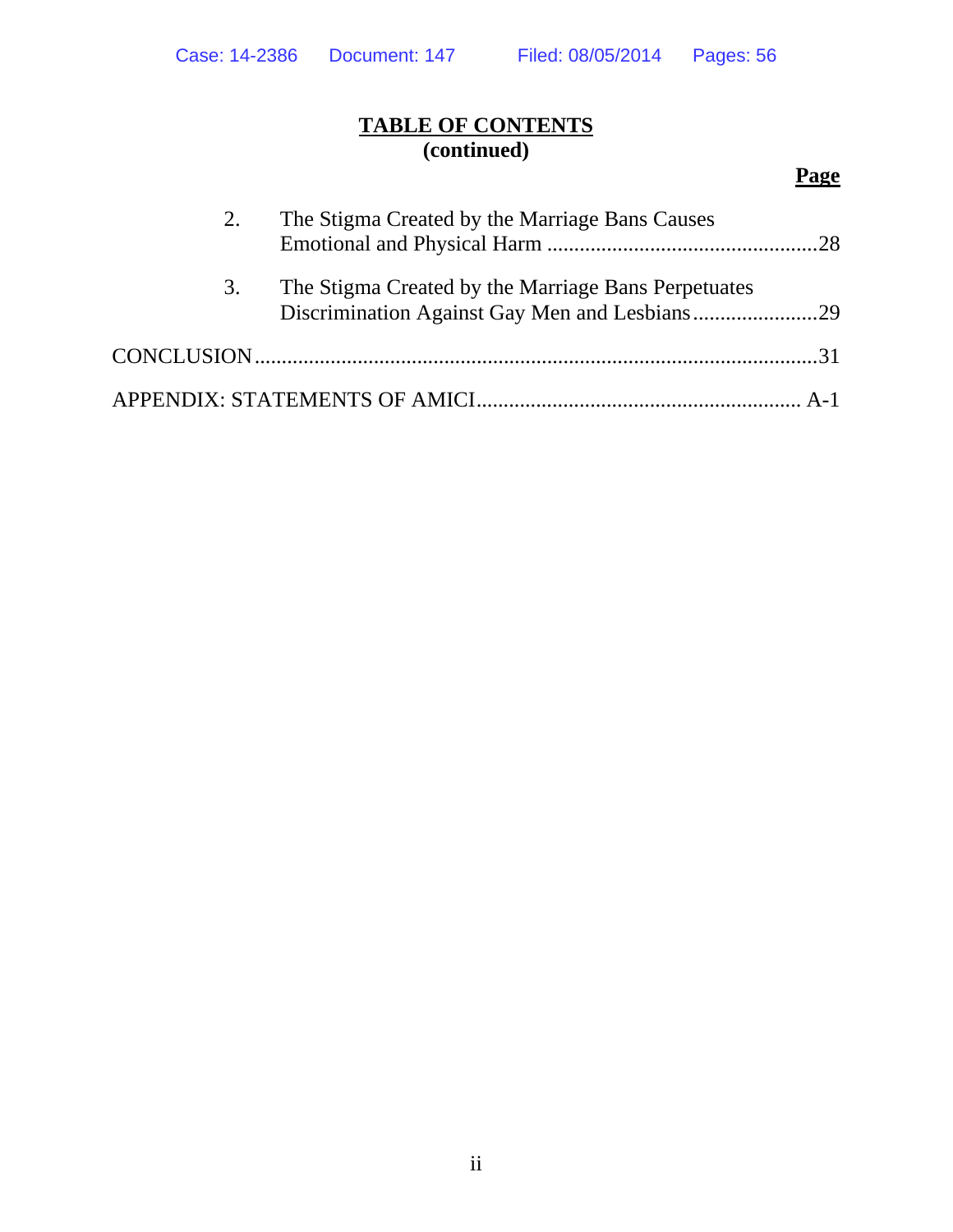# **TABLE OF CONTENTS (continued)**

# **Page**

| 2. | The Stigma Created by the Marriage Bans Causes      |  |
|----|-----------------------------------------------------|--|
| 3. | The Stigma Created by the Marriage Bans Perpetuates |  |
|    |                                                     |  |
|    |                                                     |  |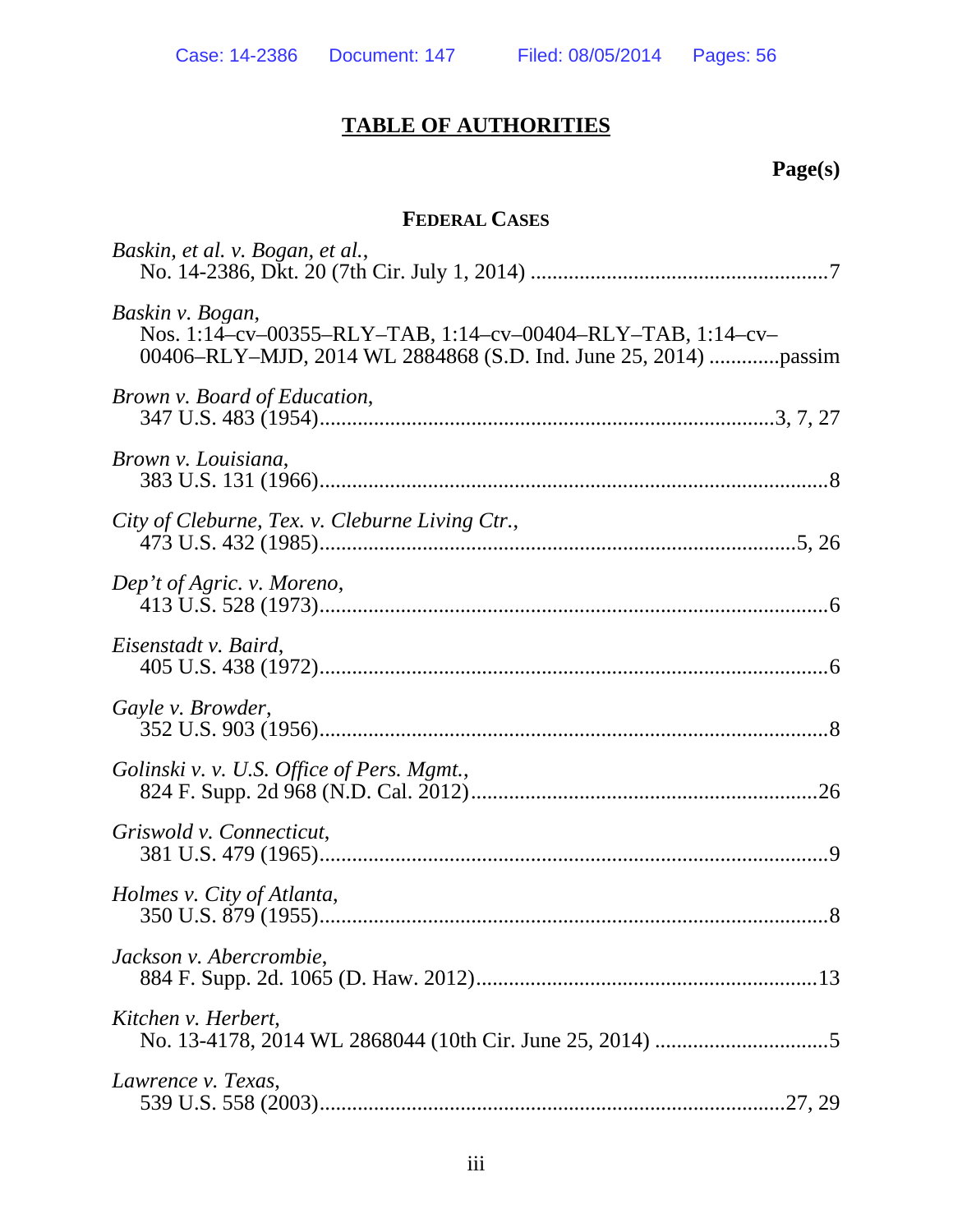# **TABLE OF AUTHORITIES**

# **Page(s)**

# **FEDERAL CASES**

| Baskin, et al. v. Bogan, et al.,                                                                                                                   |
|----------------------------------------------------------------------------------------------------------------------------------------------------|
| Baskin v. Bogan,<br>Nos. 1:14-cv-00355-RLY-TAB, 1:14-cv-00404-RLY-TAB, 1:14-cv-<br>00406–RLY–MJD, 2014 WL 2884868 (S.D. Ind. June 25, 2014) passim |
| <i>Brown v. Board of Education,</i>                                                                                                                |
| Brown v. Louisiana,                                                                                                                                |
| City of Cleburne, Tex. v. Cleburne Living Ctr.,                                                                                                    |
| Dep't of Agric. v. Moreno,                                                                                                                         |
| Eisenstadt v. Baird,                                                                                                                               |
| Gayle v. Browder,                                                                                                                                  |
| Golinski v. v. U.S. Office of Pers. Mgmt.,                                                                                                         |
| Griswold v. Connecticut,                                                                                                                           |
| Holmes v. City of Atlanta,                                                                                                                         |
| Jackson v. Abercrombie,                                                                                                                            |
| Kitchen v. Herbert,                                                                                                                                |
| Lawrence v. Texas,                                                                                                                                 |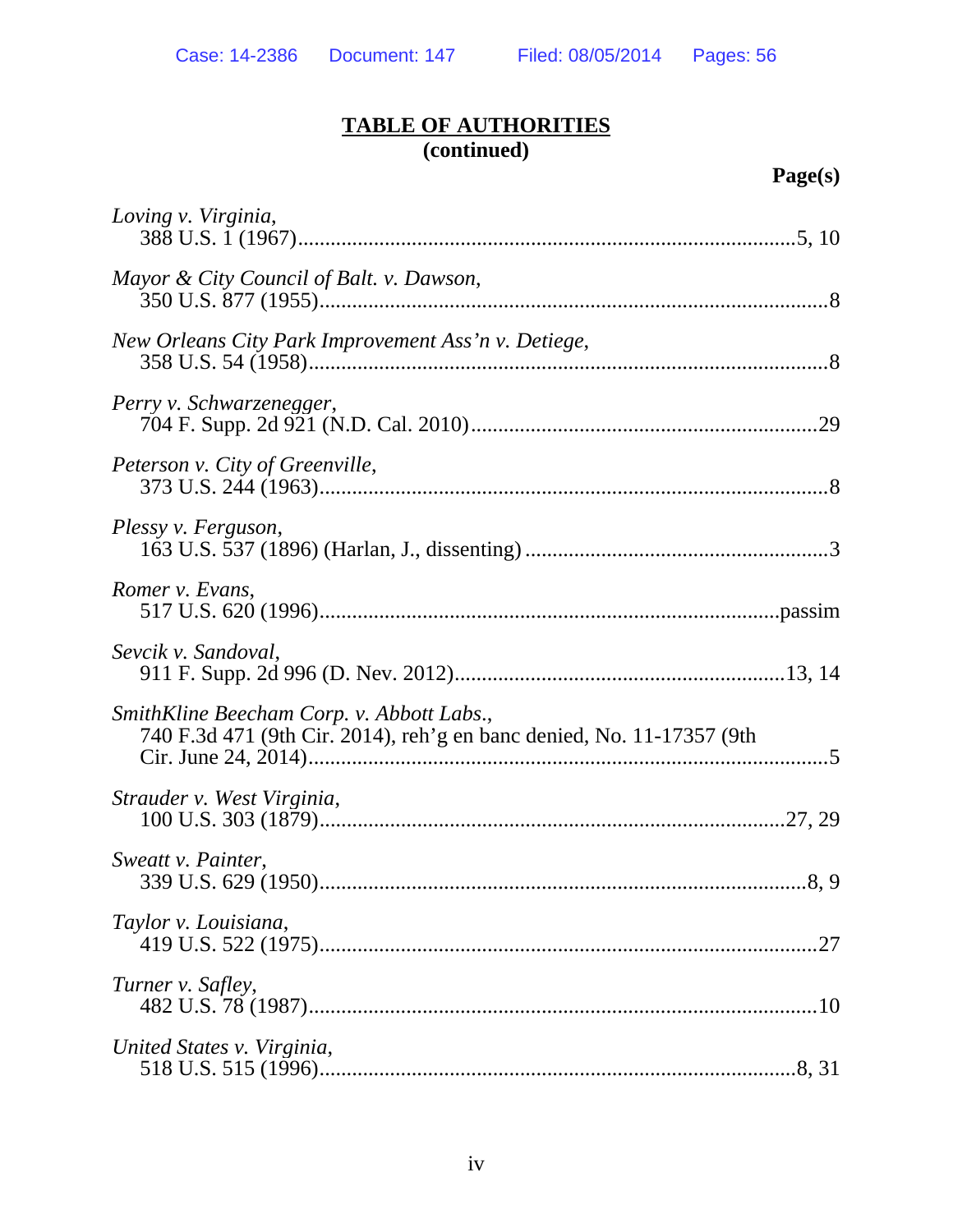| Loving v. Virginia,                                                                                                |
|--------------------------------------------------------------------------------------------------------------------|
| Mayor & City Council of Balt. v. Dawson,                                                                           |
| New Orleans City Park Improvement Ass'n v. Detiege,                                                                |
| Perry v. Schwarzenegger,                                                                                           |
| Peterson v. City of Greenville,                                                                                    |
| Plessy v. Ferguson,                                                                                                |
| Romer v. Evans,                                                                                                    |
| Sevcik v. Sandoval,                                                                                                |
| SmithKline Beecham Corp. v. Abbott Labs.,<br>740 F.3d 471 (9th Cir. 2014), reh'g en banc denied, No. 11-17357 (9th |
| Strauder v. West Virginia,                                                                                         |
| Sweatt v. Painter,                                                                                                 |
| Taylor v. Louisiana,                                                                                               |
| Turner v. Safley,                                                                                                  |
| United States v. Virginia,                                                                                         |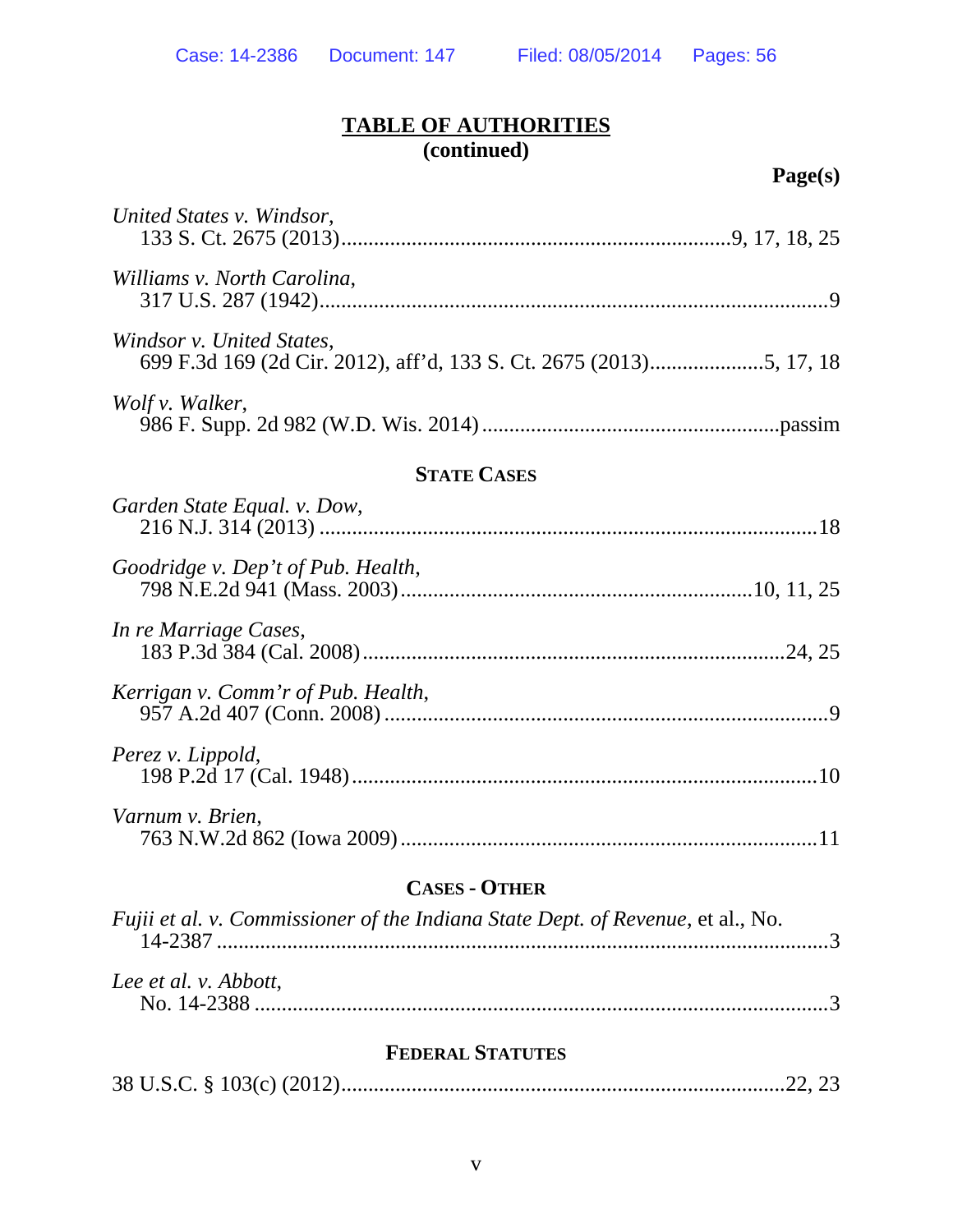**Page(s)** 

| United States v. Windsor,          |
|------------------------------------|
| Williams v. North Carolina,        |
| Windsor v. United States,          |
| Wolf v. Walker,                    |
| <b>STATE CASES</b>                 |
| Garden State Equal. v. Dow,        |
| Goodridge v. Dep't of Pub. Health, |
| In re Marriage Cases,              |
| Kerrigan v. Comm'r of Pub. Health, |
| Perez v. Lippold,                  |
| Varnum v. Brien,                   |

# **CASES - OTHER**

| <i>Fujii et al. v. Commissioner of the Indiana State Dept. of Revenue, et al., No.</i> |               |
|----------------------------------------------------------------------------------------|---------------|
| Lee et al. v. Abbott,                                                                  | $\mathcal{R}$ |

## **FEDERAL STATUTES**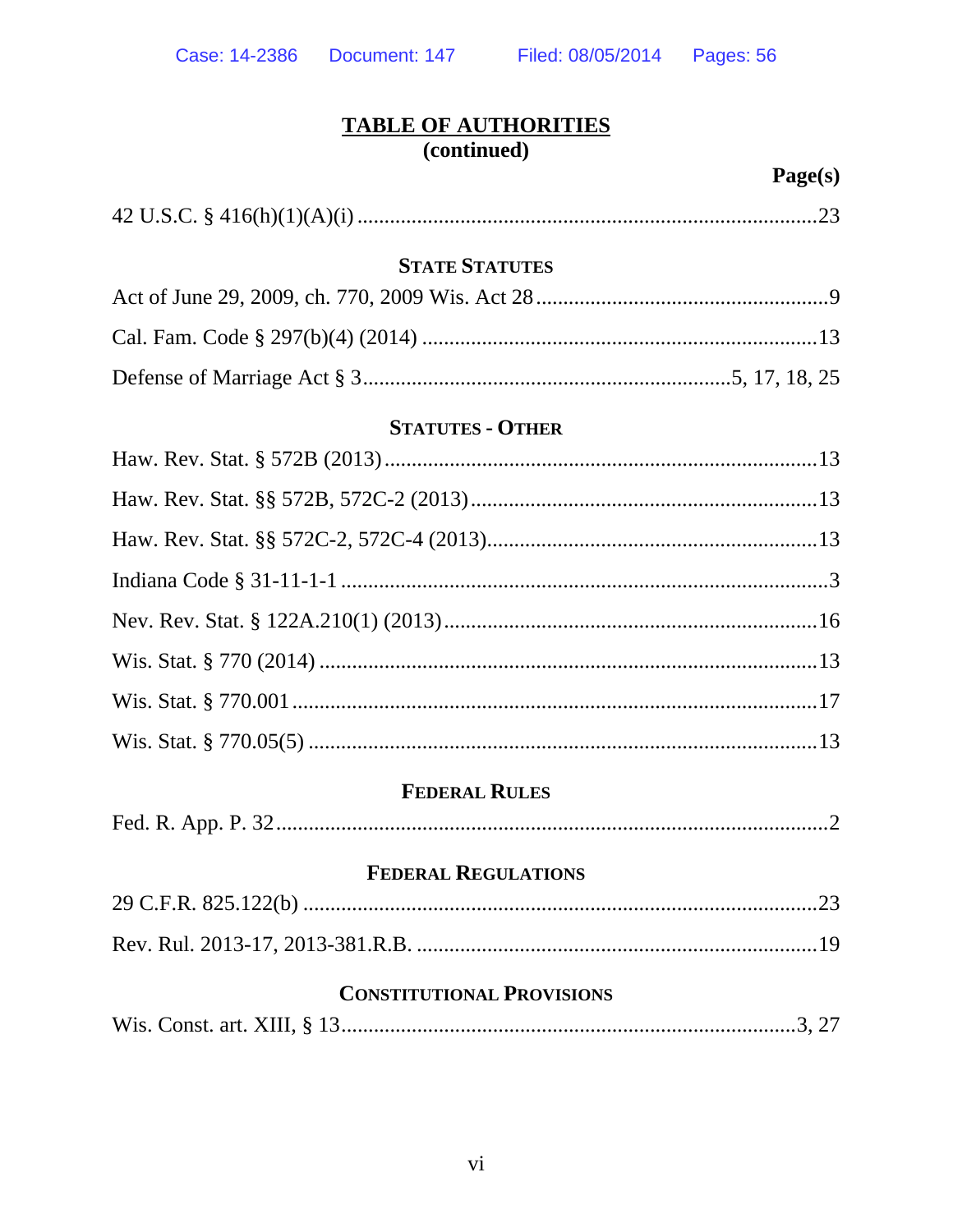#### **STATE STATUTES**

#### **STATUTES - OTHER**

## **FEDERAL RULES**

#### **FEDERAL REGULATIONS**

# **CONSTITUTIONAL PROVISIONS**

|--|--|--|--|--|--|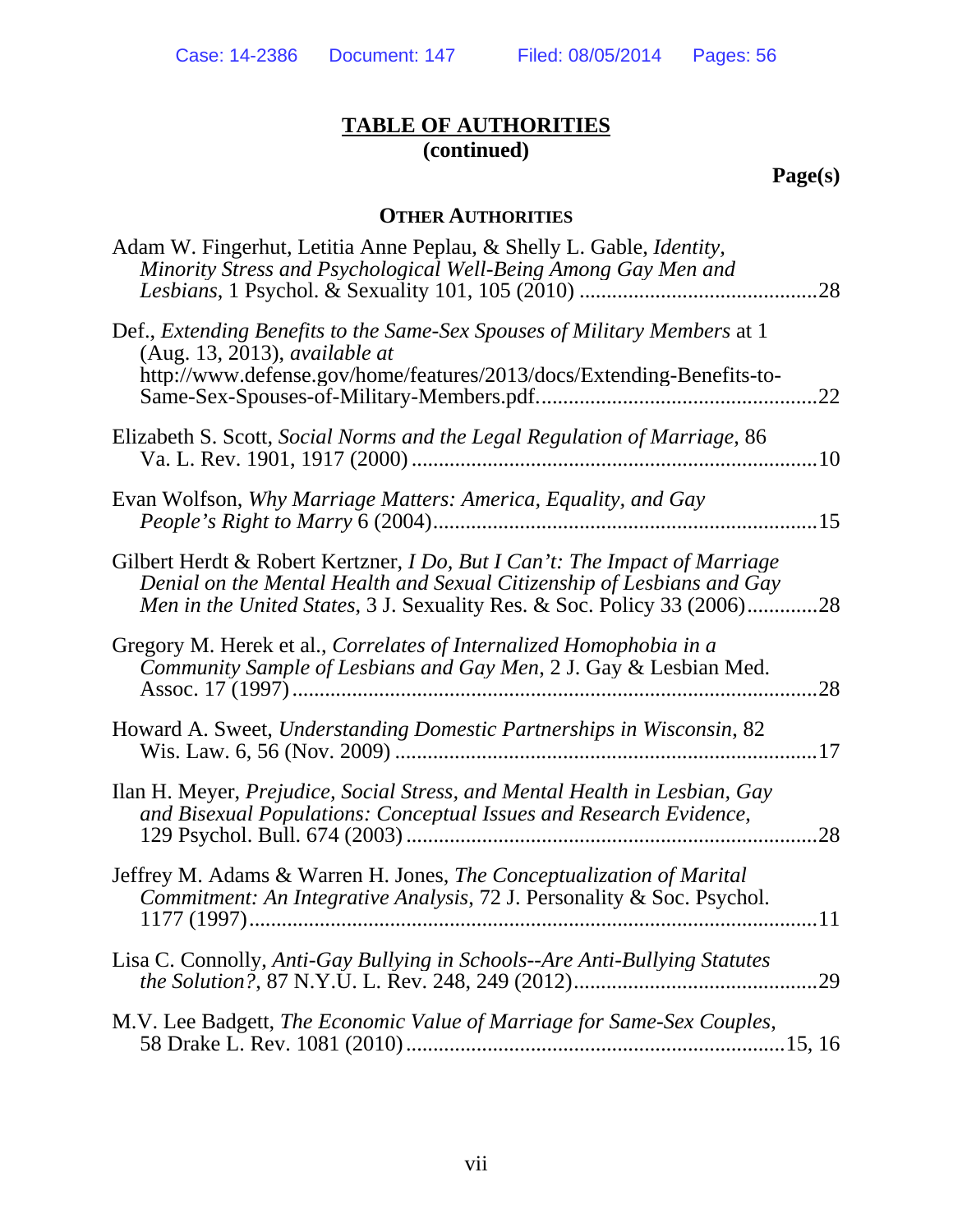**Page(s)** 

# **OTHER AUTHORITIES**

| Adam W. Fingerhut, Letitia Anne Peplau, & Shelly L. Gable, <i>Identity</i> ,<br>Minority Stress and Psychological Well-Being Among Gay Men and                                                                                                    |
|---------------------------------------------------------------------------------------------------------------------------------------------------------------------------------------------------------------------------------------------------|
| Def., Extending Benefits to the Same-Sex Spouses of Military Members at 1<br>(Aug. 13, 2013), <i>available at</i><br>http://www.defense.gov/home/features/2013/docs/Extending-Benefits-to-<br>.22                                                 |
| Elizabeth S. Scott, Social Norms and the Legal Regulation of Marriage, 86                                                                                                                                                                         |
| Evan Wolfson, Why Marriage Matters: America, Equality, and Gay<br>15                                                                                                                                                                              |
| Gilbert Herdt & Robert Kertzner, <i>I Do, But I Can't: The Impact of Marriage</i><br>Denial on the Mental Health and Sexual Citizenship of Lesbians and Gay<br><i>Men in the United States, 3 J. Sexuality Res. &amp; Soc. Policy 33 (2006)28</i> |
| Gregory M. Herek et al., Correlates of Internalized Homophobia in a<br>Community Sample of Lesbians and Gay Men, 2 J. Gay & Lesbian Med.<br>28                                                                                                    |
| Howard A. Sweet, Understanding Domestic Partnerships in Wisconsin, 82<br>17                                                                                                                                                                       |
| Ilan H. Meyer, Prejudice, Social Stress, and Mental Health in Lesbian, Gay<br>and Bisexual Populations: Conceptual Issues and Research Evidence,<br>28                                                                                            |
| Jeffrey M. Adams & Warren H. Jones, The Conceptualization of Marital<br>Commitment: An Integrative Analysis, 72 J. Personality & Soc. Psychol.<br><sup>11</sup>                                                                                   |
| Lisa C. Connolly, Anti-Gay Bullying in Schools--Are Anti-Bullying Statutes                                                                                                                                                                        |
| M.V. Lee Badgett, The Economic Value of Marriage for Same-Sex Couples,                                                                                                                                                                            |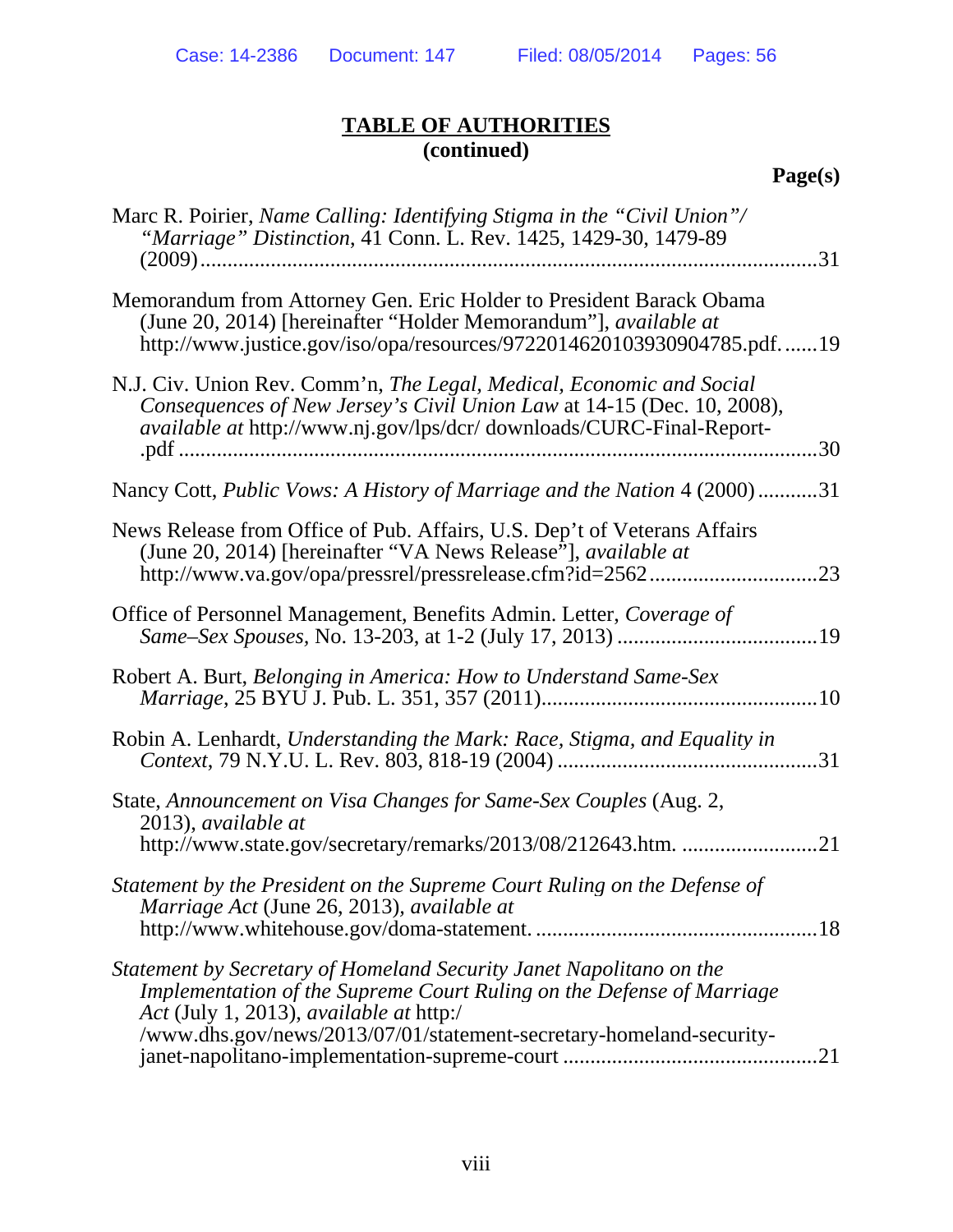**Page(s)** 

| Marc R. Poirier, Name Calling: Identifying Stigma in the "Civil Union"/<br>"Marriage" Distinction, 41 Conn. L. Rev. 1425, 1429-30, 1479-89<br>.31                                                                                                              |
|----------------------------------------------------------------------------------------------------------------------------------------------------------------------------------------------------------------------------------------------------------------|
| Memorandum from Attorney Gen. Eric Holder to President Barack Obama<br>(June 20, 2014) [hereinafter "Holder Memorandum"], <i>available at</i><br>http://www.justice.gov/iso/opa/resources/9722014620103930904785.pdf19                                         |
| N.J. Civ. Union Rev. Comm'n, The Legal, Medical, Economic and Social<br>Consequences of New Jersey's Civil Union Law at 14-15 (Dec. 10, 2008),<br>available at http://www.nj.gov/lps/dcr/ downloads/CURC-Final-Report-<br>.30                                  |
| Nancy Cott, Public Vows: A History of Marriage and the Nation 4 (2000)31                                                                                                                                                                                       |
| News Release from Office of Pub. Affairs, U.S. Dep't of Veterans Affairs<br>(June 20, 2014) [hereinafter "VA News Release"], available at<br>.23                                                                                                               |
| Office of Personnel Management, Benefits Admin. Letter, Coverage of                                                                                                                                                                                            |
| Robert A. Burt, Belonging in America: How to Understand Same-Sex                                                                                                                                                                                               |
| Robin A. Lenhardt, Understanding the Mark: Race, Stigma, and Equality in                                                                                                                                                                                       |
| State, Announcement on Visa Changes for Same-Sex Couples (Aug. 2,<br>2013), available at<br>http://www.state.gov/secretary/remarks/2013/08/212643.htm. 21                                                                                                      |
| Statement by the President on the Supreme Court Ruling on the Defense of<br>Marriage Act (June 26, 2013), available at                                                                                                                                         |
| Statement by Secretary of Homeland Security Janet Napolitano on the<br>Implementation of the Supreme Court Ruling on the Defense of Marriage<br>Act (July 1, 2013), available at http:/<br>/www.dhs.gov/news/2013/07/01/statement-secretary-homeland-security- |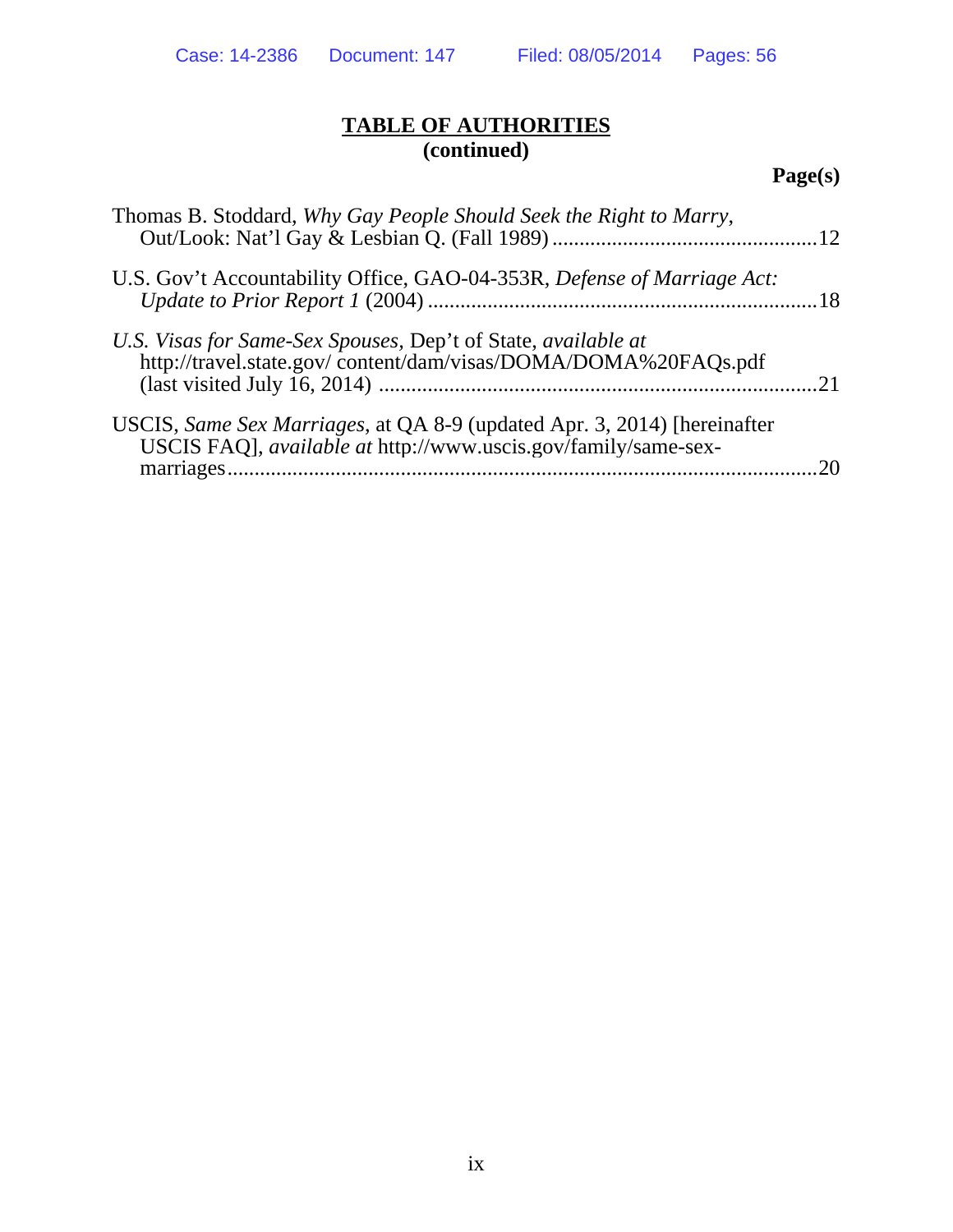# **Page(s)**

| Thomas B. Stoddard, Why Gay People Should Seek the Right to Marry,                                                                                |  |
|---------------------------------------------------------------------------------------------------------------------------------------------------|--|
| U.S. Gov't Accountability Office, GAO-04-353R, Defense of Marriage Act:                                                                           |  |
| U.S. Visas for Same-Sex Spouses, Dep't of State, available at<br>http://travel.state.gov/content/dam/visas/DOMA/DOMA%20FAQs.pdf                   |  |
| USCIS, Same Sex Marriages, at QA 8-9 (updated Apr. 3, 2014) [hereinafter<br>USCIS FAQ], <i>available at http://www.uscis.gov/family/same-sex-</i> |  |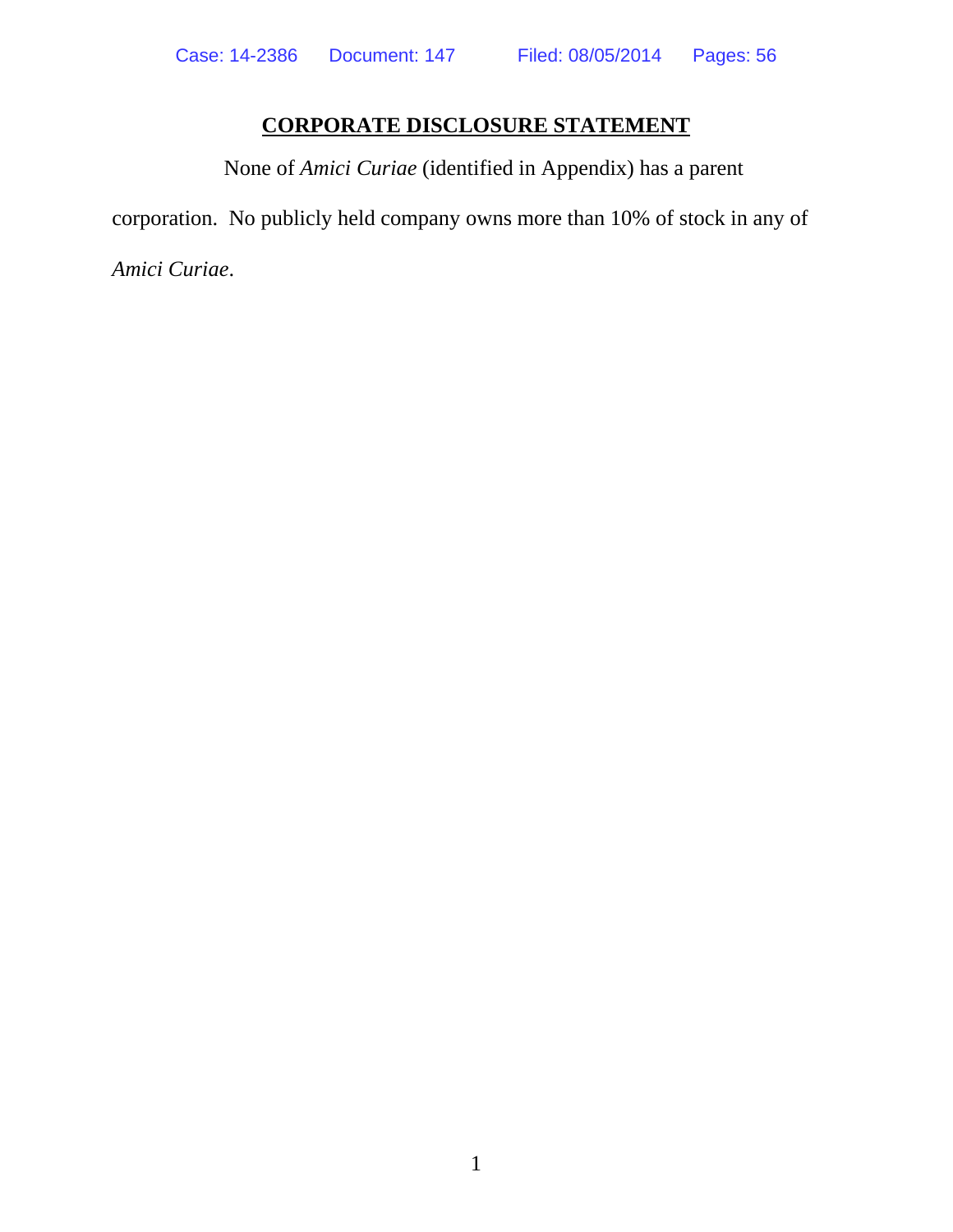# **CORPORATE DISCLOSURE STATEMENT**

None of *Amici Curiae* (identified in Appendix) has a parent corporation. No publicly held company owns more than 10% of stock in any of *Amici Curiae*.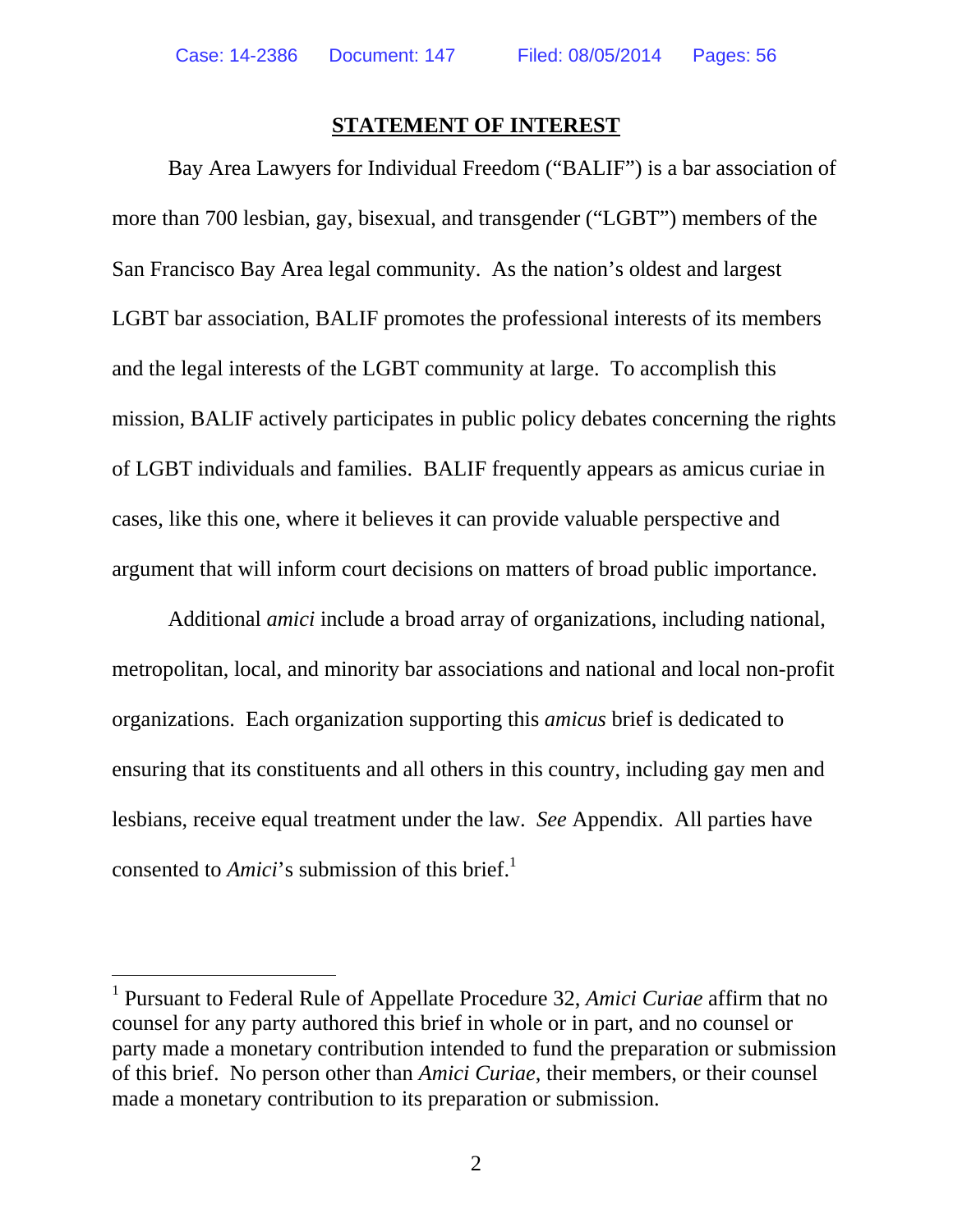$\overline{a}$ 

#### **STATEMENT OF INTEREST**

Bay Area Lawyers for Individual Freedom ("BALIF") is a bar association of more than 700 lesbian, gay, bisexual, and transgender ("LGBT") members of the San Francisco Bay Area legal community. As the nation's oldest and largest LGBT bar association, BALIF promotes the professional interests of its members and the legal interests of the LGBT community at large. To accomplish this mission, BALIF actively participates in public policy debates concerning the rights of LGBT individuals and families. BALIF frequently appears as amicus curiae in cases, like this one, where it believes it can provide valuable perspective and argument that will inform court decisions on matters of broad public importance.

Additional *amici* include a broad array of organizations, including national, metropolitan, local, and minority bar associations and national and local non-profit organizations. Each organization supporting this *amicus* brief is dedicated to ensuring that its constituents and all others in this country, including gay men and lesbians, receive equal treatment under the law. *See* Appendix. All parties have consented to *Amici*'s submission of this brief.<sup>1</sup>

<sup>&</sup>lt;sup>1</sup> Pursuant to Federal Rule of Appellate Procedure 32, *Amici Curiae* affirm that no counsel for any party authored this brief in whole or in part, and no counsel or party made a monetary contribution intended to fund the preparation or submission of this brief. No person other than *Amici Curiae*, their members, or their counsel made a monetary contribution to its preparation or submission.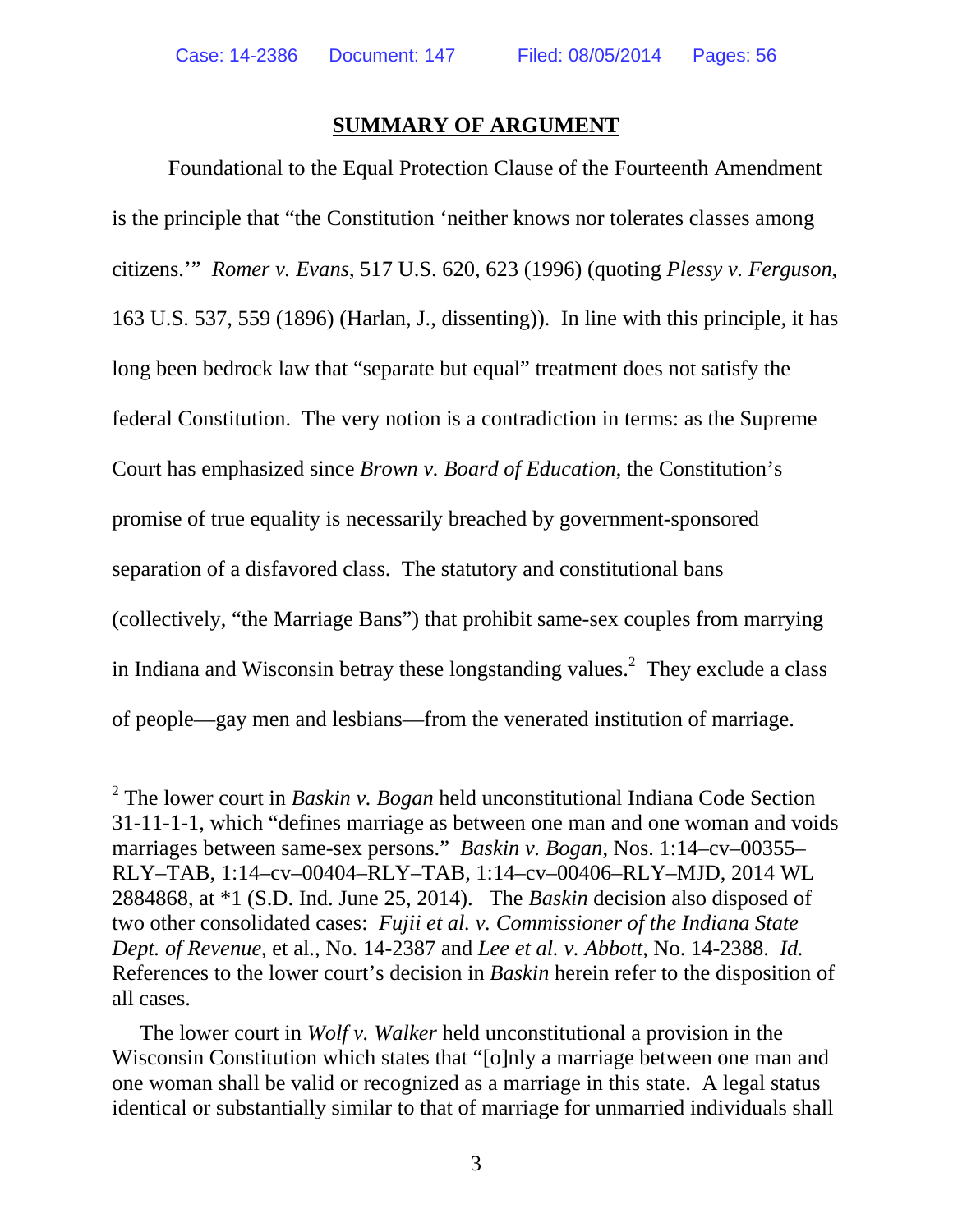-

#### **SUMMARY OF ARGUMENT**

Foundational to the Equal Protection Clause of the Fourteenth Amendment is the principle that "the Constitution 'neither knows nor tolerates classes among citizens.'" *Romer v. Evans*, 517 U.S. 620, 623 (1996) (quoting *Plessy v. Ferguson*, 163 U.S. 537, 559 (1896) (Harlan, J., dissenting)). In line with this principle, it has long been bedrock law that "separate but equal" treatment does not satisfy the federal Constitution. The very notion is a contradiction in terms: as the Supreme Court has emphasized since *Brown v. Board of Education*, the Constitution's promise of true equality is necessarily breached by government-sponsored separation of a disfavored class. The statutory and constitutional bans (collectively, "the Marriage Bans") that prohibit same-sex couples from marrying in Indiana and Wisconsin betray these longstanding values. $^2$  They exclude a class of people—gay men and lesbians—from the venerated institution of marriage.

<sup>2</sup> The lower court in *Baskin v. Bogan* held unconstitutional Indiana Code Section 31-11-1-1, which "defines marriage as between one man and one woman and voids marriages between same-sex persons." *Baskin v. Bogan*, Nos. 1:14–cv–00355– RLY–TAB, 1:14–cv–00404–RLY–TAB, 1:14–cv–00406–RLY–MJD, 2014 WL 2884868, at \*1 (S.D. Ind. June 25, 2014). The *Baskin* decision also disposed of two other consolidated cases: *Fujii et al. v. Commissioner of the Indiana State Dept. of Revenue*, et al., No. 14-2387 and *Lee et al. v. Abbott*, No. 14-2388. *Id.* References to the lower court's decision in *Baskin* herein refer to the disposition of all cases.

The lower court in *Wolf v. Walker* held unconstitutional a provision in the Wisconsin Constitution which states that "[o]nly a marriage between one man and one woman shall be valid or recognized as a marriage in this state. A legal status identical or substantially similar to that of marriage for unmarried individuals shall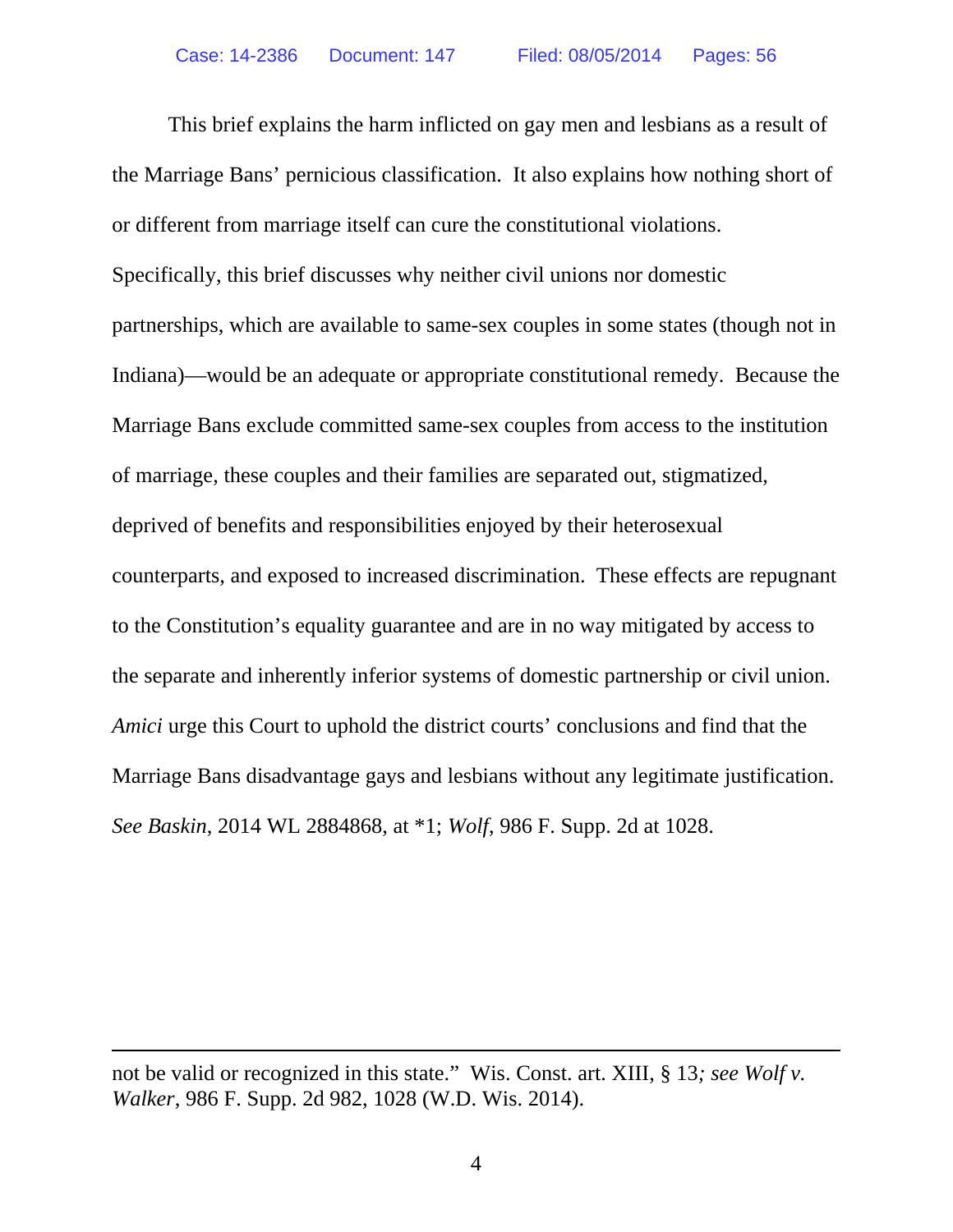This brief explains the harm inflicted on gay men and lesbians as a result of the Marriage Bans' pernicious classification. It also explains how nothing short of or different from marriage itself can cure the constitutional violations. Specifically, this brief discusses why neither civil unions nor domestic partnerships, which are available to same-sex couples in some states (though not in Indiana)—would be an adequate or appropriate constitutional remedy. Because the Marriage Bans exclude committed same-sex couples from access to the institution of marriage, these couples and their families are separated out, stigmatized, deprived of benefits and responsibilities enjoyed by their heterosexual counterparts, and exposed to increased discrimination. These effects are repugnant to the Constitution's equality guarantee and are in no way mitigated by access to the separate and inherently inferior systems of domestic partnership or civil union. *Amici* urge this Court to uphold the district courts' conclusions and find that the Marriage Bans disadvantage gays and lesbians without any legitimate justification. *See Baskin*, 2014 WL 2884868, at \*1; *Wolf*, 986 F. Supp. 2d at 1028.

 $\overline{a}$ 

not be valid or recognized in this state." Wis. Const. art. XIII, § 13*; see Wolf v. Walker*, 986 F. Supp. 2d 982, 1028 (W.D. Wis. 2014).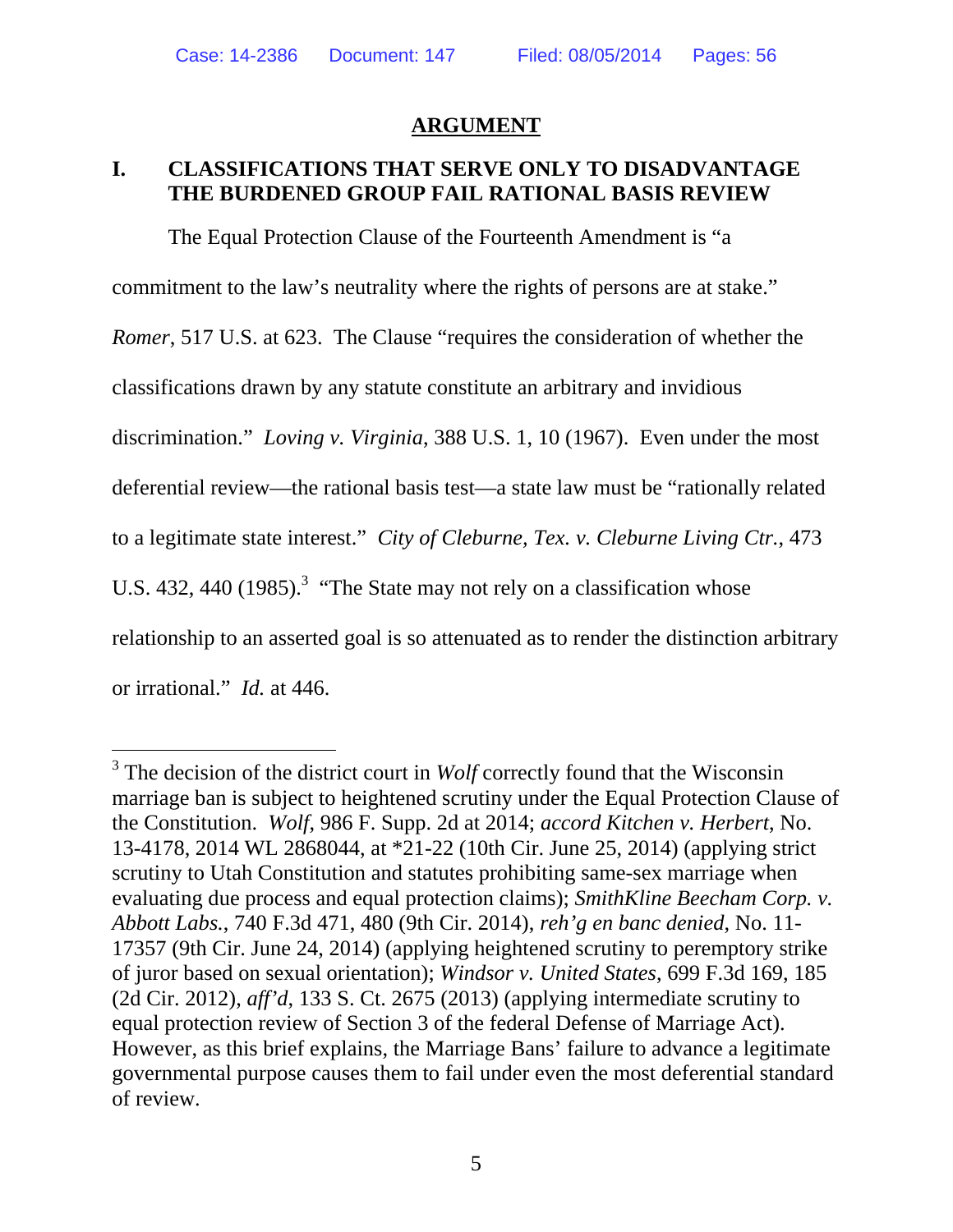### **ARGUMENT**

# **I. CLASSIFICATIONS THAT SERVE ONLY TO DISADVANTAGE THE BURDENED GROUP FAIL RATIONAL BASIS REVIEW**

The Equal Protection Clause of the Fourteenth Amendment is "a

commitment to the law's neutrality where the rights of persons are at stake."

*Romer*, 517 U.S. at 623. The Clause "requires the consideration of whether the

classifications drawn by any statute constitute an arbitrary and invidious

discrimination." *Loving v. Virginia*, 388 U.S. 1, 10 (1967).Even under the most

deferential review—the rational basis test—a state law must be "rationally related

to a legitimate state interest." *City of Cleburne, Tex. v. Cleburne Living Ctr.*, 473

U.S. 432, 440  $(1985)$ .<sup>3</sup> "The State may not rely on a classification whose

relationship to an asserted goal is so attenuated as to render the distinction arbitrary

or irrational." *Id.* at 446.

 $\overline{a}$ 

<sup>&</sup>lt;sup>3</sup> The decision of the district court in *Wolf* correctly found that the Wisconsin marriage ban is subject to heightened scrutiny under the Equal Protection Clause of the Constitution. *Wolf*, 986 F. Supp. 2d at 2014; *accord Kitchen v. Herbert*, No. 13-4178, 2014 WL 2868044, at \*21-22 (10th Cir. June 25, 2014) (applying strict scrutiny to Utah Constitution and statutes prohibiting same-sex marriage when evaluating due process and equal protection claims); *SmithKline Beecham Corp. v. Abbott Labs.*, 740 F.3d 471, 480 (9th Cir. 2014), *reh'g en banc denied*, No. 11- 17357 (9th Cir. June 24, 2014) (applying heightened scrutiny to peremptory strike of juror based on sexual orientation); *Windsor v. United States*, 699 F.3d 169, 185 (2d Cir. 2012), *aff'd*, 133 S. Ct. 2675 (2013) (applying intermediate scrutiny to equal protection review of Section 3 of the federal Defense of Marriage Act). However, as this brief explains, the Marriage Bans' failure to advance a legitimate governmental purpose causes them to fail under even the most deferential standard of review.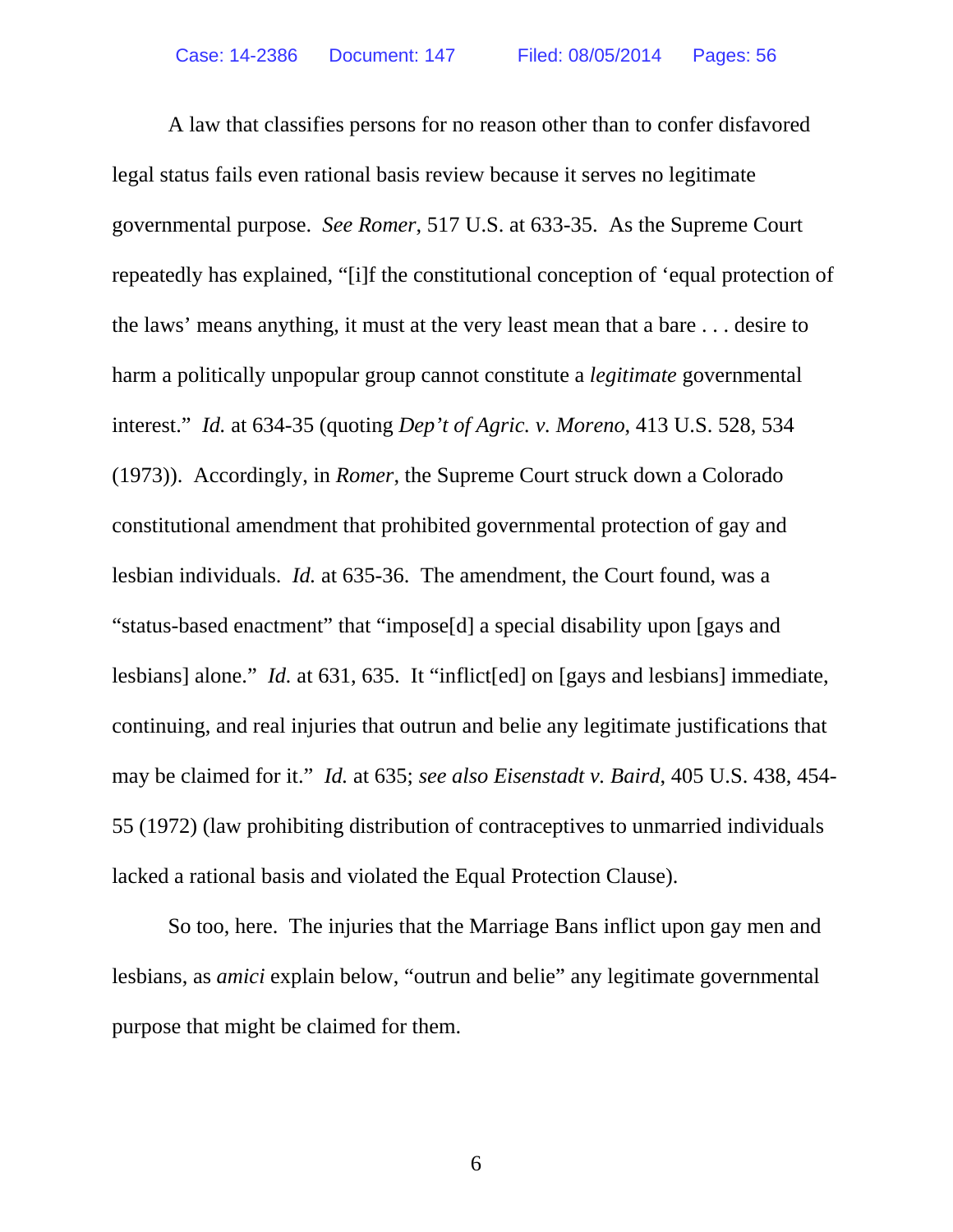A law that classifies persons for no reason other than to confer disfavored legal status fails even rational basis review because it serves no legitimate governmental purpose. *See Romer*, 517 U.S. at 633-35. As the Supreme Court repeatedly has explained, "[i]f the constitutional conception of 'equal protection of the laws' means anything, it must at the very least mean that a bare . . . desire to harm a politically unpopular group cannot constitute a *legitimate* governmental interest." *Id.* at 634-35 (quoting *Dep't of Agric. v. Moreno*, 413 U.S. 528, 534 (1973)). Accordingly, in *Romer*, the Supreme Court struck down a Colorado constitutional amendment that prohibited governmental protection of gay and lesbian individuals. *Id.* at 635-36.The amendment, the Court found, was a "status-based enactment" that "impose[d] a special disability upon [gays and lesbians] alone." *Id.* at 631, 635. It "inflict[ed] on [gays and lesbians] immediate, continuing, and real injuries that outrun and belie any legitimate justifications that may be claimed for it." *Id.* at 635; *see also Eisenstadt v. Baird*, 405 U.S. 438, 454- 55 (1972) (law prohibiting distribution of contraceptives to unmarried individuals lacked a rational basis and violated the Equal Protection Clause).

So too, here. The injuries that the Marriage Bans inflict upon gay men and lesbians, as *amici* explain below, "outrun and belie" any legitimate governmental purpose that might be claimed for them.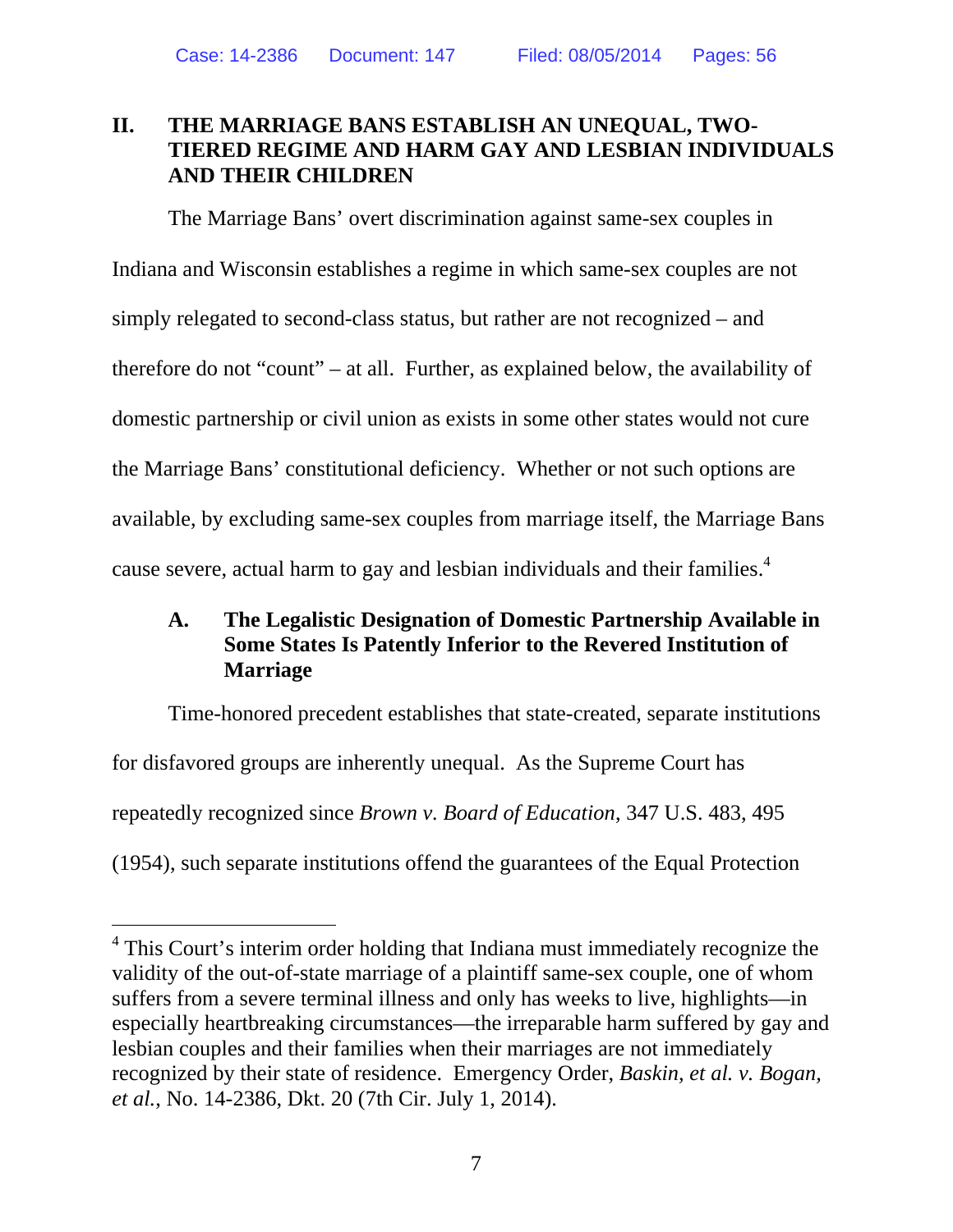# **II. THE MARRIAGE BANS ESTABLISH AN UNEQUAL, TWO-TIERED REGIME AND HARM GAY AND LESBIAN INDIVIDUALS AND THEIR CHILDREN**

The Marriage Bans' overt discrimination against same-sex couples in Indiana and Wisconsin establishes a regime in which same-sex couples are not simply relegated to second-class status, but rather are not recognized – and therefore do not "count" – at all. Further, as explained below, the availability of domestic partnership or civil union as exists in some other states would not cure the Marriage Bans' constitutional deficiency. Whether or not such options are available, by excluding same-sex couples from marriage itself, the Marriage Bans cause severe, actual harm to gay and lesbian individuals and their families.<sup>4</sup>

# **A. The Legalistic Designation of Domestic Partnership Available in Some States Is Patently Inferior to the Revered Institution of Marriage**

Time-honored precedent establishes that state-created, separate institutions for disfavored groups are inherently unequal. As the Supreme Court has repeatedly recognized since *Brown v. Board of Education*, 347 U.S. 483, 495 (1954), such separate institutions offend the guarantees of the Equal Protection

-

<sup>&</sup>lt;sup>4</sup> This Court's interim order holding that Indiana must immediately recognize the validity of the out-of-state marriage of a plaintiff same-sex couple, one of whom suffers from a severe terminal illness and only has weeks to live, highlights—in especially heartbreaking circumstances—the irreparable harm suffered by gay and lesbian couples and their families when their marriages are not immediately recognized by their state of residence. Emergency Order, *Baskin, et al. v. Bogan, et al.*, No. 14-2386, Dkt. 20 (7th Cir. July 1, 2014).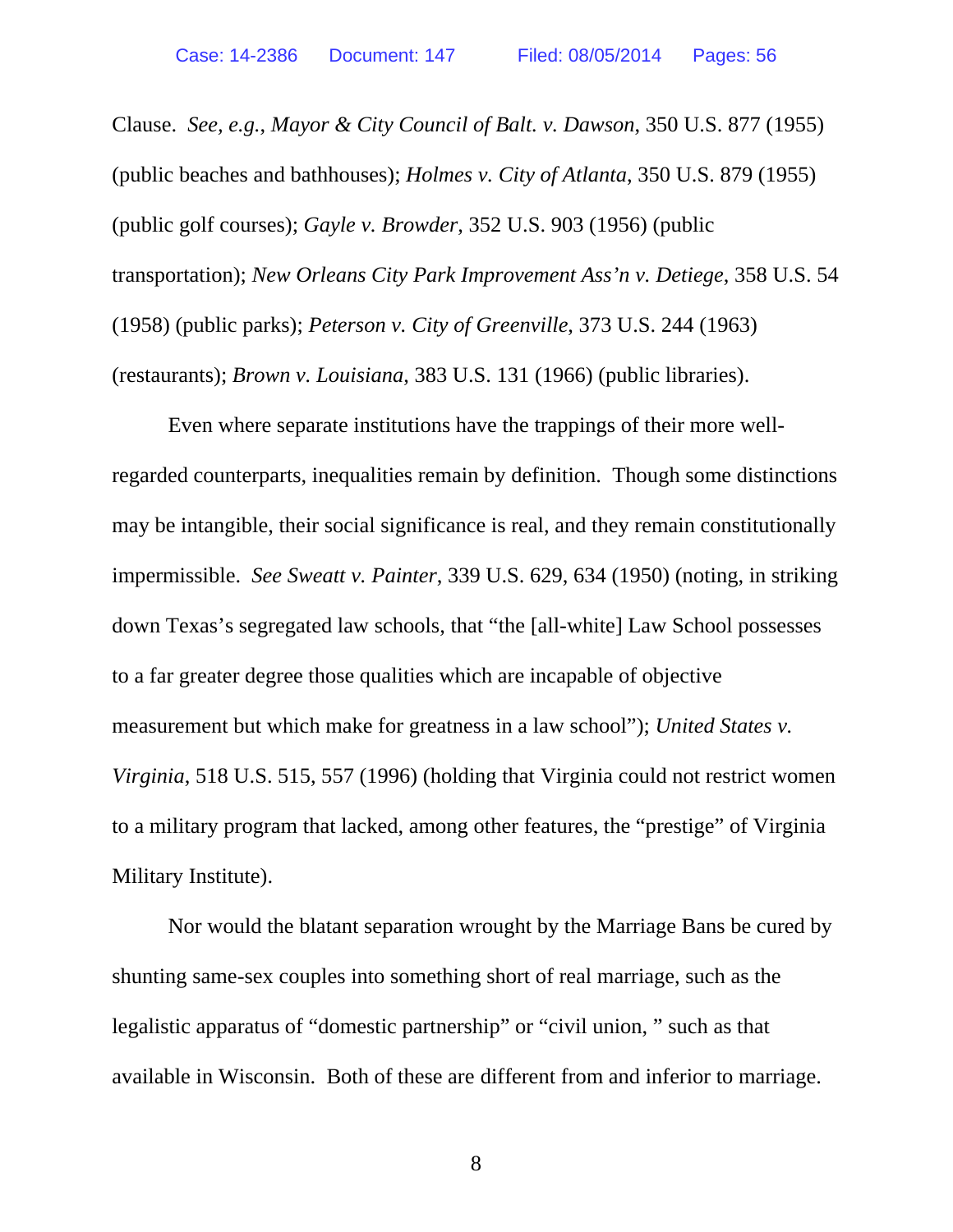Clause. *See, e.g.*, *Mayor & City Council of Balt. v. Dawson*, 350 U.S. 877 (1955) (public beaches and bathhouses); *Holmes v. City of Atlanta*, 350 U.S. 879 (1955) (public golf courses); *Gayle v. Browder*, 352 U.S. 903 (1956) (public transportation); *New Orleans City Park Improvement Ass'n v. Detiege*, 358 U.S. 54 (1958) (public parks); *Peterson v. City of Greenville*, 373 U.S. 244 (1963) (restaurants); *Brown v. Louisiana*, 383 U.S. 131 (1966) (public libraries).

Even where separate institutions have the trappings of their more wellregarded counterparts, inequalities remain by definition. Though some distinctions may be intangible, their social significance is real, and they remain constitutionally impermissible. *See Sweatt v. Painter*, 339 U.S. 629, 634 (1950) (noting, in striking down Texas's segregated law schools, that "the [all-white] Law School possesses to a far greater degree those qualities which are incapable of objective measurement but which make for greatness in a law school"); *United States v. Virginia*, 518 U.S. 515, 557 (1996) (holding that Virginia could not restrict women to a military program that lacked, among other features, the "prestige" of Virginia Military Institute).

Nor would the blatant separation wrought by the Marriage Bans be cured by shunting same-sex couples into something short of real marriage, such as the legalistic apparatus of "domestic partnership" or "civil union, " such as that available in Wisconsin. Both of these are different from and inferior to marriage.

8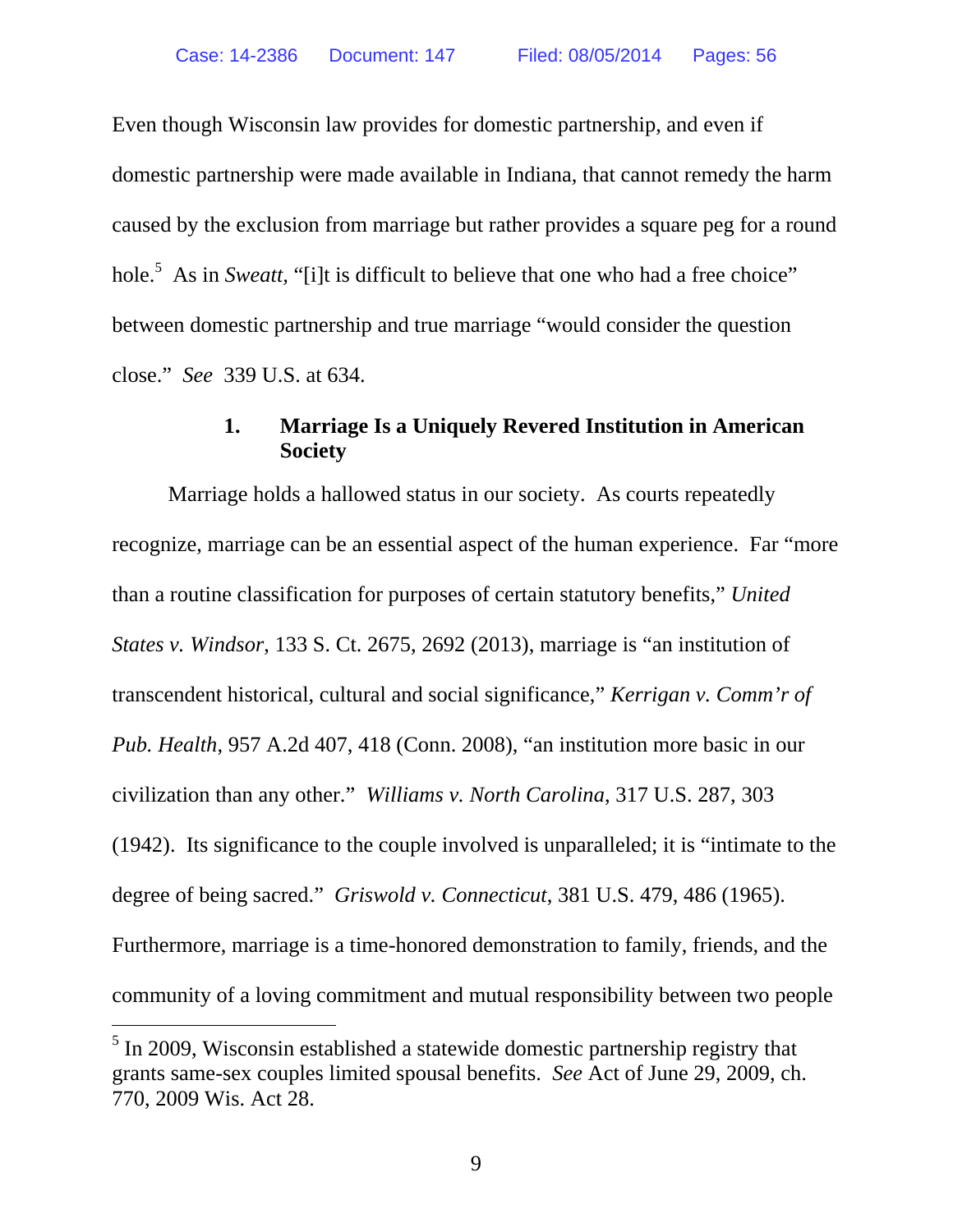Even though Wisconsin law provides for domestic partnership, and even if domestic partnership were made available in Indiana, that cannot remedy the harm caused by the exclusion from marriage but rather provides a square peg for a round hole.<sup>5</sup> As in *Sweatt*, "[i]t is difficult to believe that one who had a free choice" between domestic partnership and true marriage "would consider the question close." *See* 339 U.S. at 634.

#### **1. Marriage Is a Uniquely Revered Institution in American Society**

Marriage holds a hallowed status in our society. As courts repeatedly recognize, marriage can be an essential aspect of the human experience. Far "more than a routine classification for purposes of certain statutory benefits," *United States v. Windsor*, 133 S. Ct. 2675, 2692 (2013), marriage is "an institution of transcendent historical, cultural and social significance," *Kerrigan v. Comm'r of Pub. Health*, 957 A.2d 407, 418 (Conn. 2008), "an institution more basic in our civilization than any other." *Williams v. North Carolina*, 317 U.S. 287, 303 (1942). Its significance to the couple involved is unparalleled; it is "intimate to the degree of being sacred." *Griswold v. Connecticut*, 381 U.S. 479, 486 (1965). Furthermore, marriage is a time-honored demonstration to family, friends, and the community of a loving commitment and mutual responsibility between two people -

 $<sup>5</sup>$  In 2009, Wisconsin established a statewide domestic partnership registry that</sup> grants same-sex couples limited spousal benefits. *See* Act of June 29, 2009, ch. 770, 2009 Wis. Act 28.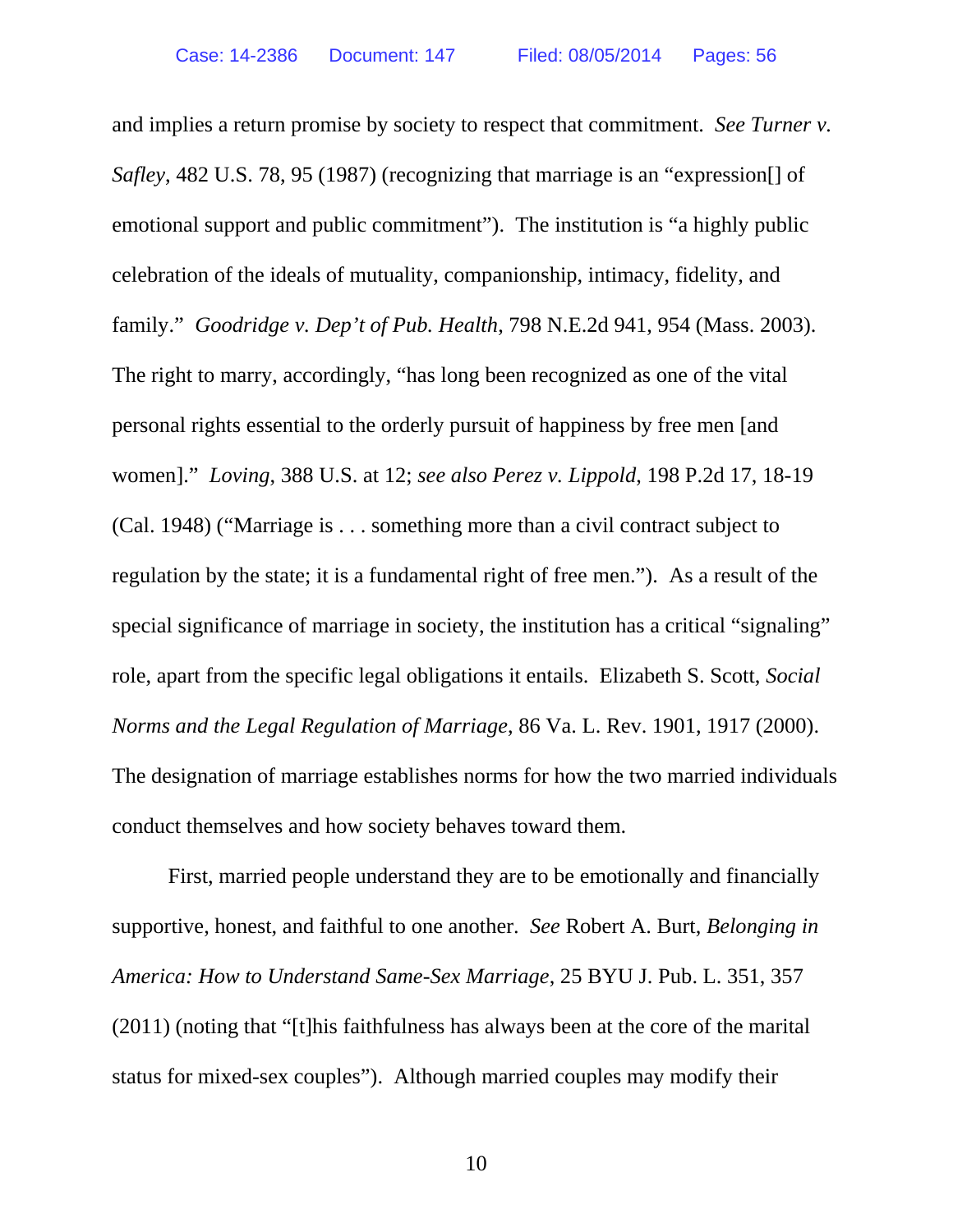and implies a return promise by society to respect that commitment. *See Turner v. Safley*, 482 U.S. 78, 95 (1987) (recognizing that marriage is an "expression. emotional support and public commitment"). The institution is "a highly public celebration of the ideals of mutuality, companionship, intimacy, fidelity, and family." *Goodridge v. Dep't of Pub. Health*, 798 N.E.2d 941, 954 (Mass. 2003). The right to marry, accordingly, "has long been recognized as one of the vital personal rights essential to the orderly pursuit of happiness by free men [and women]." *Loving*, 388 U.S. at 12; *see also Perez v. Lippold*, 198 P.2d 17, 18-19 (Cal. 1948) ("Marriage is . . . something more than a civil contract subject to regulation by the state; it is a fundamental right of free men."). As a result of the special significance of marriage in society, the institution has a critical "signaling" role, apart from the specific legal obligations it entails. Elizabeth S. Scott, *Social Norms and the Legal Regulation of Marriage*, 86 Va. L. Rev. 1901, 1917 (2000). The designation of marriage establishes norms for how the two married individuals conduct themselves and how society behaves toward them.

First, married people understand they are to be emotionally and financially supportive, honest, and faithful to one another. *See* Robert A. Burt, *Belonging in America: How to Understand Same-Sex Marriage*, 25 BYU J. Pub. L. 351, 357 (2011) (noting that "[t]his faithfulness has always been at the core of the marital status for mixed-sex couples"). Although married couples may modify their

10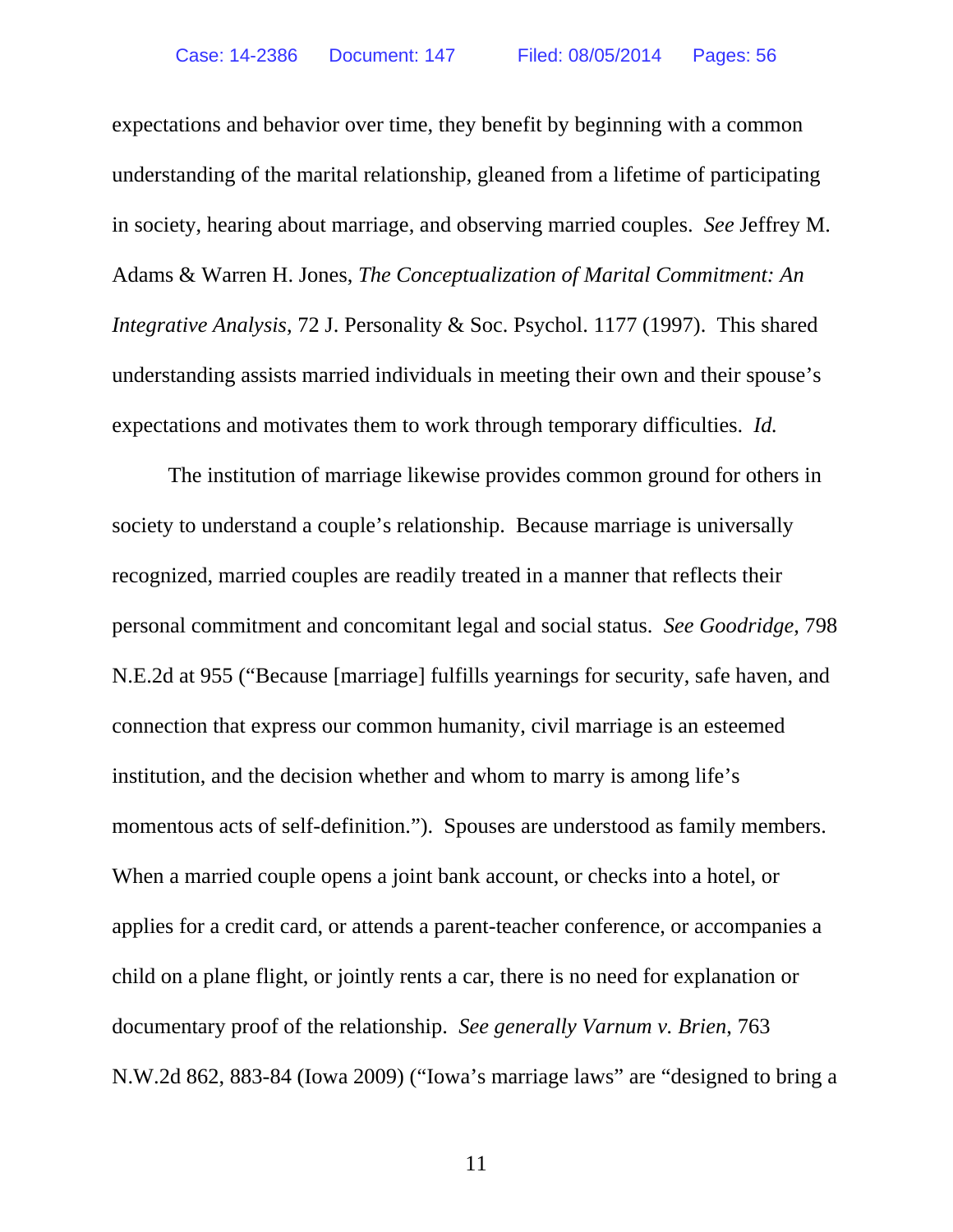expectations and behavior over time, they benefit by beginning with a common understanding of the marital relationship, gleaned from a lifetime of participating in society, hearing about marriage, and observing married couples. *See* Jeffrey M. Adams & Warren H. Jones, *The Conceptualization of Marital Commitment: An Integrative Analysis*, 72 J. Personality & Soc. Psychol. 1177 (1997). This shared understanding assists married individuals in meeting their own and their spouse's expectations and motivates them to work through temporary difficulties. *Id.* 

The institution of marriage likewise provides common ground for others in society to understand a couple's relationship. Because marriage is universally recognized, married couples are readily treated in a manner that reflects their personal commitment and concomitant legal and social status. *See Goodridge*, 798 N.E.2d at 955 ("Because [marriage] fulfills yearnings for security, safe haven, and connection that express our common humanity, civil marriage is an esteemed institution, and the decision whether and whom to marry is among life's momentous acts of self-definition."). Spouses are understood as family members. When a married couple opens a joint bank account, or checks into a hotel, or applies for a credit card, or attends a parent-teacher conference, or accompanies a child on a plane flight, or jointly rents a car, there is no need for explanation or documentary proof of the relationship. *See generally Varnum v. Brien*, 763 N.W.2d 862, 883-84 (Iowa 2009) ("Iowa's marriage laws" are "designed to bring a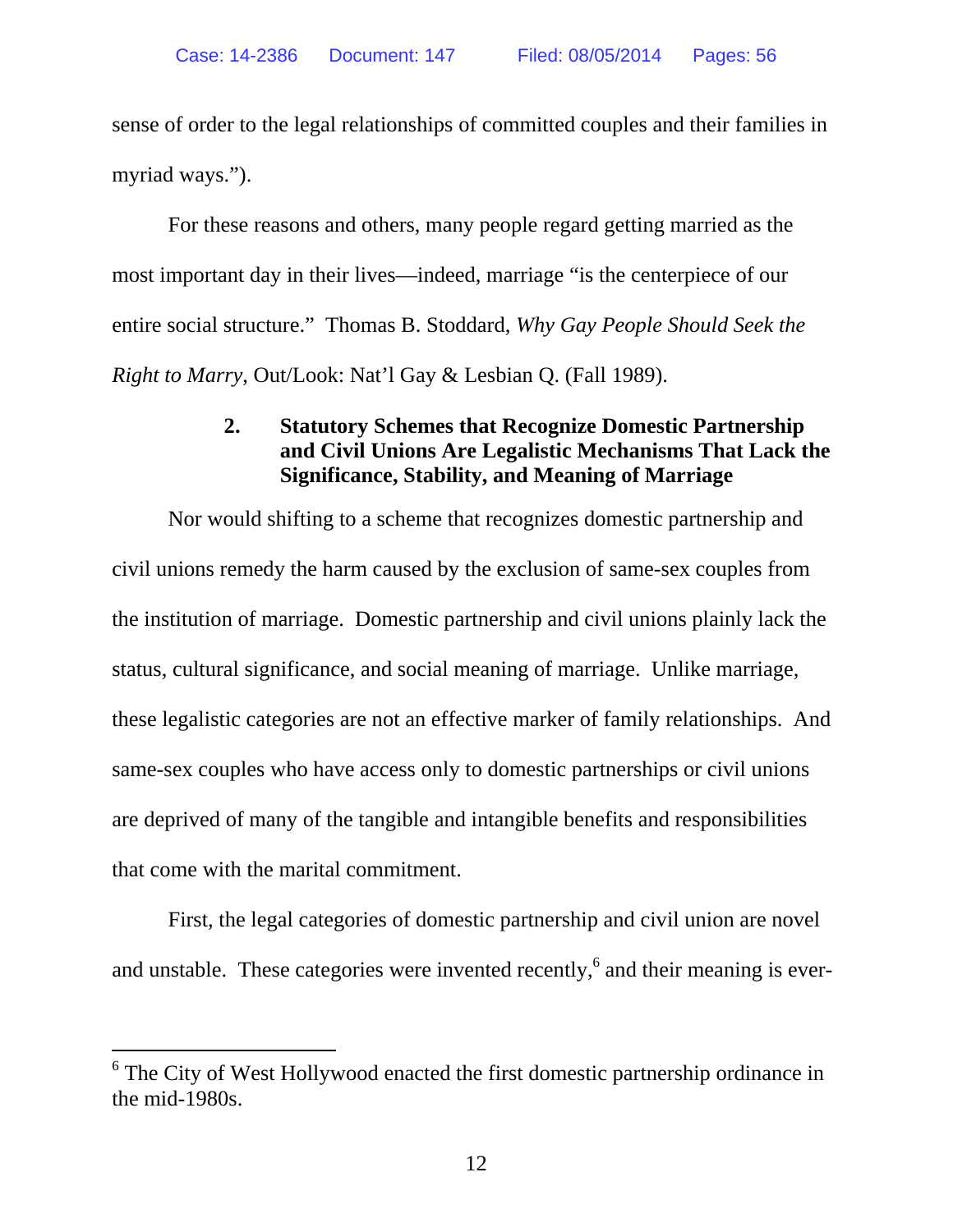sense of order to the legal relationships of committed couples and their families in myriad ways.").

For these reasons and others, many people regard getting married as the most important day in their lives—indeed, marriage "is the centerpiece of our entire social structure." Thomas B. Stoddard, *Why Gay People Should Seek the Right to Marry*, Out/Look: Nat'l Gay & Lesbian Q. (Fall 1989).

# **2. Statutory Schemes that Recognize Domestic Partnership and Civil Unions Are Legalistic Mechanisms That Lack the Significance, Stability, and Meaning of Marriage**

Nor would shifting to a scheme that recognizes domestic partnership and civil unions remedy the harm caused by the exclusion of same-sex couples from the institution of marriage. Domestic partnership and civil unions plainly lack the status, cultural significance, and social meaning of marriage. Unlike marriage, these legalistic categories are not an effective marker of family relationships. And same-sex couples who have access only to domestic partnerships or civil unions are deprived of many of the tangible and intangible benefits and responsibilities that come with the marital commitment.

First, the legal categories of domestic partnership and civil union are novel and unstable. These categories were invented recently,  $6$  and their meaning is ever-

-

<sup>&</sup>lt;sup>6</sup> The City of West Hollywood enacted the first domestic partnership ordinance in the mid-1980s.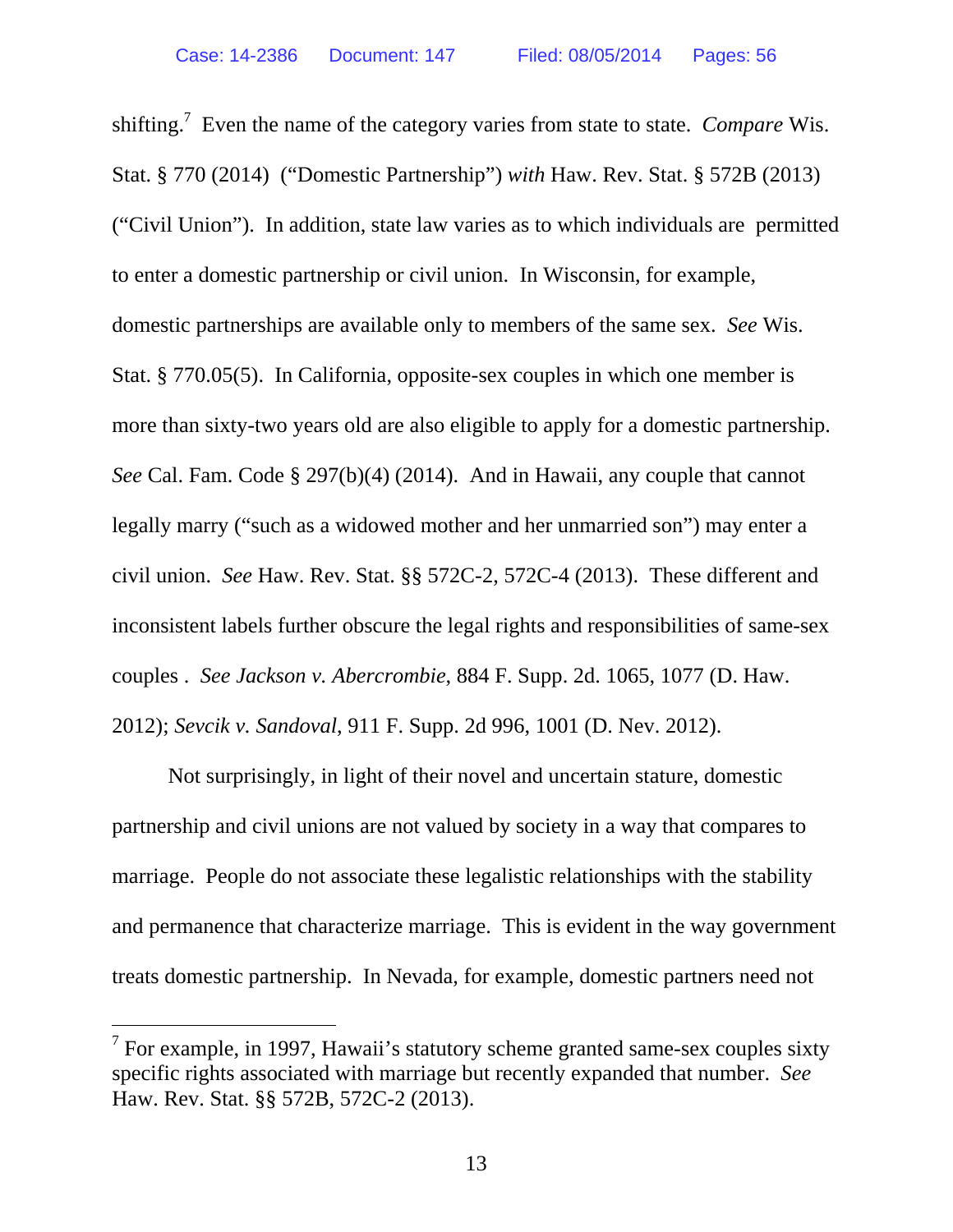shifting.<sup>7</sup> Even the name of the category varies from state to state. *Compare* Wis. Stat. § 770 (2014) ("Domestic Partnership") *with* Haw. Rev. Stat. § 572B (2013) ("Civil Union"). In addition, state law varies as to which individuals are permitted to enter a domestic partnership or civil union. In Wisconsin, for example, domestic partnerships are available only to members of the same sex. *See* Wis. Stat. § 770.05(5). In California, opposite-sex couples in which one member is more than sixty-two years old are also eligible to apply for a domestic partnership. *See* Cal. Fam. Code § 297(b)(4) (2014). And in Hawaii, any couple that cannot legally marry ("such as a widowed mother and her unmarried son") may enter a civil union. *See* Haw. Rev. Stat. §§ 572C-2, 572C-4 (2013). These different and inconsistent labels further obscure the legal rights and responsibilities of same-sex couples . *See Jackson v. Abercrombie*, 884 F. Supp. 2d. 1065, 1077 (D. Haw. 2012); *Sevcik v. Sandoval*, 911 F. Supp. 2d 996, 1001 (D. Nev. 2012).

Not surprisingly, in light of their novel and uncertain stature, domestic partnership and civil unions are not valued by society in a way that compares to marriage. People do not associate these legalistic relationships with the stability and permanence that characterize marriage. This is evident in the way government treats domestic partnership. In Nevada, for example, domestic partners need not

 $\overline{a}$ 

<sup>&</sup>lt;sup>7</sup> For example, in 1997, Hawaii's statutory scheme granted same-sex couples sixty specific rights associated with marriage but recently expanded that number. *See* Haw. Rev. Stat. §§ 572B, 572C-2 (2013).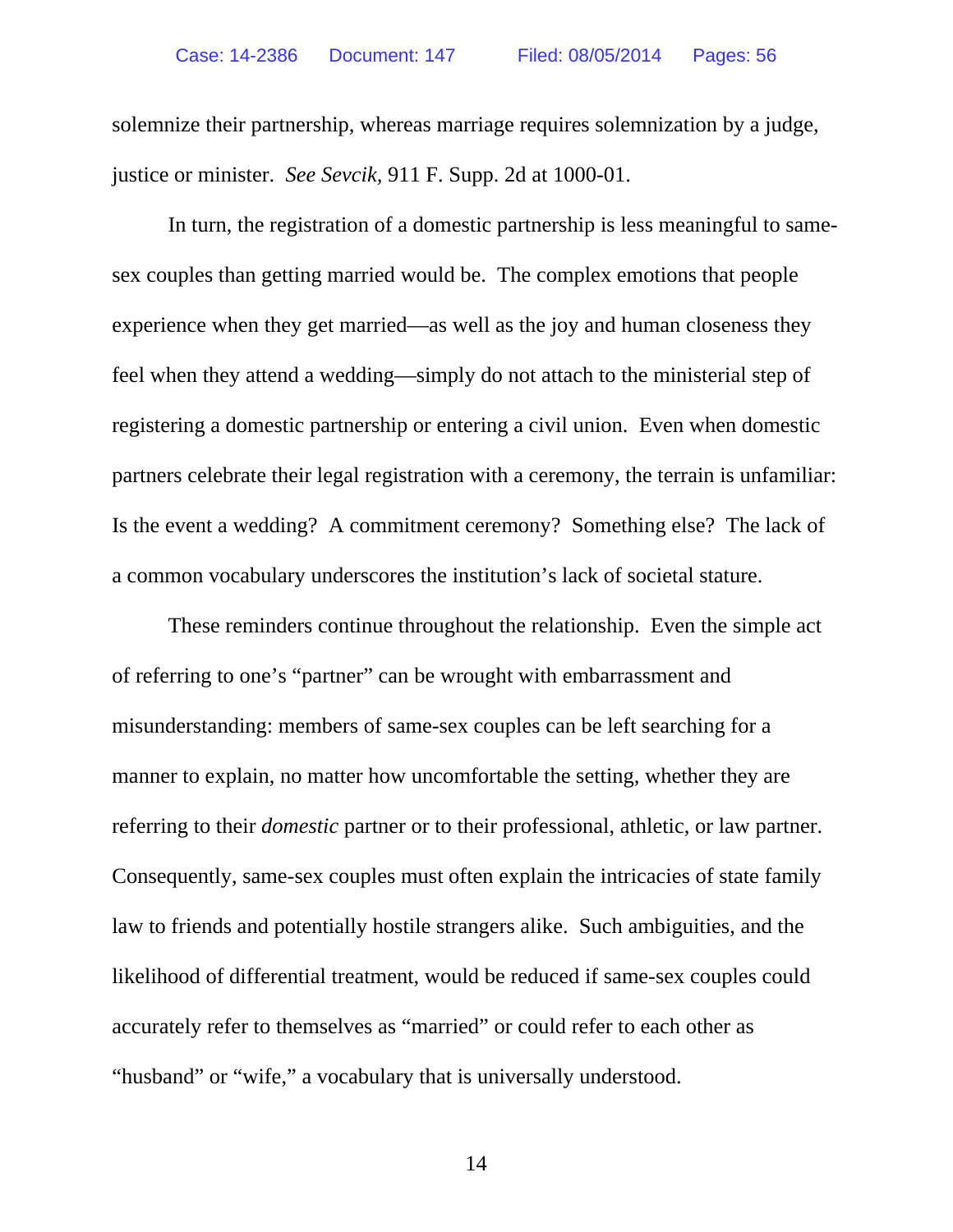solemnize their partnership, whereas marriage requires solemnization by a judge, justice or minister. *See Sevcik,* 911 F. Supp. 2d at 1000-01.

In turn, the registration of a domestic partnership is less meaningful to samesex couples than getting married would be. The complex emotions that people experience when they get married—as well as the joy and human closeness they feel when they attend a wedding—simply do not attach to the ministerial step of registering a domestic partnership or entering a civil union. Even when domestic partners celebrate their legal registration with a ceremony, the terrain is unfamiliar: Is the event a wedding? A commitment ceremony? Something else? The lack of a common vocabulary underscores the institution's lack of societal stature.

These reminders continue throughout the relationship. Even the simple act of referring to one's "partner" can be wrought with embarrassment and misunderstanding: members of same-sex couples can be left searching for a manner to explain, no matter how uncomfortable the setting, whether they are referring to their *domestic* partner or to their professional, athletic, or law partner. Consequently, same-sex couples must often explain the intricacies of state family law to friends and potentially hostile strangers alike. Such ambiguities, and the likelihood of differential treatment, would be reduced if same-sex couples could accurately refer to themselves as "married" or could refer to each other as "husband" or "wife," a vocabulary that is universally understood.

14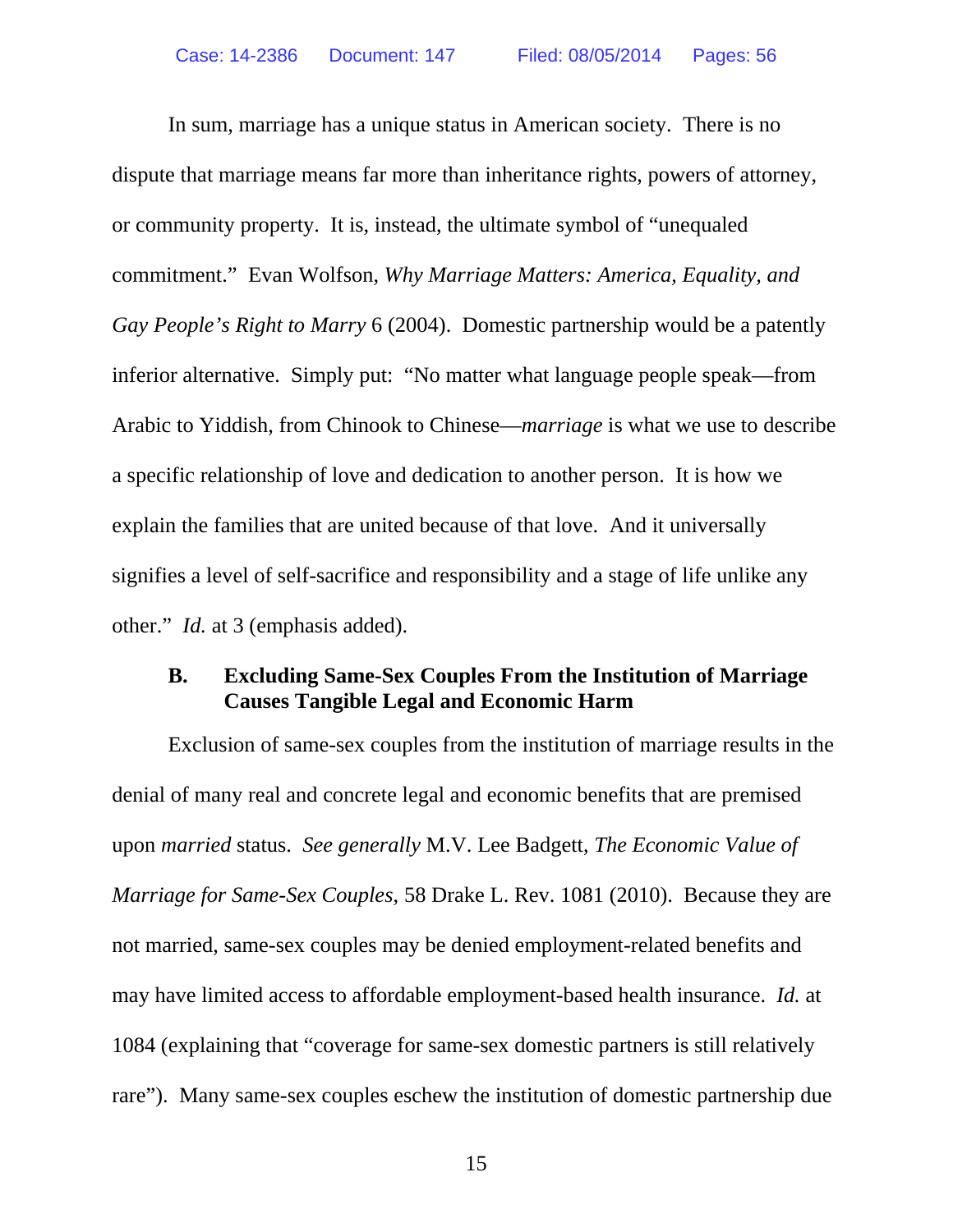In sum, marriage has a unique status in American society. There is no dispute that marriage means far more than inheritance rights, powers of attorney, or community property. It is, instead, the ultimate symbol of "unequaled commitment." Evan Wolfson, *Why Marriage Matters: America, Equality, and Gay People's Right to Marry* 6 (2004). Domestic partnership would be a patently inferior alternative. Simply put: "No matter what language people speak—from Arabic to Yiddish, from Chinook to Chinese—*marriage* is what we use to describe a specific relationship of love and dedication to another person. It is how we explain the families that are united because of that love. And it universally signifies a level of self-sacrifice and responsibility and a stage of life unlike any other." *Id.* at 3 (emphasis added).

#### **B. Excluding Same-Sex Couples From the Institution of Marriage Causes Tangible Legal and Economic Harm**

Exclusion of same-sex couples from the institution of marriage results in the denial of many real and concrete legal and economic benefits that are premised upon *married* status. *See generally* M.V. Lee Badgett, *The Economic Value of Marriage for Same-Sex Couples*, 58 Drake L. Rev. 1081 (2010). Because they are not married, same-sex couples may be denied employment-related benefits and may have limited access to affordable employment-based health insurance. *Id.* at 1084 (explaining that "coverage for same-sex domestic partners is still relatively rare"). Many same-sex couples eschew the institution of domestic partnership due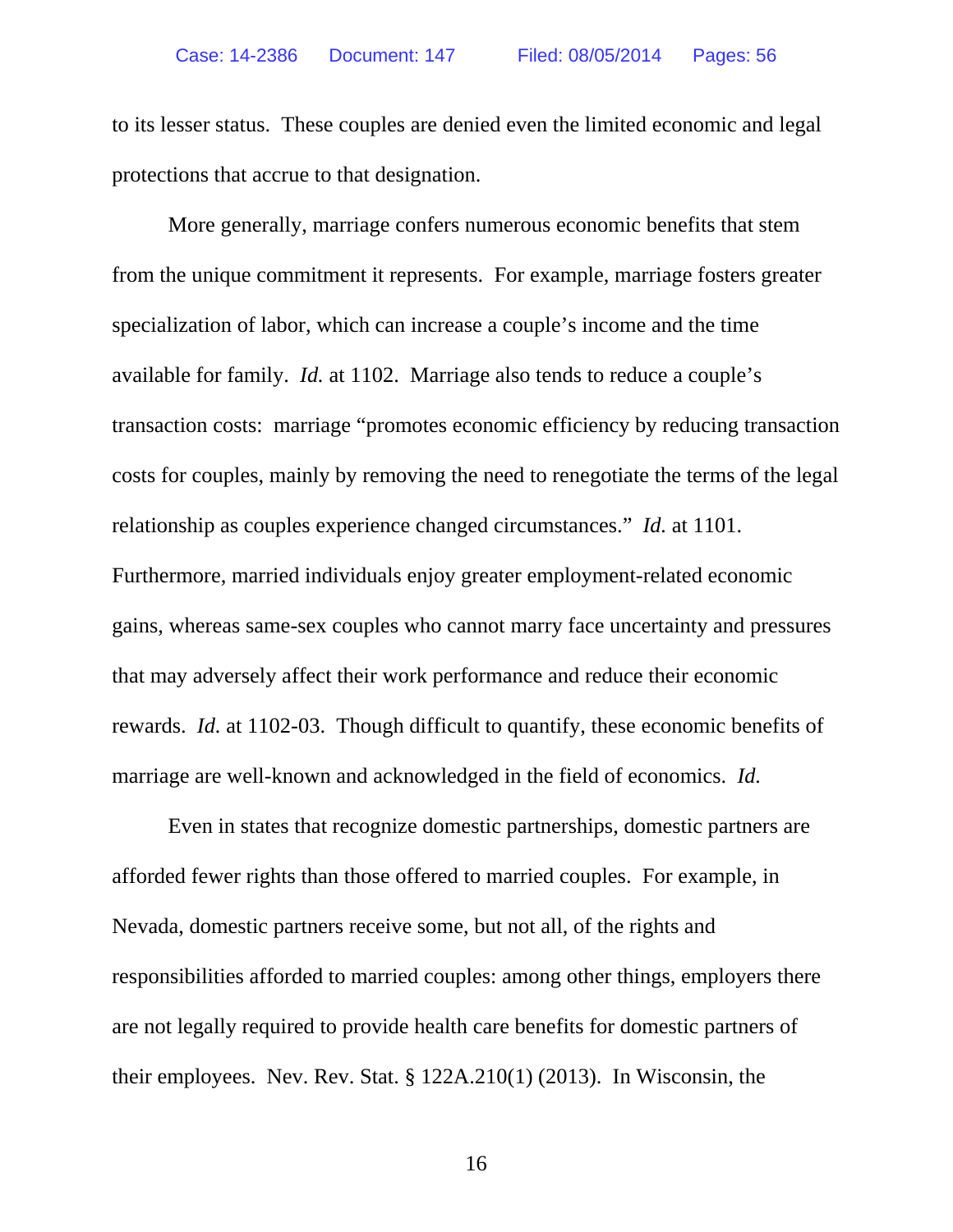to its lesser status. These couples are denied even the limited economic and legal protections that accrue to that designation.

More generally, marriage confers numerous economic benefits that stem from the unique commitment it represents. For example, marriage fosters greater specialization of labor, which can increase a couple's income and the time available for family. *Id.* at 1102. Marriage also tends to reduce a couple's transaction costs: marriage "promotes economic efficiency by reducing transaction costs for couples, mainly by removing the need to renegotiate the terms of the legal relationship as couples experience changed circumstances." *Id.* at 1101. Furthermore, married individuals enjoy greater employment-related economic gains, whereas same-sex couples who cannot marry face uncertainty and pressures that may adversely affect their work performance and reduce their economic rewards. *Id.* at 1102-03. Though difficult to quantify, these economic benefits of marriage are well-known and acknowledged in the field of economics. *Id.*

Even in states that recognize domestic partnerships, domestic partners are afforded fewer rights than those offered to married couples. For example, in Nevada, domestic partners receive some, but not all, of the rights and responsibilities afforded to married couples: among other things, employers there are not legally required to provide health care benefits for domestic partners of their employees. Nev. Rev. Stat. § 122A.210(1) (2013). In Wisconsin, the

16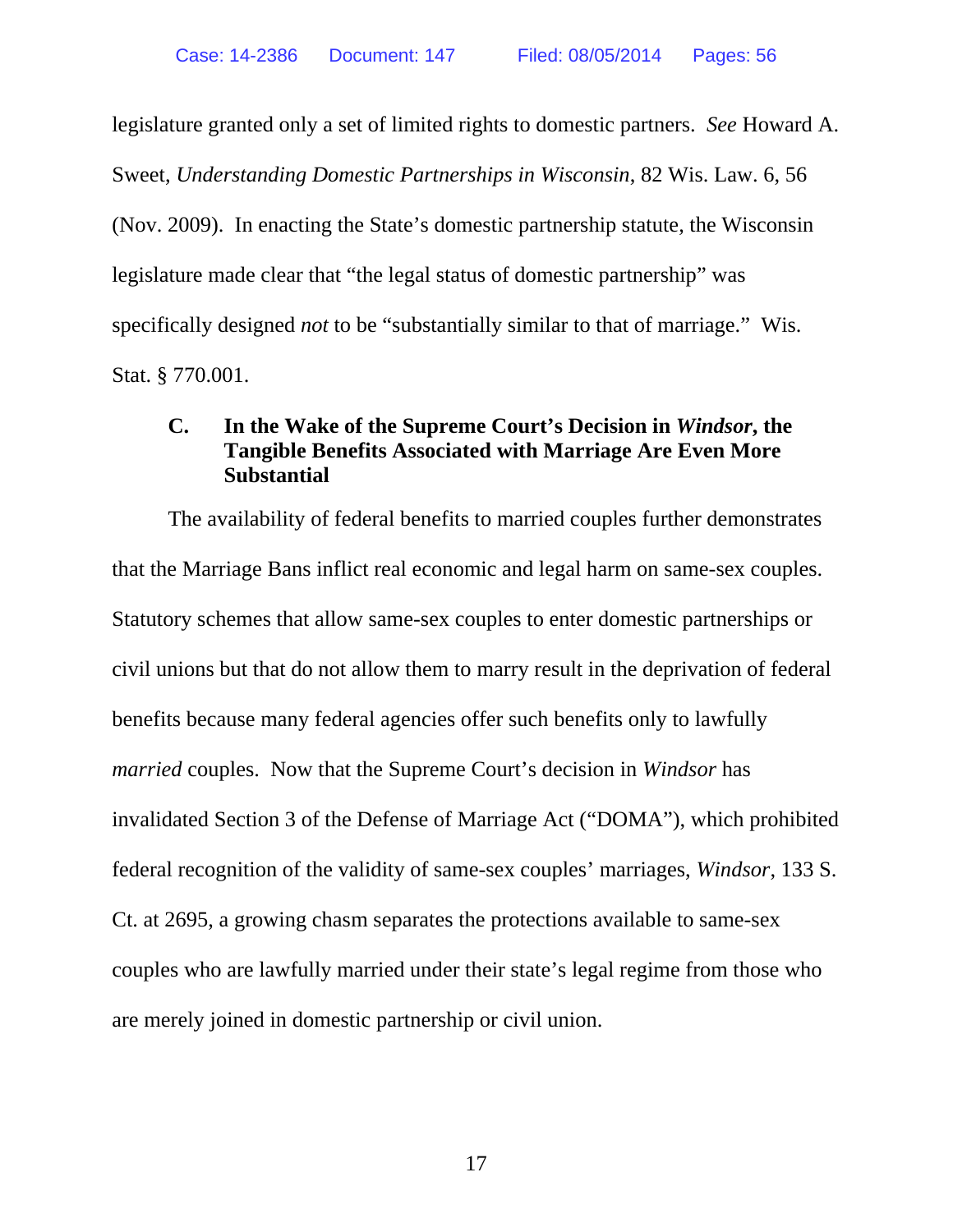legislature granted only a set of limited rights to domestic partners. *See* Howard A. Sweet, *Understanding Domestic Partnerships in Wisconsin*, 82 Wis. Law. 6, 56 (Nov. 2009). In enacting the State's domestic partnership statute, the Wisconsin legislature made clear that "the legal status of domestic partnership" was specifically designed *not* to be "substantially similar to that of marriage." Wis. Stat. § 770.001.

# **C. In the Wake of the Supreme Court's Decision in** *Windsor***, the Tangible Benefits Associated with Marriage Are Even More Substantial**

The availability of federal benefits to married couples further demonstrates that the Marriage Bans inflict real economic and legal harm on same-sex couples. Statutory schemes that allow same-sex couples to enter domestic partnerships or civil unions but that do not allow them to marry result in the deprivation of federal benefits because many federal agencies offer such benefits only to lawfully *married* couples. Now that the Supreme Court's decision in *Windsor* has invalidated Section 3 of the Defense of Marriage Act ("DOMA"), which prohibited federal recognition of the validity of same-sex couples' marriages, *Windsor*, 133 S. Ct. at 2695, a growing chasm separates the protections available to same-sex couples who are lawfully married under their state's legal regime from those who are merely joined in domestic partnership or civil union.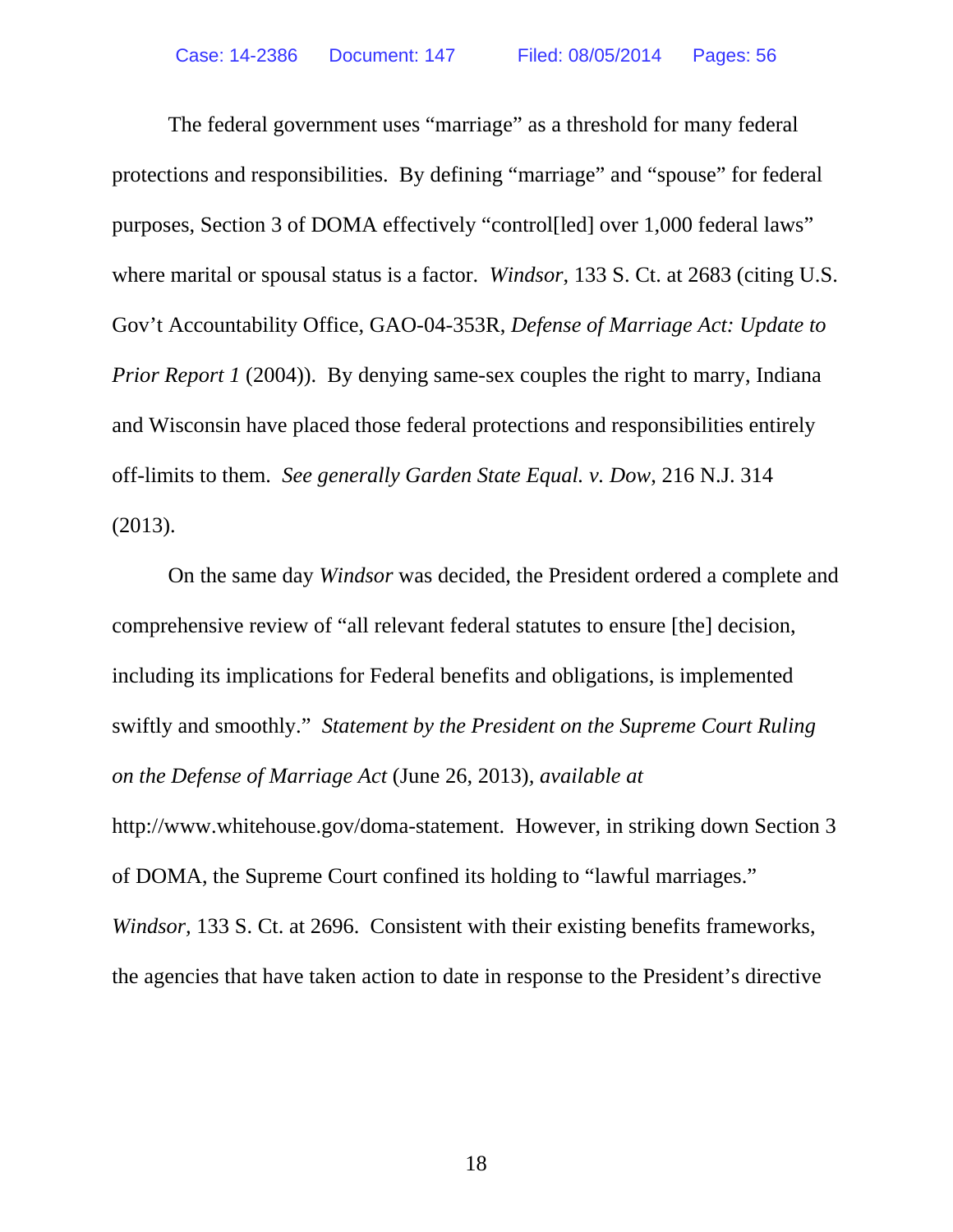The federal government uses "marriage" as a threshold for many federal protections and responsibilities. By defining "marriage" and "spouse" for federal purposes, Section 3 of DOMA effectively "control[led] over 1,000 federal laws" where marital or spousal status is a factor. *Windsor*, 133 S. Ct. at 2683 (citing U.S. Gov't Accountability Office, GAO-04-353R, *Defense of Marriage Act: Update to Prior Report 1* (2004)). By denying same-sex couples the right to marry, Indiana and Wisconsin have placed those federal protections and responsibilities entirely off-limits to them. *See generally Garden State Equal. v. Dow*, 216 N.J. 314 (2013).

On the same day *Windsor* was decided, the President ordered a complete and comprehensive review of "all relevant federal statutes to ensure [the] decision, including its implications for Federal benefits and obligations, is implemented swiftly and smoothly." *Statement by the President on the Supreme Court Ruling on the Defense of Marriage Act* (June 26, 2013)*, available at*  http://www.whitehouse.gov/doma-statement. However, in striking down Section 3 of DOMA, the Supreme Court confined its holding to "lawful marriages." *Windsor*, 133 S. Ct. at 2696. Consistent with their existing benefits frameworks, the agencies that have taken action to date in response to the President's directive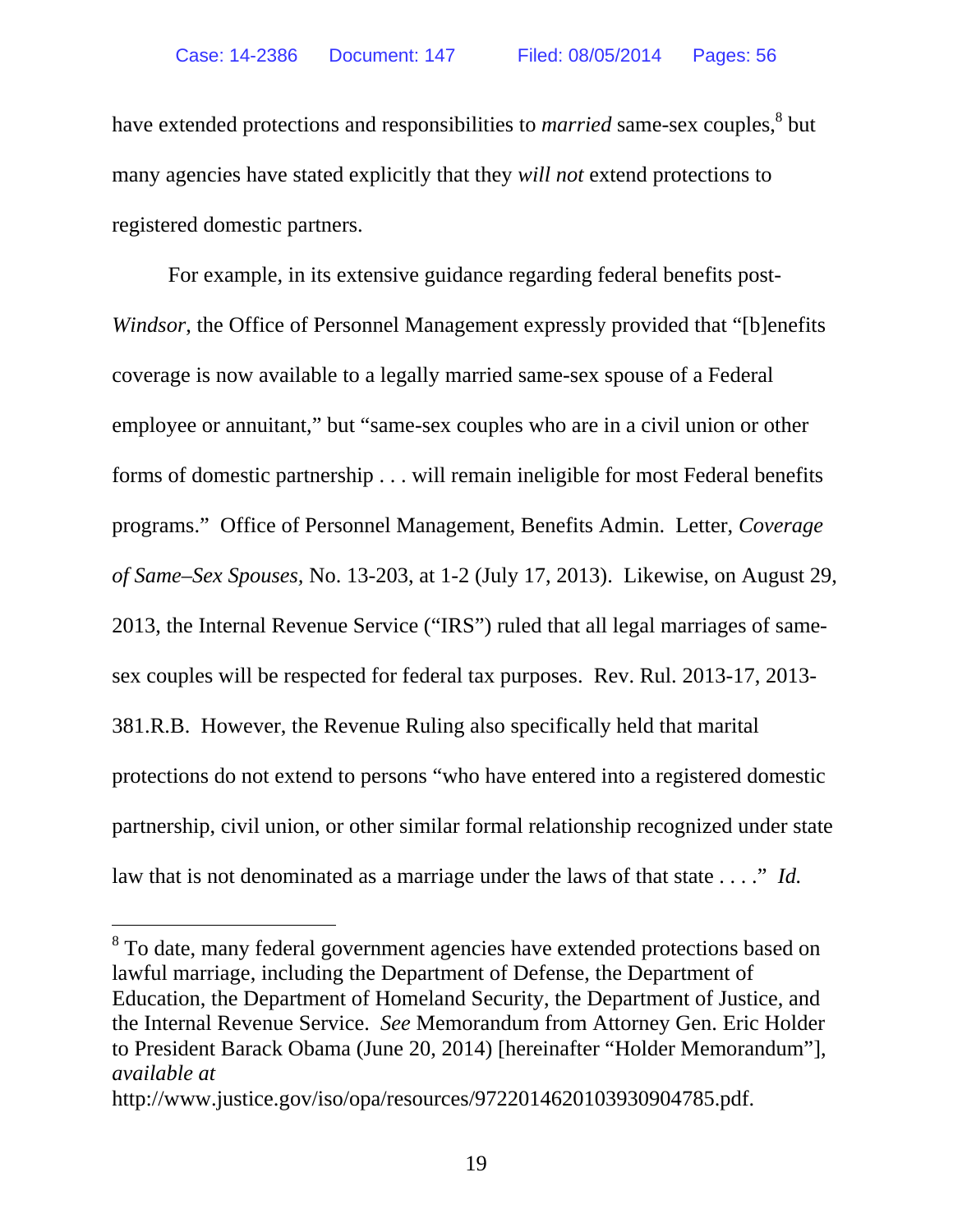have extended protections and responsibilities to *married* same-sex couples, <sup>8</sup> but many agencies have stated explicitly that they *will not* extend protections to registered domestic partners.

For example, in its extensive guidance regarding federal benefits post-*Windsor*, the Office of Personnel Management expressly provided that "[b]enefits coverage is now available to a legally married same-sex spouse of a Federal employee or annuitant," but "same-sex couples who are in a civil union or other forms of domestic partnership . . . will remain ineligible for most Federal benefits programs." Office of Personnel Management, Benefits Admin. Letter, *Coverage of Same–Sex Spouses,* No. 13-203, at 1-2 (July 17, 2013). Likewise, on August 29, 2013, the Internal Revenue Service ("IRS") ruled that all legal marriages of samesex couples will be respected for federal tax purposes. Rev. Rul. 2013-17, 2013- 381.R.B. However, the Revenue Ruling also specifically held that marital protections do not extend to persons "who have entered into a registered domestic partnership, civil union, or other similar formal relationship recognized under state law that is not denominated as a marriage under the laws of that state . . . ." *Id.* 

 $\overline{a}$ 

<sup>&</sup>lt;sup>8</sup> To date, many federal government agencies have extended protections based on lawful marriage, including the Department of Defense, the Department of Education, the Department of Homeland Security, the Department of Justice, and the Internal Revenue Service. *See* Memorandum from Attorney Gen. Eric Holder to President Barack Obama (June 20, 2014) [hereinafter "Holder Memorandum"], *available at*

http://www.justice.gov/iso/opa/resources/9722014620103930904785.pdf.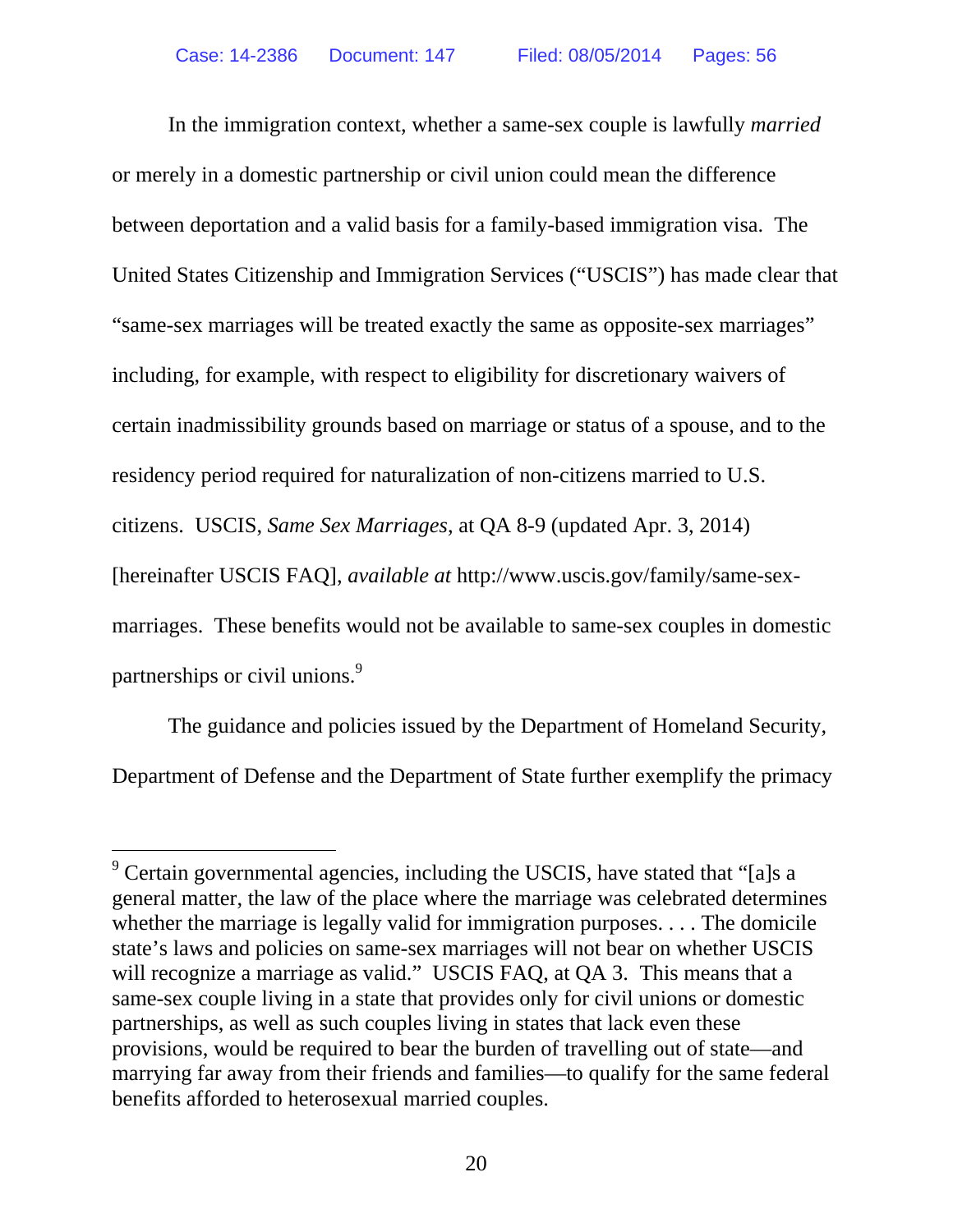In the immigration context, whether a same-sex couple is lawfully *married*  or merely in a domestic partnership or civil union could mean the difference between deportation and a valid basis for a family-based immigration visa. The United States Citizenship and Immigration Services ("USCIS") has made clear that "same-sex marriages will be treated exactly the same as opposite-sex marriages" including, for example, with respect to eligibility for discretionary waivers of certain inadmissibility grounds based on marriage or status of a spouse, and to the residency period required for naturalization of non-citizens married to U.S. citizens. USCIS, *Same Sex Marriages*, at QA 8-9 (updated Apr. 3, 2014) [hereinafter USCIS FAQ], *available at* http://www.uscis.gov/family/same-sexmarriages. These benefits would not be available to same-sex couples in domestic partnerships or civil unions.<sup>9</sup>

The guidance and policies issued by the Department of Homeland Security, Department of Defense and the Department of State further exemplify the primacy

 $\overline{a}$ 

 $9^9$  Certain governmental agencies, including the USCIS, have stated that "[a]s a general matter, the law of the place where the marriage was celebrated determines whether the marriage is legally valid for immigration purposes. . . . The domicile state's laws and policies on same-sex marriages will not bear on whether USCIS will recognize a marriage as valid." USCIS FAQ, at QA 3. This means that a same-sex couple living in a state that provides only for civil unions or domestic partnerships, as well as such couples living in states that lack even these provisions, would be required to bear the burden of travelling out of state—and marrying far away from their friends and families—to qualify for the same federal benefits afforded to heterosexual married couples.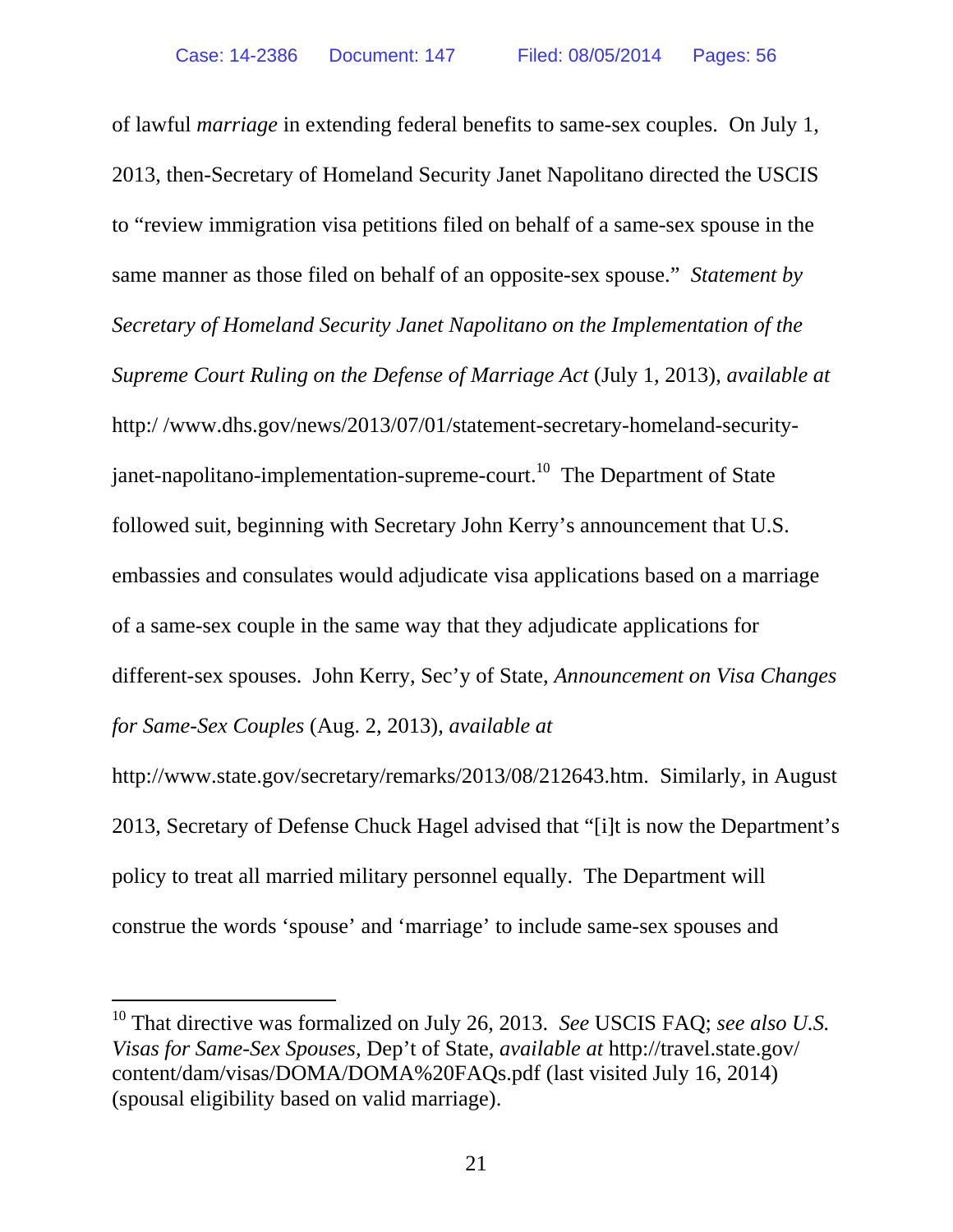of lawful *marriage* in extending federal benefits to same-sex couples. On July 1, 2013, then-Secretary of Homeland Security Janet Napolitano directed the USCIS to "review immigration visa petitions filed on behalf of a same-sex spouse in the same manner as those filed on behalf of an opposite-sex spouse." *Statement by Secretary of Homeland Security Janet Napolitano on the Implementation of the Supreme Court Ruling on the Defense of Marriage Act* (July 1, 2013), *available at* http:/ /www.dhs.gov/news/2013/07/01/statement-secretary-homeland-security $janet$ -napolitano-implementation-supreme-court.<sup>10</sup> The Department of State followed suit, beginning with Secretary John Kerry's announcement that U.S. embassies and consulates would adjudicate visa applications based on a marriage of a same-sex couple in the same way that they adjudicate applications for different-sex spouses. John Kerry, Sec'y of State, *Announcement on Visa Changes for Same-Sex Couples* (Aug. 2, 2013), *available at* 

http://www.state.gov/secretary/remarks/2013/08/212643.htm. Similarly, in August 2013, Secretary of Defense Chuck Hagel advised that "[i]t is now the Department's policy to treat all married military personnel equally. The Department will construe the words 'spouse' and 'marriage' to include same-sex spouses and

-

<sup>&</sup>lt;sup>10</sup> That directive was formalized on July 26, 2013. *See* USCIS FAQ; *see also U.S. Visas for Same-Sex Spouses,* Dep't of State, *available at* http://travel.state.gov/ content/dam/visas/DOMA/DOMA%20FAQs.pdf (last visited July 16, 2014) (spousal eligibility based on valid marriage).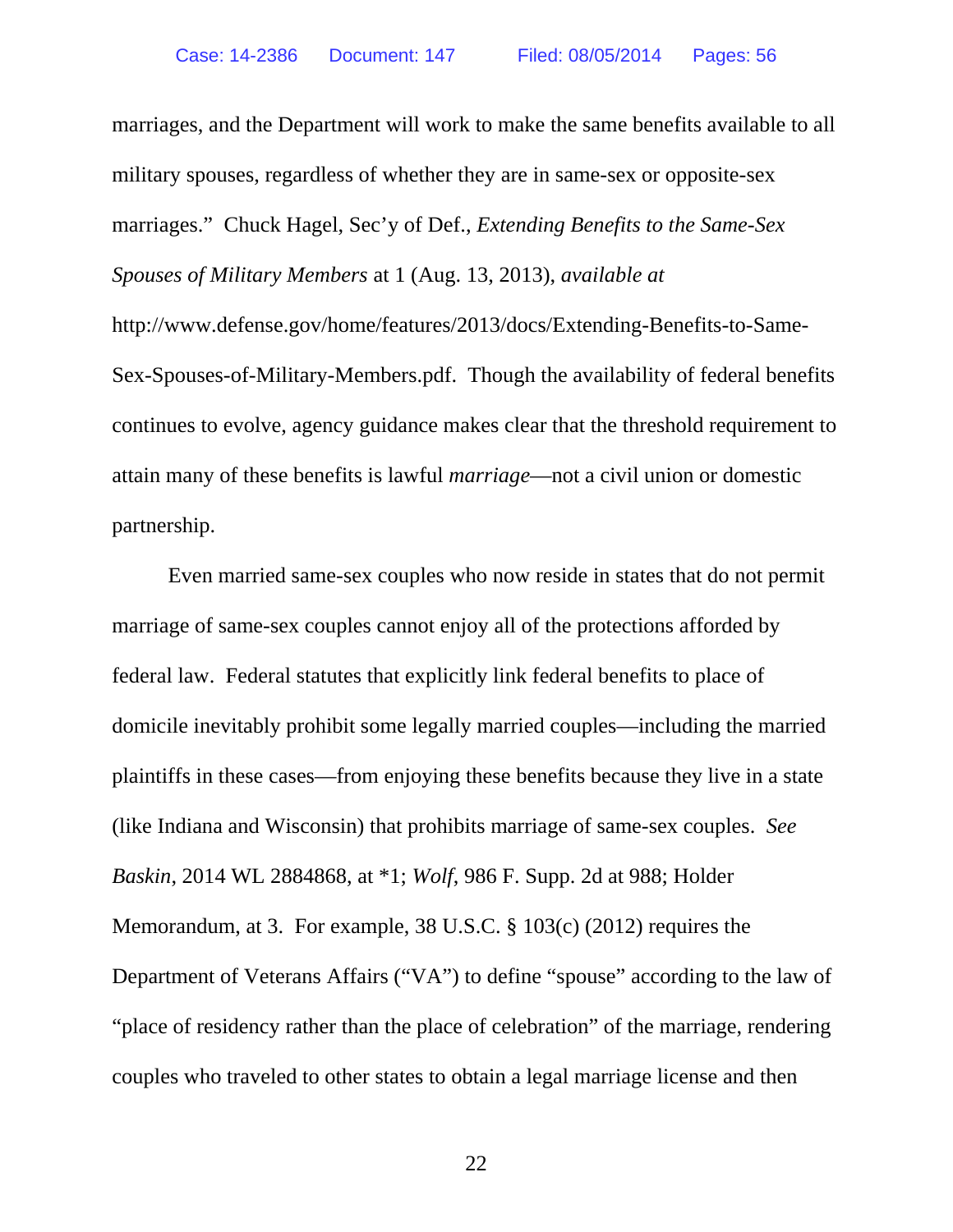marriages, and the Department will work to make the same benefits available to all military spouses, regardless of whether they are in same-sex or opposite-sex marriages." Chuck Hagel, Sec'y of Def., *Extending Benefits to the Same-Sex Spouses of Military Members* at 1 (Aug. 13, 2013), *available at*  http://www.defense.gov/home/features/2013/docs/Extending-Benefits-to-Same-Sex-Spouses-of-Military-Members.pdf. Though the availability of federal benefits continues to evolve, agency guidance makes clear that the threshold requirement to attain many of these benefits is lawful *marriage*—not a civil union or domestic partnership.

Even married same-sex couples who now reside in states that do not permit marriage of same-sex couples cannot enjoy all of the protections afforded by federal law. Federal statutes that explicitly link federal benefits to place of domicile inevitably prohibit some legally married couples—including the married plaintiffs in these cases—from enjoying these benefits because they live in a state (like Indiana and Wisconsin) that prohibits marriage of same-sex couples. *See Baskin*, 2014 WL 2884868, at \*1; *Wolf*, 986 F. Supp. 2d at 988; Holder Memorandum, at 3. For example, 38 U.S.C. § 103(c) (2012) requires the Department of Veterans Affairs ("VA") to define "spouse" according to the law of "place of residency rather than the place of celebration" of the marriage, rendering couples who traveled to other states to obtain a legal marriage license and then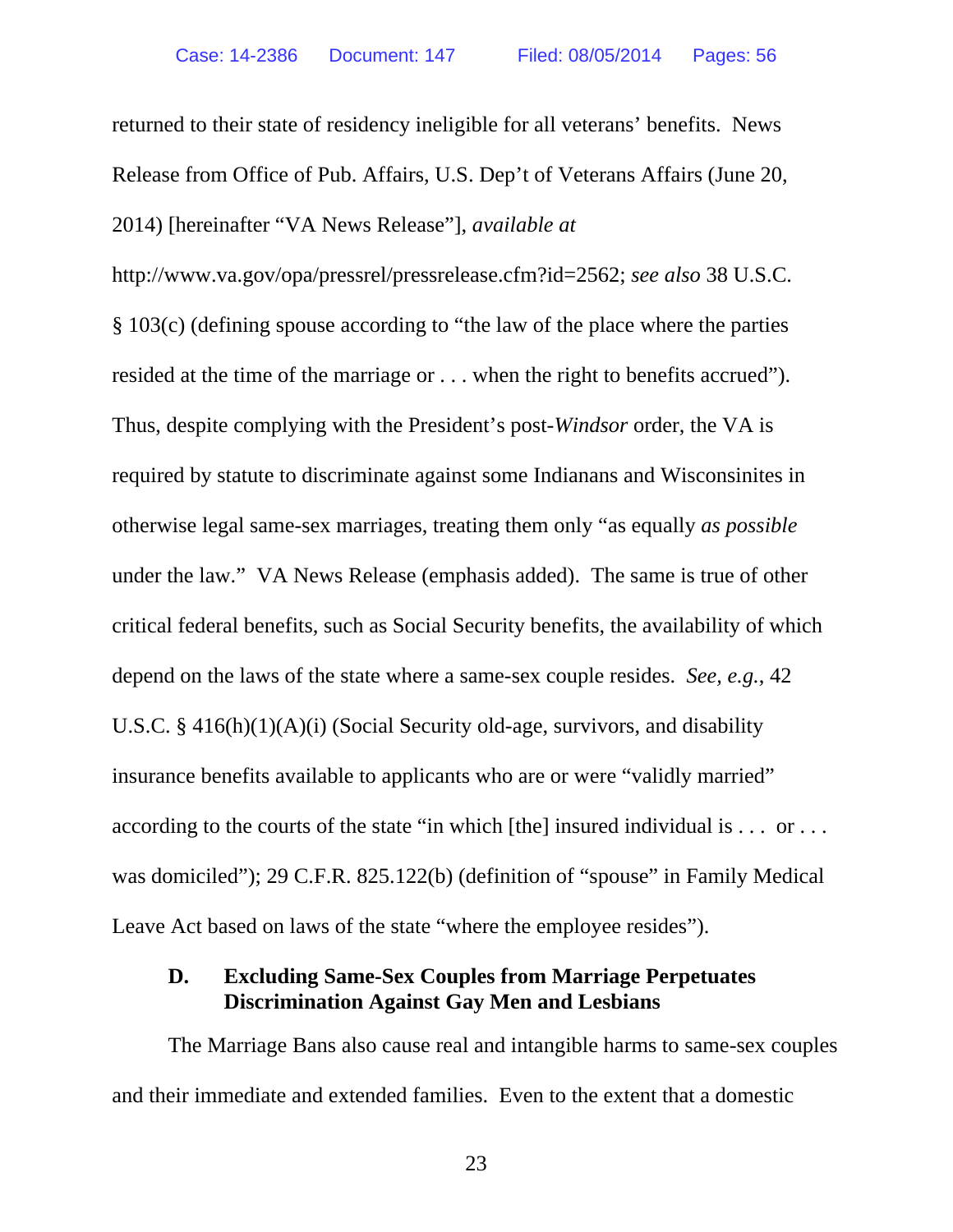returned to their state of residency ineligible for all veterans' benefits. News Release from Office of Pub. Affairs, U.S. Dep't of Veterans Affairs (June 20, 2014) [hereinafter "VA News Release"], *available at*

http://www.va.gov/opa/pressrel/pressrelease.cfm?id=2562; *see also* 38 U.S.C. § 103(c) (defining spouse according to "the law of the place where the parties resided at the time of the marriage or . . . when the right to benefits accrued"). Thus, despite complying with the President's post-*Windsor* order, the VA is required by statute to discriminate against some Indianans and Wisconsinites in otherwise legal same-sex marriages, treating them only "as equally *as possible* under the law." VA News Release (emphasis added). The same is true of other critical federal benefits, such as Social Security benefits, the availability of which depend on the laws of the state where a same-sex couple resides. *See, e.g.*, 42 U.S.C. § 416(h)(1)(A)(i) (Social Security old-age, survivors, and disability insurance benefits available to applicants who are or were "validly married" according to the courts of the state "in which [the] insured individual is . . . or . . . was domiciled"); 29 C.F.R. 825.122(b) (definition of "spouse" in Family Medical Leave Act based on laws of the state "where the employee resides").

## **D. Excluding Same-Sex Couples from Marriage Perpetuates Discrimination Against Gay Men and Lesbians**

The Marriage Bans also cause real and intangible harms to same-sex couples and their immediate and extended families. Even to the extent that a domestic

23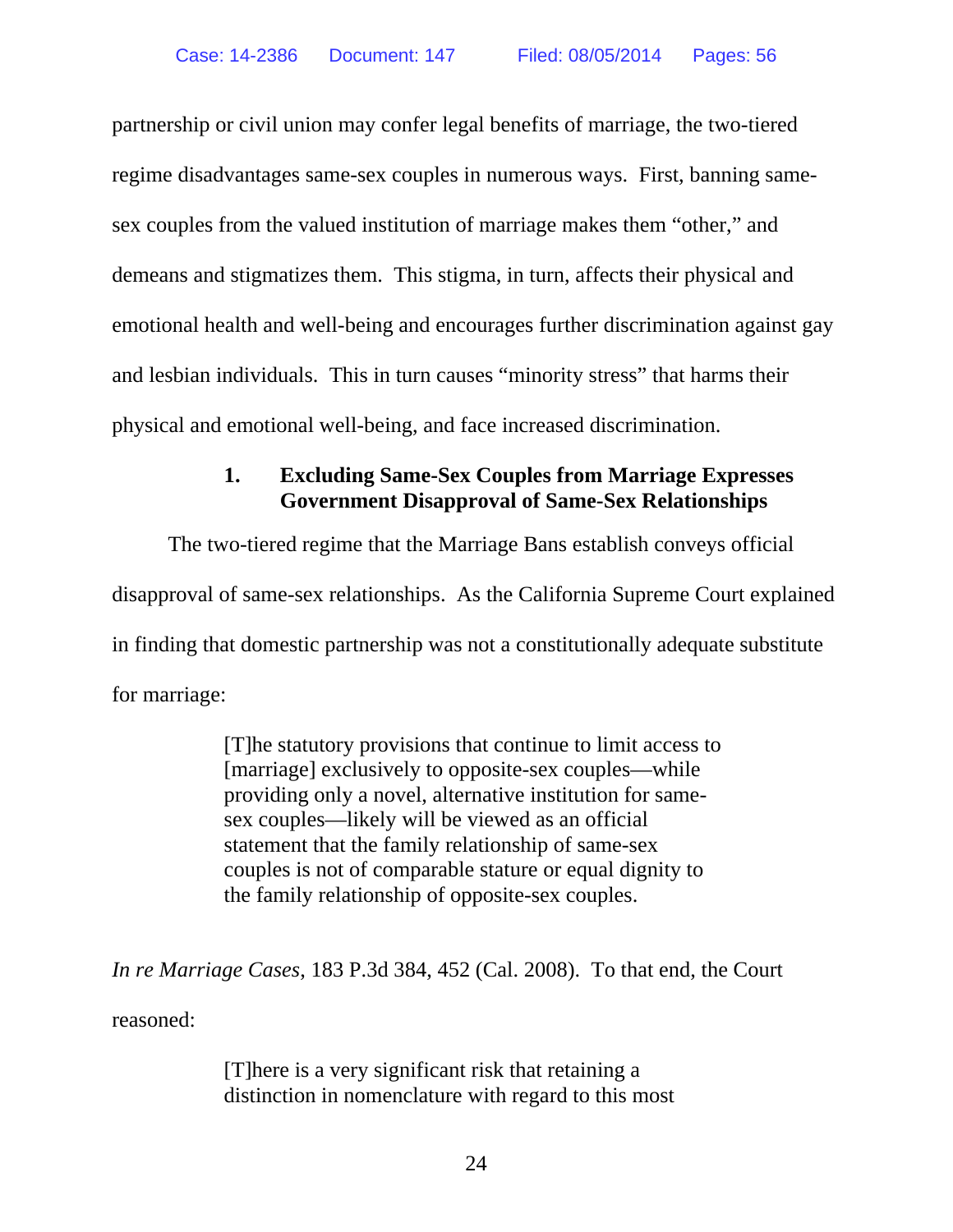partnership or civil union may confer legal benefits of marriage, the two-tiered regime disadvantages same-sex couples in numerous ways. First, banning samesex couples from the valued institution of marriage makes them "other," and demeans and stigmatizes them. This stigma, in turn, affects their physical and emotional health and well-being and encourages further discrimination against gay and lesbian individuals. This in turn causes "minority stress" that harms their physical and emotional well-being, and face increased discrimination.

# **1. Excluding Same-Sex Couples from Marriage Expresses Government Disapproval of Same-Sex Relationships**

The two-tiered regime that the Marriage Bans establish conveys official disapproval of same-sex relationships. As the California Supreme Court explained in finding that domestic partnership was not a constitutionally adequate substitute for marriage:

> [T]he statutory provisions that continue to limit access to [marriage] exclusively to opposite-sex couples—while providing only a novel, alternative institution for samesex couples—likely will be viewed as an official statement that the family relationship of same-sex couples is not of comparable stature or equal dignity to the family relationship of opposite-sex couples.

*In re Marriage Cases*, 183 P.3d 384, 452 (Cal. 2008). To that end, the Court reasoned:

> [T]here is a very significant risk that retaining a distinction in nomenclature with regard to this most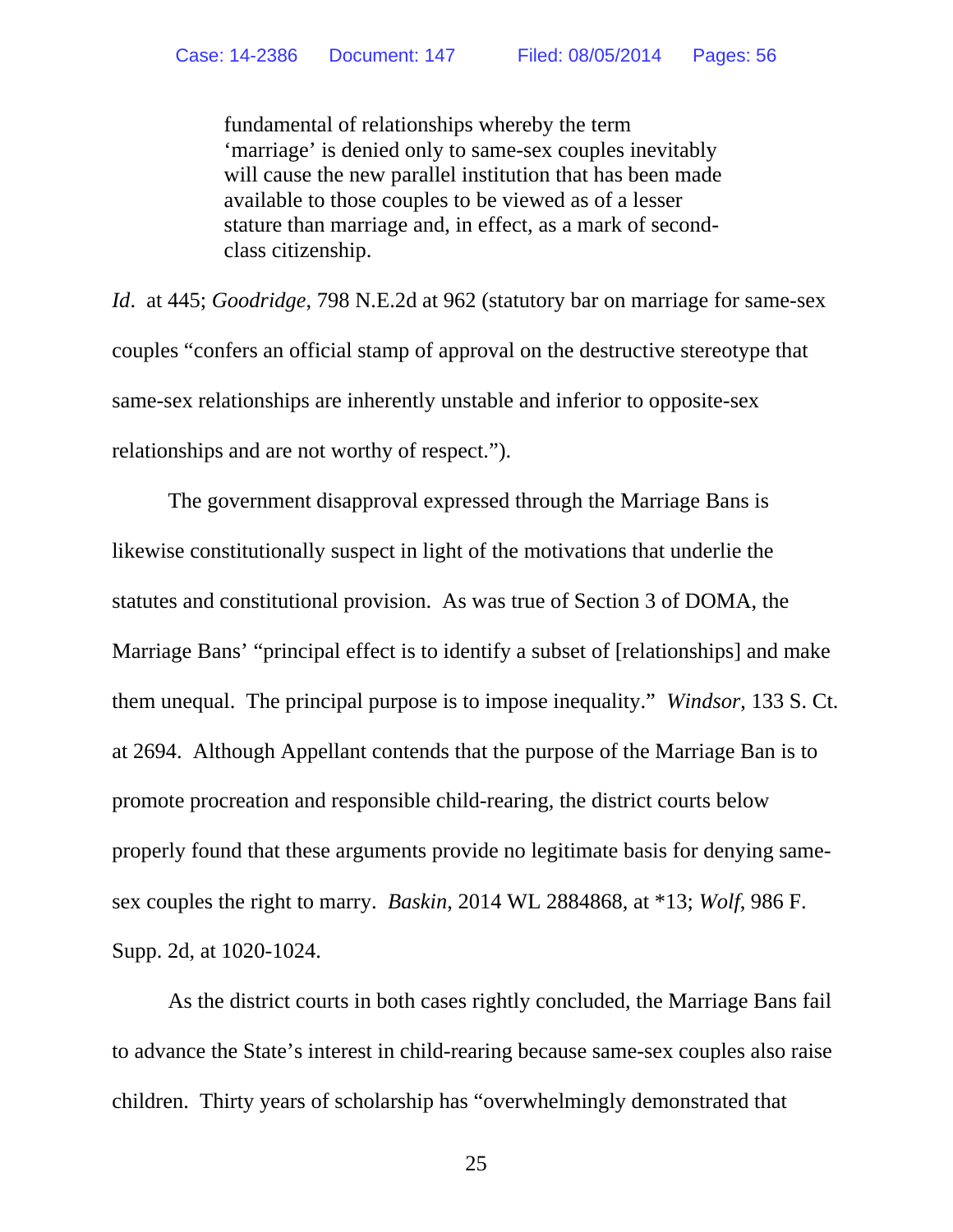fundamental of relationships whereby the term 'marriage' is denied only to same-sex couples inevitably will cause the new parallel institution that has been made available to those couples to be viewed as of a lesser stature than marriage and, in effect, as a mark of secondclass citizenship.

*Id*. at 445; *Goodridge*, 798 N.E.2d at 962 (statutory bar on marriage for same-sex couples "confers an official stamp of approval on the destructive stereotype that same-sex relationships are inherently unstable and inferior to opposite-sex relationships and are not worthy of respect.").

The government disapproval expressed through the Marriage Bans is likewise constitutionally suspect in light of the motivations that underlie the statutes and constitutional provision. As was true of Section 3 of DOMA, the Marriage Bans' "principal effect is to identify a subset of [relationships] and make them unequal. The principal purpose is to impose inequality." *Windsor*, 133 S. Ct. at 2694. Although Appellant contends that the purpose of the Marriage Ban is to promote procreation and responsible child-rearing, the district courts below properly found that these arguments provide no legitimate basis for denying samesex couples the right to marry. *Baskin*, 2014 WL 2884868, at \*13; *Wolf*, 986 F. Supp. 2d, at 1020-1024.

As the district courts in both cases rightly concluded, the Marriage Bans fail to advance the State's interest in child-rearing because same-sex couples also raise children. Thirty years of scholarship has "overwhelmingly demonstrated that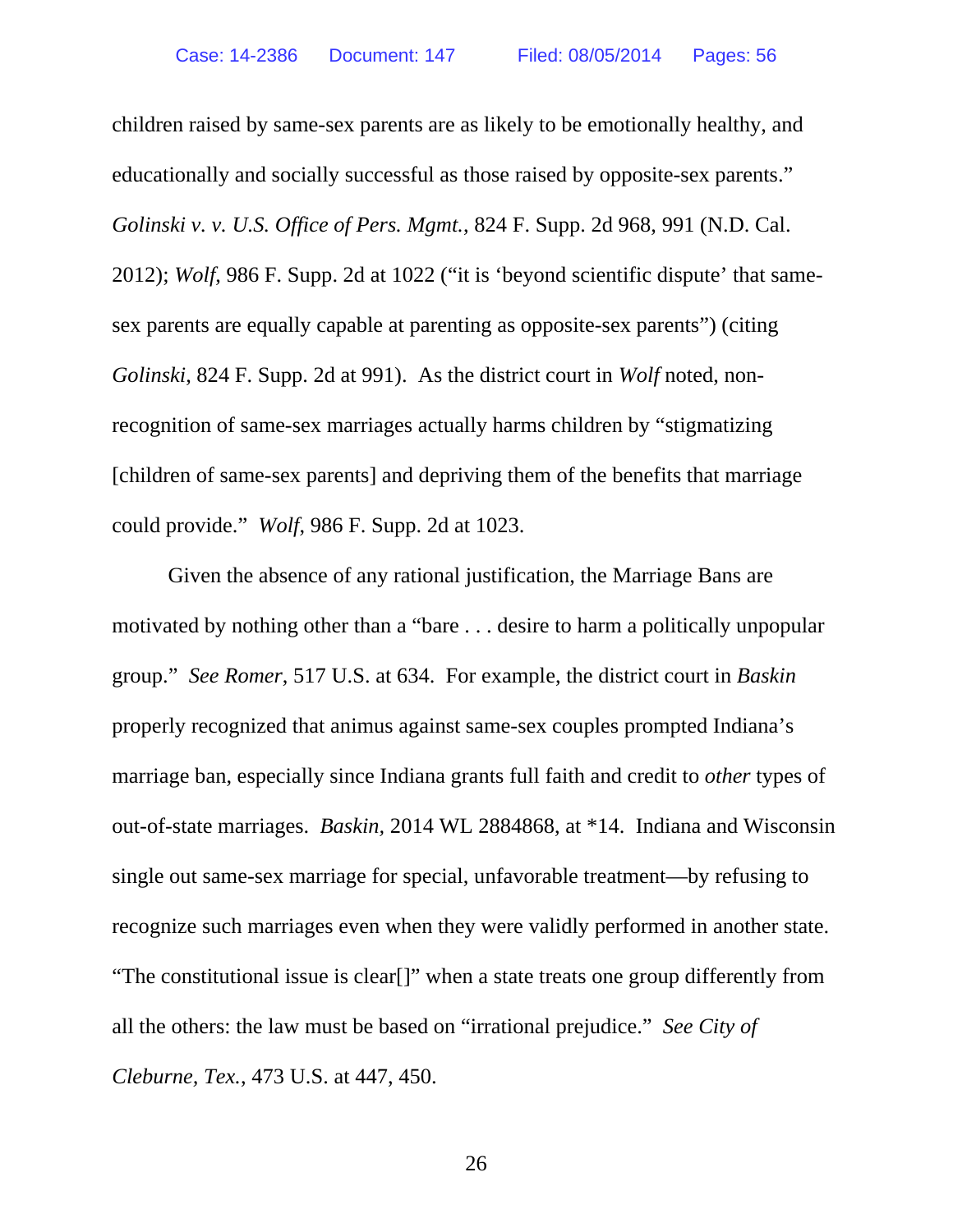children raised by same-sex parents are as likely to be emotionally healthy, and educationally and socially successful as those raised by opposite-sex parents." *Golinski v. v. U.S. Office of Pers. Mgmt.*, 824 F. Supp. 2d 968, 991 (N.D. Cal. 2012); *Wolf*, 986 F. Supp. 2d at 1022 ("it is 'beyond scientific dispute' that samesex parents are equally capable at parenting as opposite-sex parents") (citing *Golinski*, 824 F. Supp. 2d at 991). As the district court in *Wolf* noted, nonrecognition of same-sex marriages actually harms children by "stigmatizing [children of same-sex parents] and depriving them of the benefits that marriage could provide." *Wolf*, 986 F. Supp. 2d at 1023.

Given the absence of any rational justification, the Marriage Bans are motivated by nothing other than a "bare . . . desire to harm a politically unpopular group." *See Romer*, 517 U.S. at 634. For example, the district court in *Baskin* properly recognized that animus against same-sex couples prompted Indiana's marriage ban, especially since Indiana grants full faith and credit to *other* types of out-of-state marriages. *Baskin,* 2014 WL 2884868, at \*14. Indiana and Wisconsin single out same-sex marriage for special, unfavorable treatment—by refusing to recognize such marriages even when they were validly performed in another state. "The constitutional issue is clear[]" when a state treats one group differently from all the others: the law must be based on "irrational prejudice." *See City of Cleburne, Tex.*, 473 U.S. at 447, 450.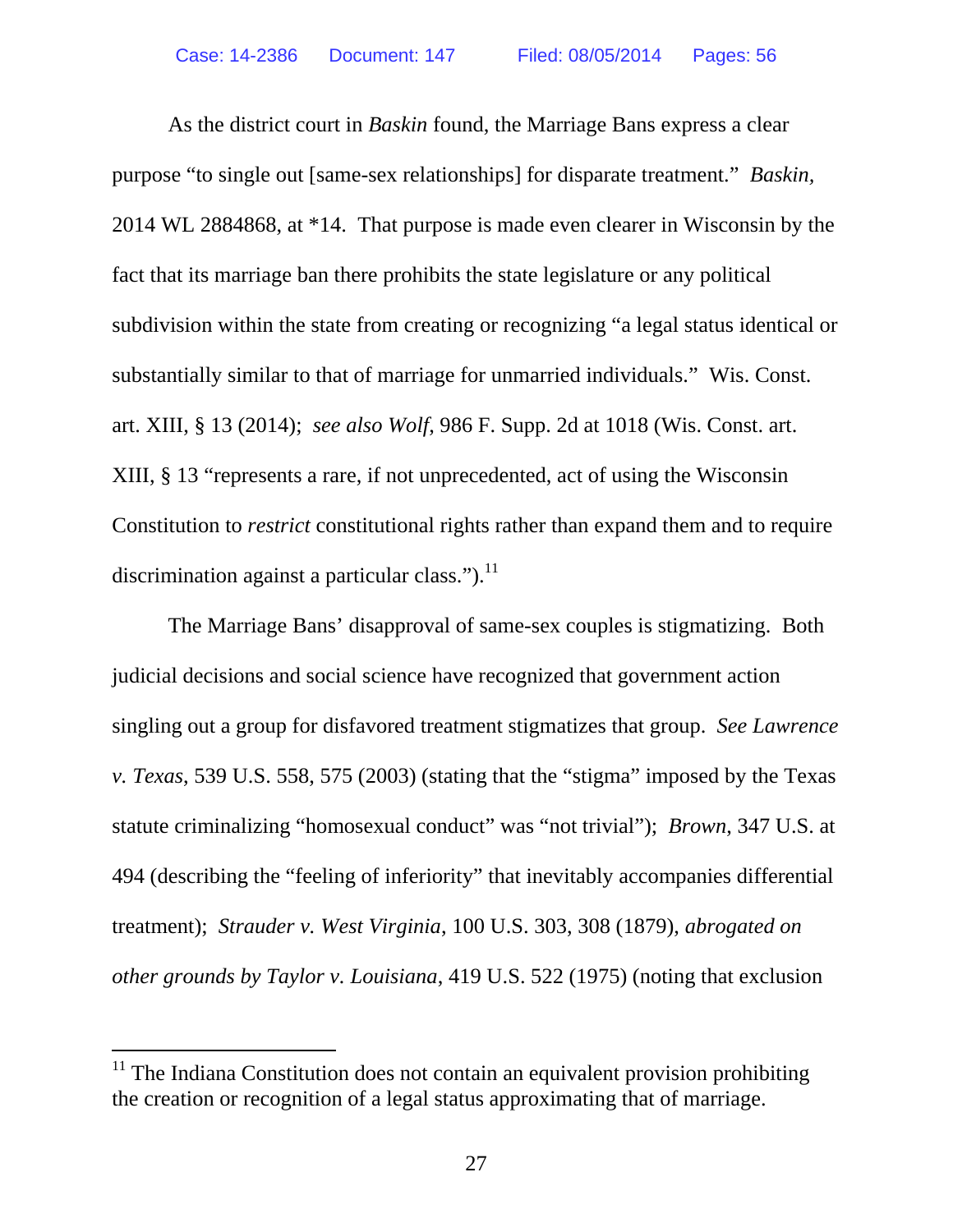As the district court in *Baskin* found, the Marriage Bans express a clear purpose "to single out [same-sex relationships] for disparate treatment." *Baskin,*  2014 WL 2884868, at \*14. That purpose is made even clearer in Wisconsin by the fact that its marriage ban there prohibits the state legislature or any political subdivision within the state from creating or recognizing "a legal status identical or substantially similar to that of marriage for unmarried individuals." Wis. Const. art. XIII, § 13 (2014); *see also Wolf*, 986 F. Supp. 2d at 1018 (Wis. Const. art. XIII, § 13 "represents a rare, if not unprecedented, act of using the Wisconsin Constitution to *restrict* constitutional rights rather than expand them and to require discrimination against a particular class."). $^{11}$ 

The Marriage Bans' disapproval of same-sex couples is stigmatizing. Both judicial decisions and social science have recognized that government action singling out a group for disfavored treatment stigmatizes that group. *See Lawrence v. Texas*, 539 U.S. 558, 575 (2003) (stating that the "stigma" imposed by the Texas statute criminalizing "homosexual conduct" was "not trivial"); *Brown*, 347 U.S. at 494 (describing the "feeling of inferiority" that inevitably accompanies differential treatment); *Strauder v. West Virginia*, 100 U.S. 303, 308 (1879), *abrogated on other grounds by Taylor v. Louisiana*, 419 U.S. 522 (1975) (noting that exclusion

 $\overline{a}$ 

 $11$  The Indiana Constitution does not contain an equivalent provision prohibiting the creation or recognition of a legal status approximating that of marriage.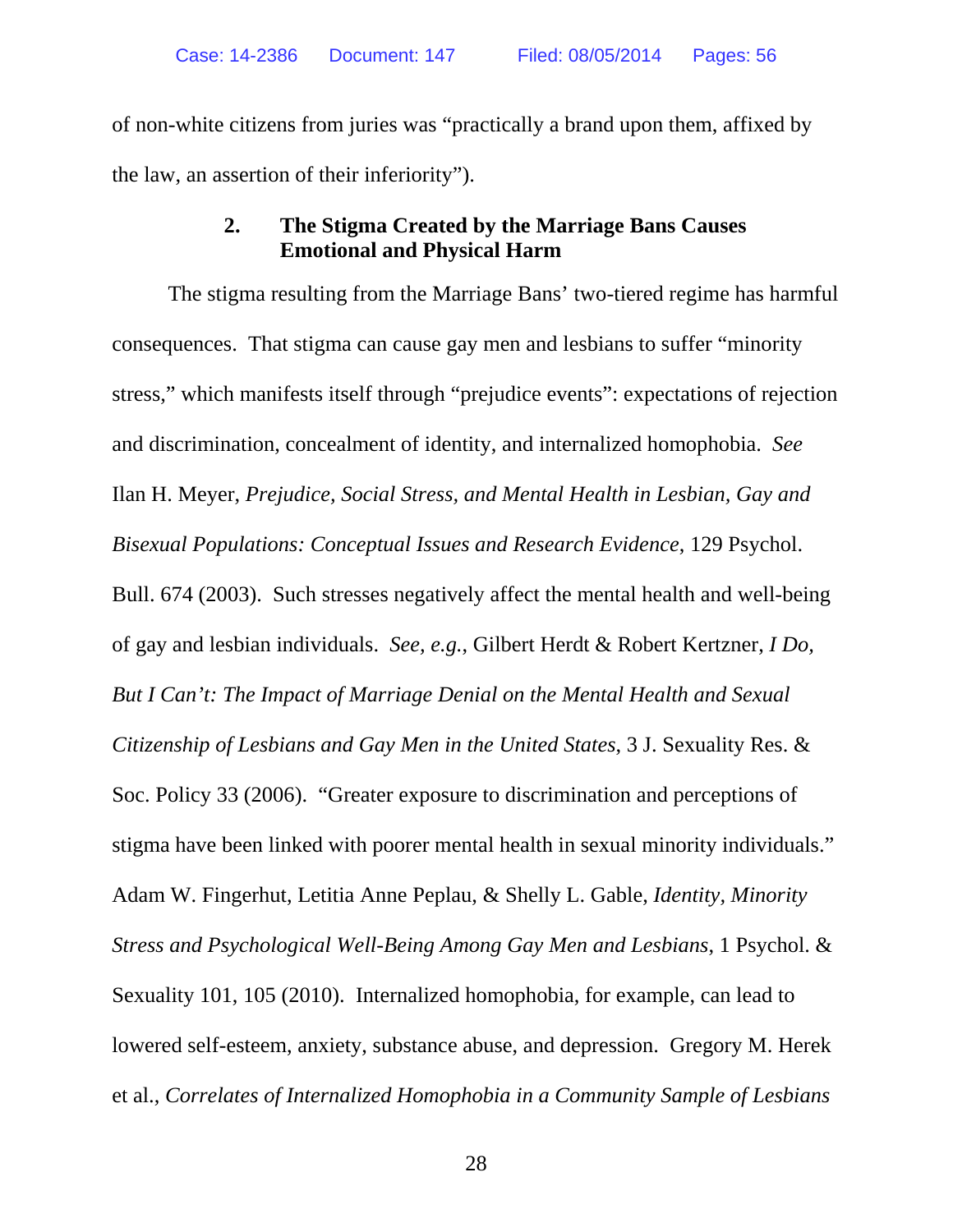of non-white citizens from juries was "practically a brand upon them, affixed by the law, an assertion of their inferiority").

## **2. The Stigma Created by the Marriage Bans Causes Emotional and Physical Harm**

The stigma resulting from the Marriage Bans' two-tiered regime has harmful consequences. That stigma can cause gay men and lesbians to suffer "minority stress," which manifests itself through "prejudice events": expectations of rejection and discrimination, concealment of identity, and internalized homophobia. *See* Ilan H. Meyer, *Prejudice, Social Stress, and Mental Health in Lesbian, Gay and Bisexual Populations: Conceptual Issues and Research Evidence*, 129 Psychol. Bull. 674 (2003). Such stresses negatively affect the mental health and well-being of gay and lesbian individuals. *See, e.g.*, Gilbert Herdt & Robert Kertzner, *I Do, But I Can't: The Impact of Marriage Denial on the Mental Health and Sexual Citizenship of Lesbians and Gay Men in the United States*, 3 J. Sexuality Res. & Soc. Policy 33 (2006). "Greater exposure to discrimination and perceptions of stigma have been linked with poorer mental health in sexual minority individuals." Adam W. Fingerhut, Letitia Anne Peplau, & Shelly L. Gable, *Identity, Minority Stress and Psychological Well-Being Among Gay Men and Lesbians*, 1 Psychol. & Sexuality 101, 105 (2010). Internalized homophobia, for example, can lead to lowered self-esteem, anxiety, substance abuse, and depression. Gregory M. Herek et al., *Correlates of Internalized Homophobia in a Community Sample of Lesbians*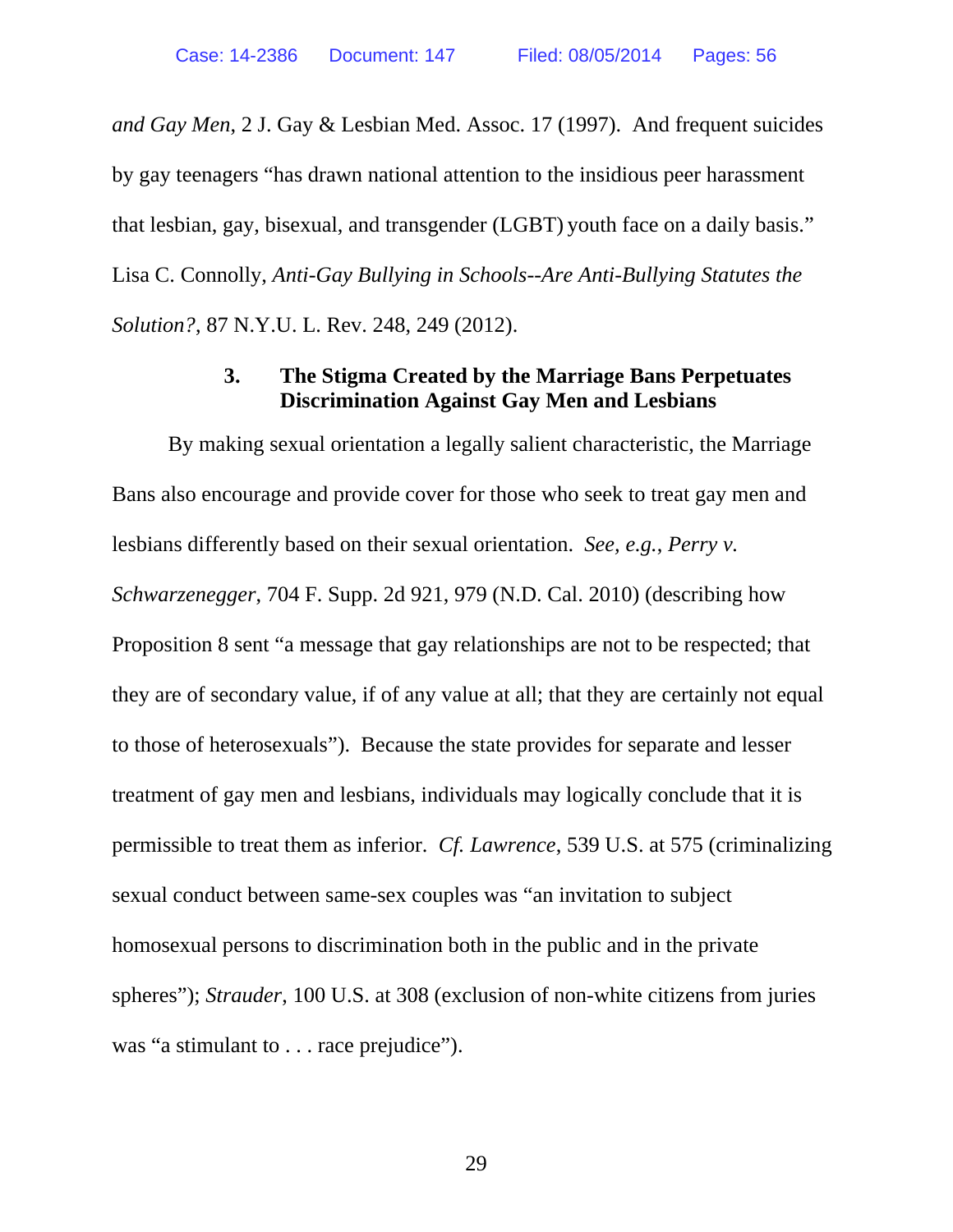*and Gay Men*, 2 J. Gay & Lesbian Med. Assoc. 17 (1997). And frequent suicides by gay teenagers "has drawn national attention to the insidious peer harassment that lesbian, gay, bisexual, and transgender (LGBT) youth face on a daily basis." Lisa C. Connolly, *Anti-Gay Bullying in Schools--Are Anti-Bullying Statutes the Solution?*, 87 N.Y.U. L. Rev. 248, 249 (2012).

### **3. The Stigma Created by the Marriage Bans Perpetuates Discrimination Against Gay Men and Lesbians**

By making sexual orientation a legally salient characteristic, the Marriage Bans also encourage and provide cover for those who seek to treat gay men and lesbians differently based on their sexual orientation. *See, e.g.*, *Perry v. Schwarzenegger*, 704 F. Supp. 2d 921, 979 (N.D. Cal. 2010) (describing how Proposition 8 sent "a message that gay relationships are not to be respected; that they are of secondary value, if of any value at all; that they are certainly not equal to those of heterosexuals"). Because the state provides for separate and lesser treatment of gay men and lesbians, individuals may logically conclude that it is permissible to treat them as inferior. *Cf. Lawrence*, 539 U.S. at 575 (criminalizing sexual conduct between same-sex couples was "an invitation to subject homosexual persons to discrimination both in the public and in the private spheres"); *Strauder*, 100 U.S. at 308 (exclusion of non-white citizens from juries was "a stimulant to . . . race prejudice").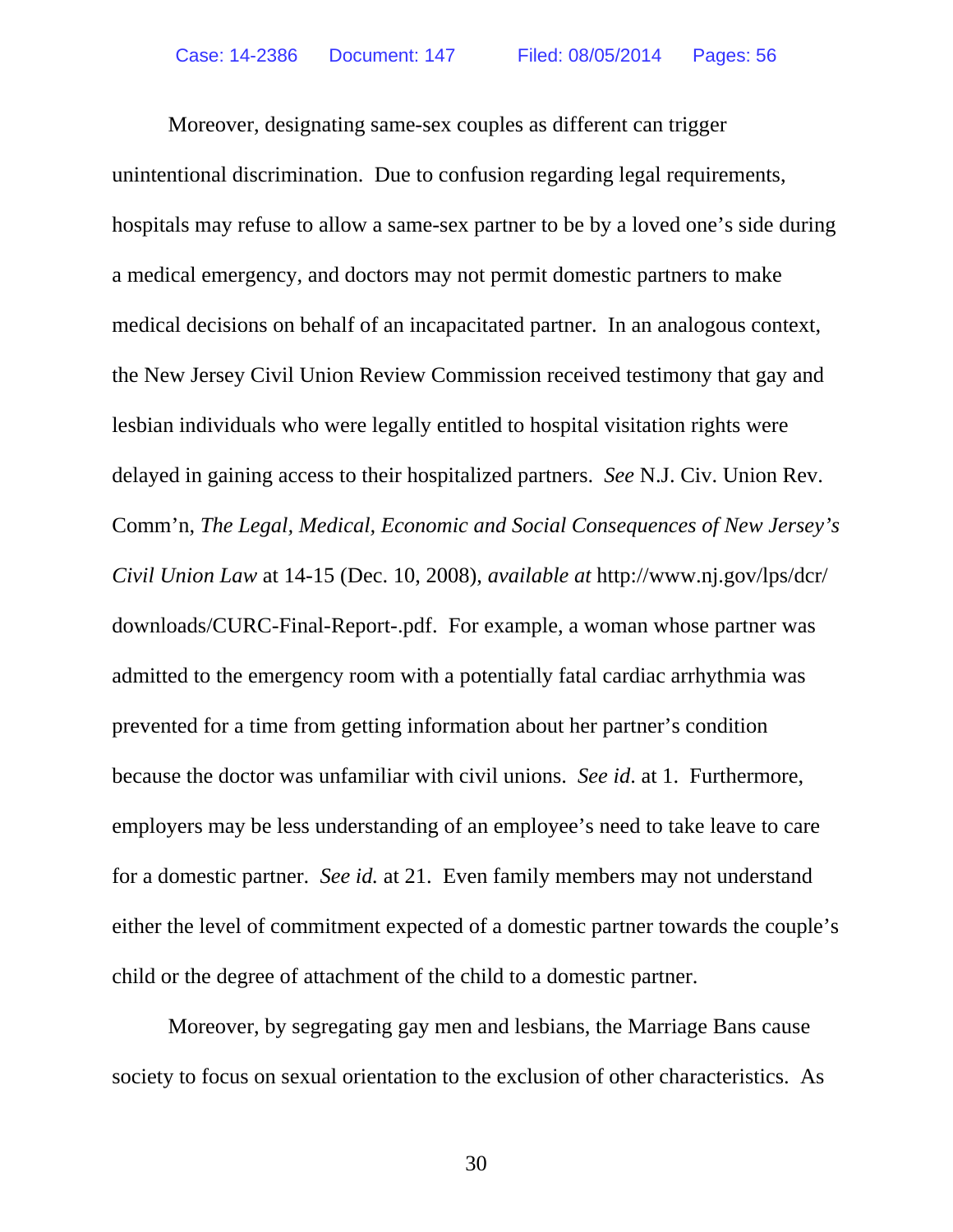Moreover, designating same-sex couples as different can trigger unintentional discrimination. Due to confusion regarding legal requirements, hospitals may refuse to allow a same-sex partner to be by a loved one's side during a medical emergency, and doctors may not permit domestic partners to make medical decisions on behalf of an incapacitated partner. In an analogous context, the New Jersey Civil Union Review Commission received testimony that gay and lesbian individuals who were legally entitled to hospital visitation rights were delayed in gaining access to their hospitalized partners. *See* N.J. Civ. Union Rev. Comm'n, *The Legal, Medical, Economic and Social Consequences of New Jersey's Civil Union Law* at 14-15 (Dec. 10, 2008), *available at* http://www.nj.gov/lps/dcr/ downloads/CURC-Final-Report-.pdf. For example, a woman whose partner was admitted to the emergency room with a potentially fatal cardiac arrhythmia was prevented for a time from getting information about her partner's condition because the doctor was unfamiliar with civil unions. *See id*. at 1. Furthermore, employers may be less understanding of an employee's need to take leave to care for a domestic partner. *See id.* at 21. Even family members may not understand either the level of commitment expected of a domestic partner towards the couple's child or the degree of attachment of the child to a domestic partner.

Moreover, by segregating gay men and lesbians, the Marriage Bans cause society to focus on sexual orientation to the exclusion of other characteristics. As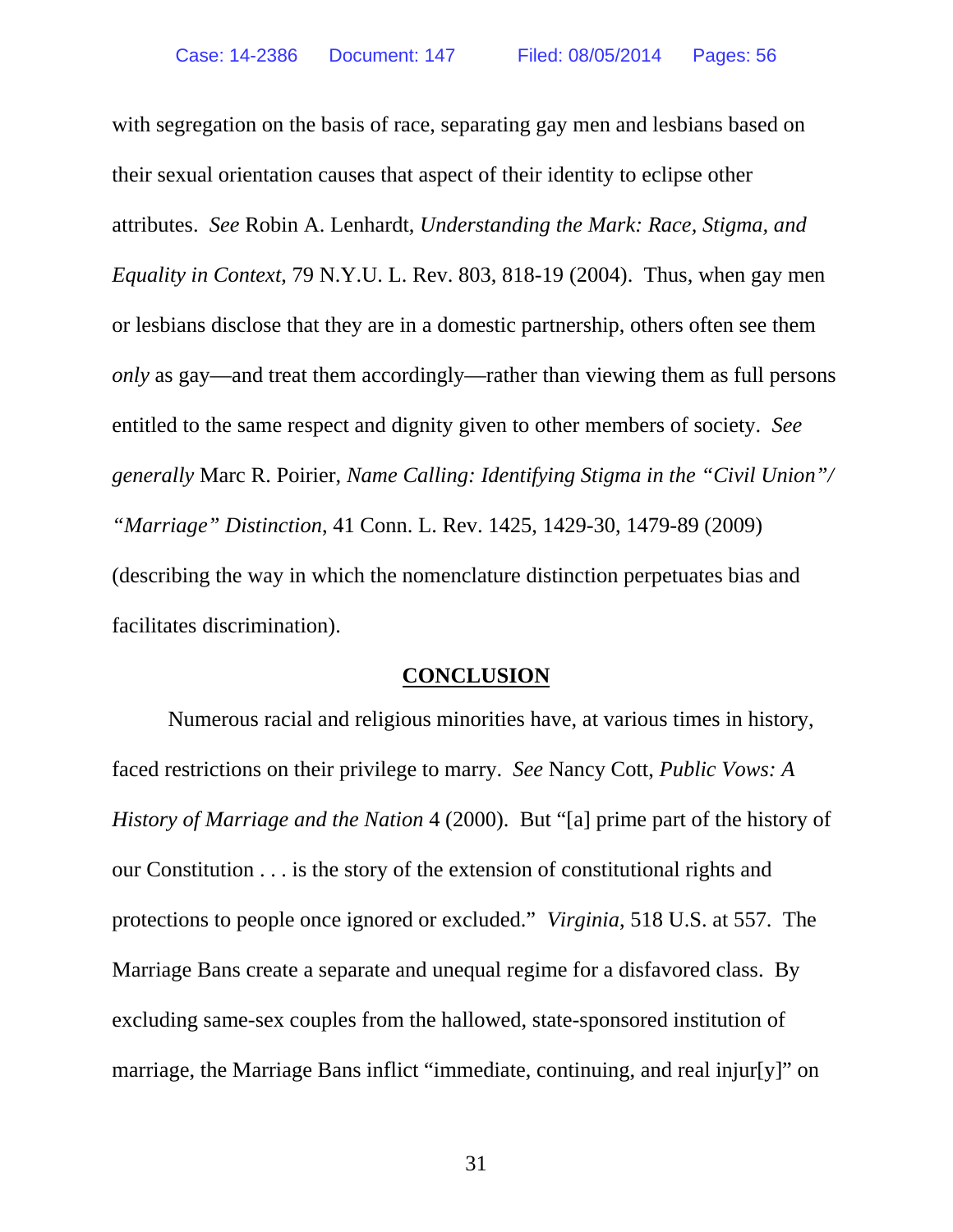with segregation on the basis of race, separating gay men and lesbians based on their sexual orientation causes that aspect of their identity to eclipse other attributes. *See* Robin A. Lenhardt, *Understanding the Mark: Race, Stigma, and Equality in Context*, 79 N.Y.U. L. Rev. 803, 818-19 (2004). Thus, when gay men or lesbians disclose that they are in a domestic partnership, others often see them *only* as gay—and treat them accordingly—rather than viewing them as full persons entitled to the same respect and dignity given to other members of society. *See generally* Marc R. Poirier, *Name Calling: Identifying Stigma in the "Civil Union"/ "Marriage" Distinction*, 41 Conn. L. Rev. 1425, 1429-30, 1479-89 (2009) (describing the way in which the nomenclature distinction perpetuates bias and facilitates discrimination).

#### **CONCLUSION**

Numerous racial and religious minorities have, at various times in history, faced restrictions on their privilege to marry. *See* Nancy Cott, *Public Vows: A History of Marriage and the Nation* 4 (2000). But "[a] prime part of the history of our Constitution . . . is the story of the extension of constitutional rights and protections to people once ignored or excluded." *Virginia*, 518 U.S. at 557. The Marriage Bans create a separate and unequal regime for a disfavored class. By excluding same-sex couples from the hallowed, state-sponsored institution of marriage, the Marriage Bans inflict "immediate, continuing, and real injur[y]" on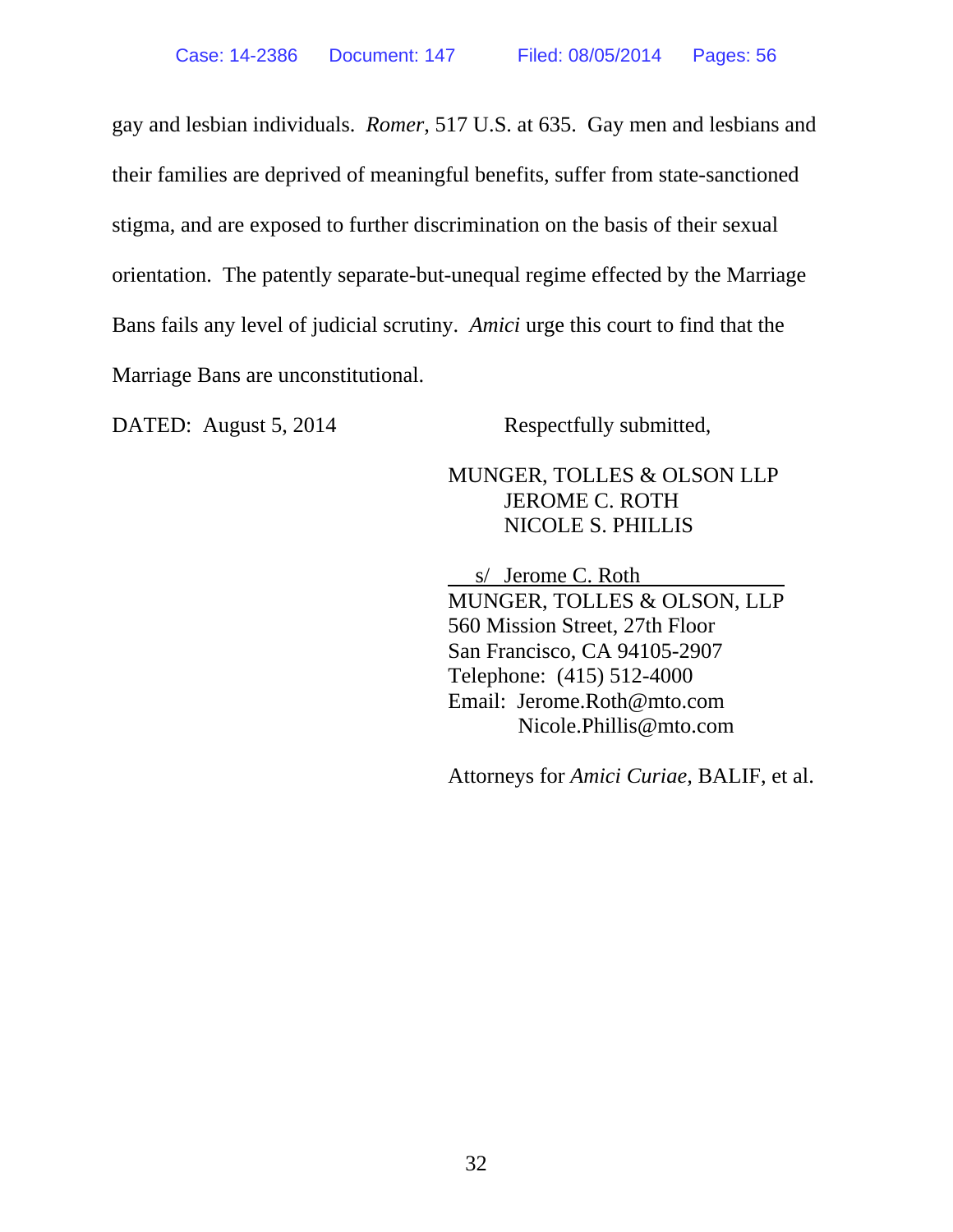gay and lesbian individuals. *Romer*, 517 U.S. at 635. Gay men and lesbians and their families are deprived of meaningful benefits, suffer from state-sanctioned stigma, and are exposed to further discrimination on the basis of their sexual orientation. The patently separate-but-unequal regime effected by the Marriage Bans fails any level of judicial scrutiny. *Amici* urge this court to find that the Marriage Bans are unconstitutional.

DATED: August 5, 2014 Respectfully submitted,

MUNGER, TOLLES & OLSON LLP JEROME C. ROTH NICOLE S. PHILLIS

 s/ Jerome C. Roth MUNGER, TOLLES & OLSON, LLP 560 Mission Street, 27th Floor San Francisco, CA 94105-2907 Telephone: (415) 512-4000 Email: Jerome.Roth@mto.com Nicole.Phillis@mto.com

Attorneys for *Amici Curiae,* BALIF, et al.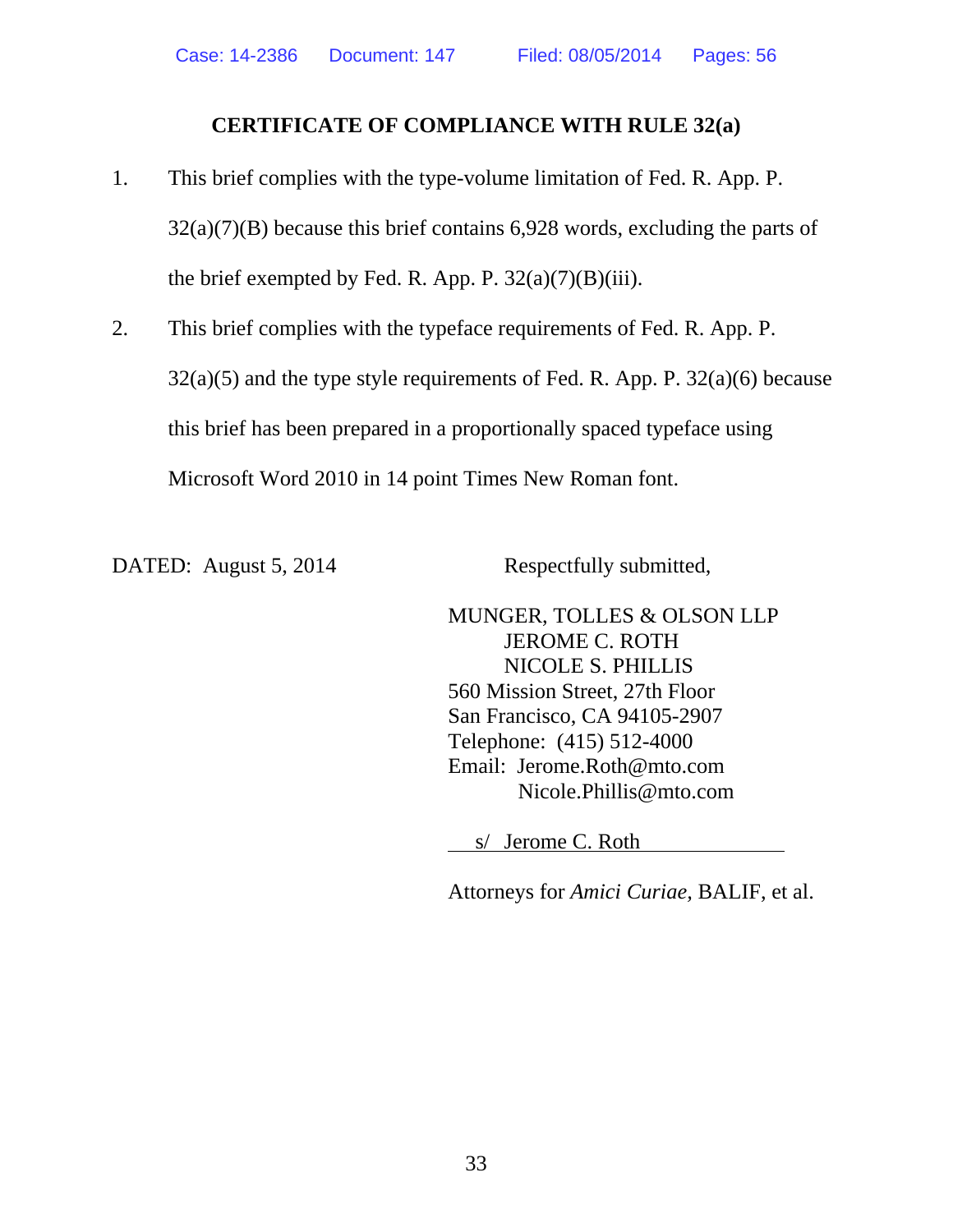## **CERTIFICATE OF COMPLIANCE WITH RULE 32(a)**

- 1. This brief complies with the type-volume limitation of Fed. R. App. P.  $32(a)(7)(B)$  because this brief contains 6,928 words, excluding the parts of the brief exempted by Fed. R. App. P.  $32(a)(7)(B)(iii)$ .
- 2. This brief complies with the typeface requirements of Fed. R. App. P.  $32(a)(5)$  and the type style requirements of Fed. R. App. P.  $32(a)(6)$  because this brief has been prepared in a proportionally spaced typeface using Microsoft Word 2010 in 14 point Times New Roman font.

DATED: August 5, 2014 Respectfully submitted,

MUNGER, TOLLES & OLSON LLP JEROME C. ROTH NICOLE S. PHILLIS 560 Mission Street, 27th Floor San Francisco, CA 94105-2907 Telephone: (415) 512-4000 Email: Jerome.Roth@mto.com Nicole.Phillis@mto.com

s/ Jerome C. Roth

Attorneys for *Amici Curiae,* BALIF, et al.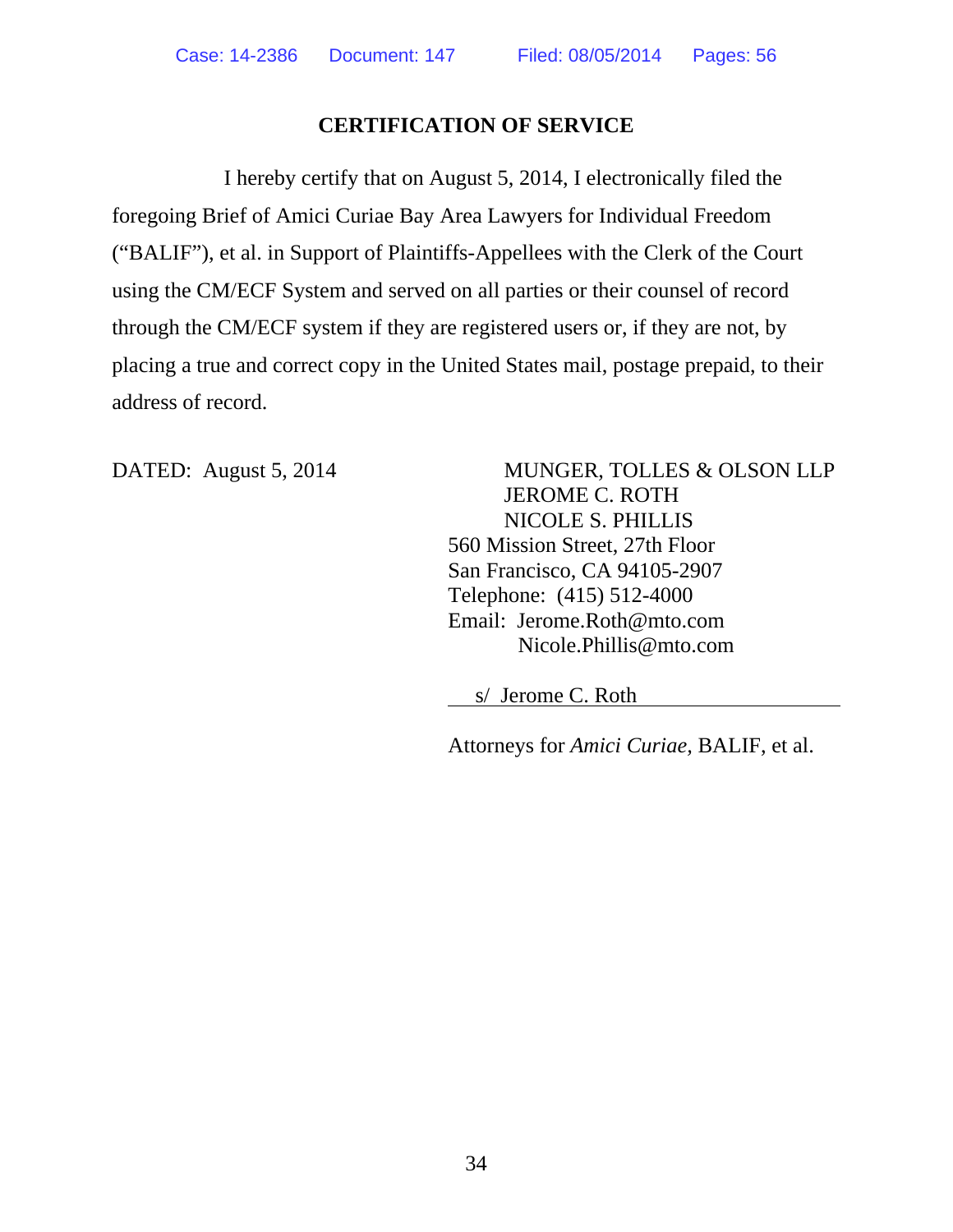# **CERTIFICATION OF SERVICE**

I hereby certify that on August 5, 2014, I electronically filed the foregoing Brief of Amici Curiae Bay Area Lawyers for Individual Freedom ("BALIF"), et al. in Support of Plaintiffs-Appellees with the Clerk of the Court using the CM/ECF System and served on all parties or their counsel of record through the CM/ECF system if they are registered users or, if they are not, by placing a true and correct copy in the United States mail, postage prepaid, to their address of record.

DATED: August 5, 2014 MUNGER, TOLLES & OLSON LLP JEROME C. ROTH NICOLE S. PHILLIS 560 Mission Street, 27th Floor San Francisco, CA 94105-2907 Telephone: (415) 512-4000 Email: Jerome.Roth@mto.com Nicole.Phillis@mto.com

s/ Jerome C. Roth

Attorneys for *Amici Curiae,* BALIF, et al.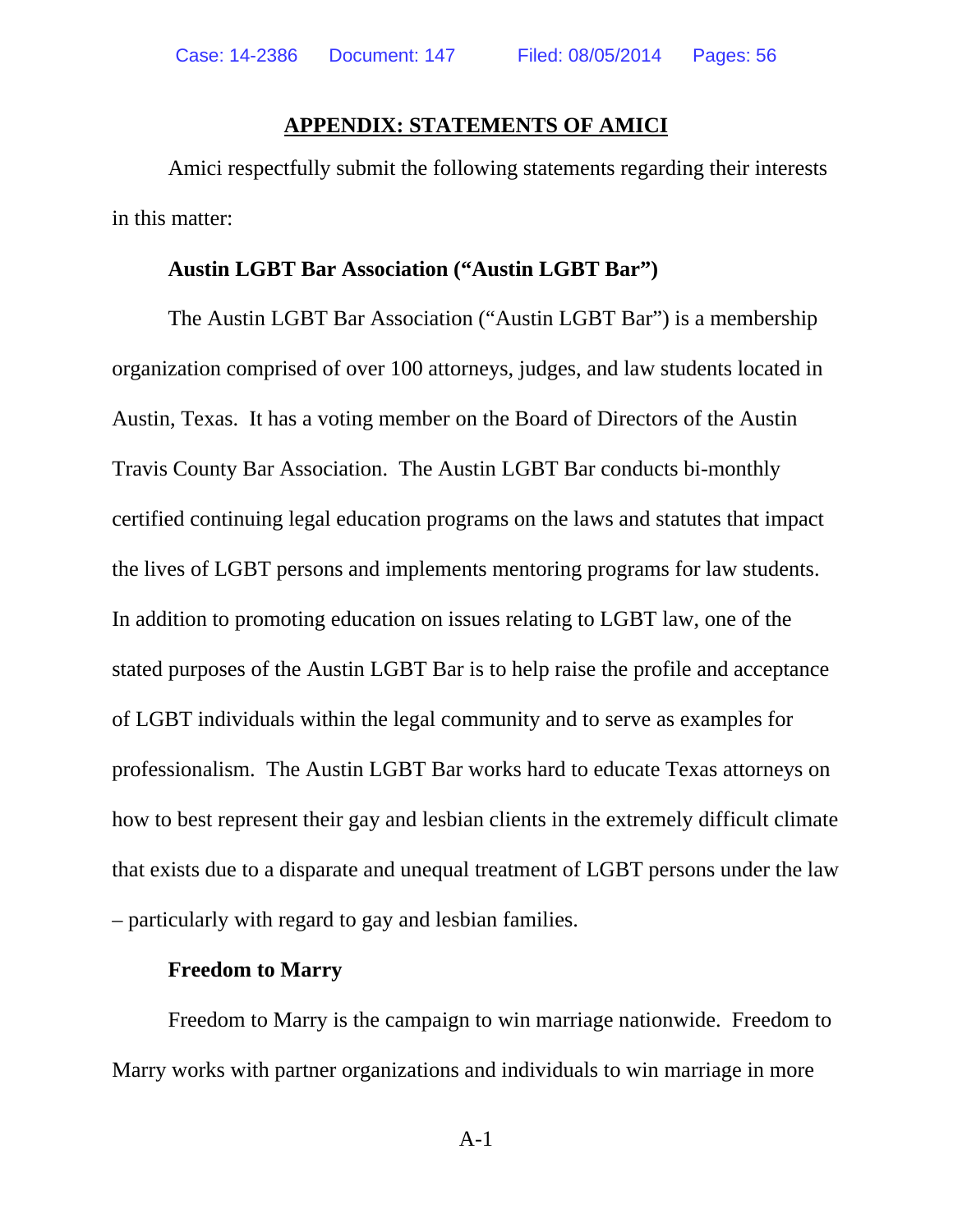#### **APPENDIX: STATEMENTS OF AMICI**

Amici respectfully submit the following statements regarding their interests in this matter:

#### **Austin LGBT Bar Association ("Austin LGBT Bar")**

The Austin LGBT Bar Association ("Austin LGBT Bar") is a membership organization comprised of over 100 attorneys, judges, and law students located in Austin, Texas. It has a voting member on the Board of Directors of the Austin Travis County Bar Association. The Austin LGBT Bar conducts bi-monthly certified continuing legal education programs on the laws and statutes that impact the lives of LGBT persons and implements mentoring programs for law students. In addition to promoting education on issues relating to LGBT law, one of the stated purposes of the Austin LGBT Bar is to help raise the profile and acceptance of LGBT individuals within the legal community and to serve as examples for professionalism. The Austin LGBT Bar works hard to educate Texas attorneys on how to best represent their gay and lesbian clients in the extremely difficult climate that exists due to a disparate and unequal treatment of LGBT persons under the law – particularly with regard to gay and lesbian families.

#### **Freedom to Marry**

Freedom to Marry is the campaign to win marriage nationwide. Freedom to Marry works with partner organizations and individuals to win marriage in more

A-1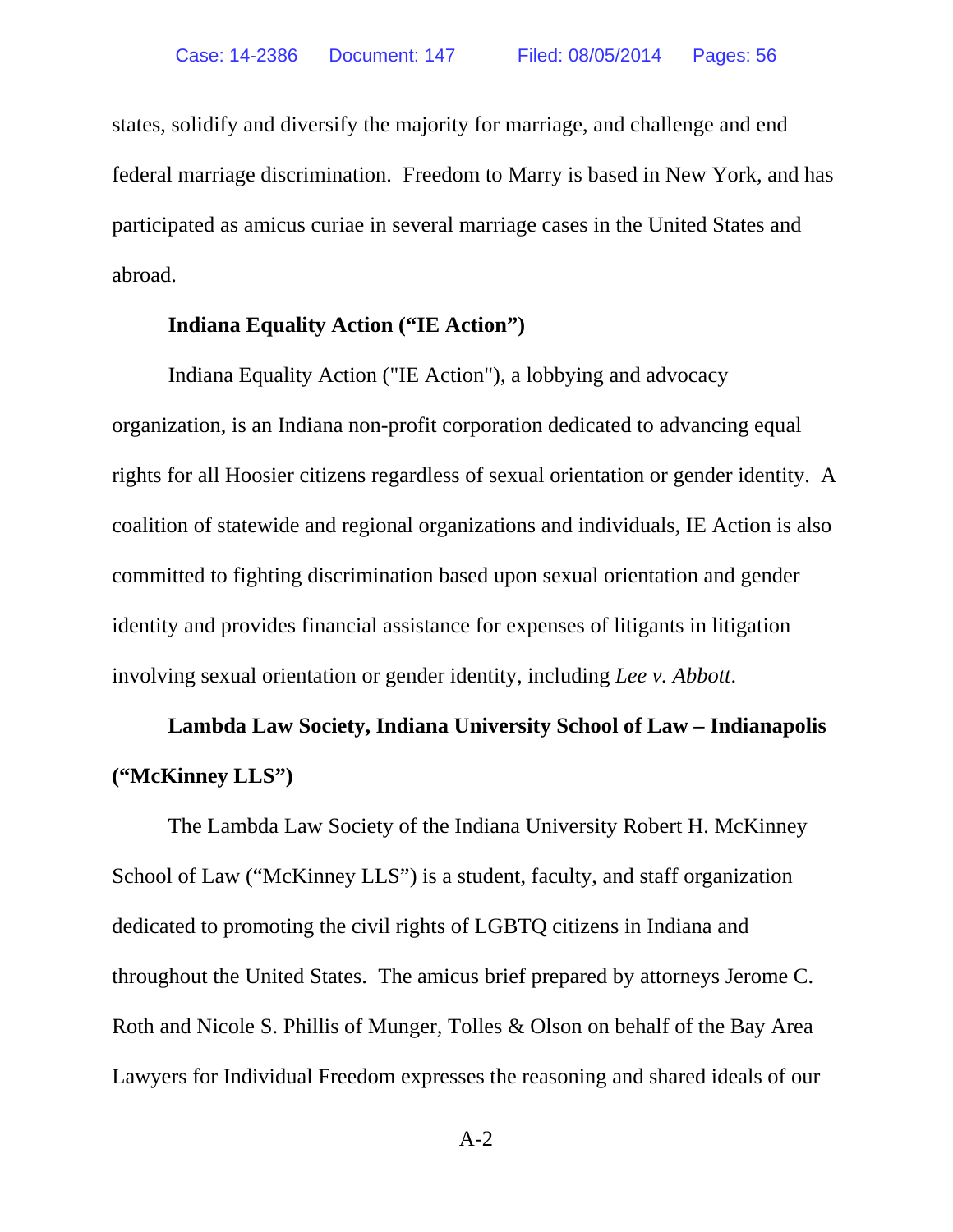states, solidify and diversify the majority for marriage, and challenge and end federal marriage discrimination. Freedom to Marry is based in New York, and has participated as amicus curiae in several marriage cases in the United States and abroad.

#### **Indiana Equality Action ("IE Action")**

Indiana Equality Action ("IE Action"), a lobbying and advocacy organization, is an Indiana non-profit corporation dedicated to advancing equal rights for all Hoosier citizens regardless of sexual orientation or gender identity. A coalition of statewide and regional organizations and individuals, IE Action is also committed to fighting discrimination based upon sexual orientation and gender identity and provides financial assistance for expenses of litigants in litigation involving sexual orientation or gender identity, including *Lee v. Abbott*.

# **Lambda Law Society, Indiana University School of Law – Indianapolis ("McKinney LLS")**

The Lambda Law Society of the Indiana University Robert H. McKinney School of Law ("McKinney LLS") is a student, faculty, and staff organization dedicated to promoting the civil rights of LGBTQ citizens in Indiana and throughout the United States. The amicus brief prepared by attorneys Jerome C. Roth and Nicole S. Phillis of Munger, Tolles & Olson on behalf of the Bay Area Lawyers for Individual Freedom expresses the reasoning and shared ideals of our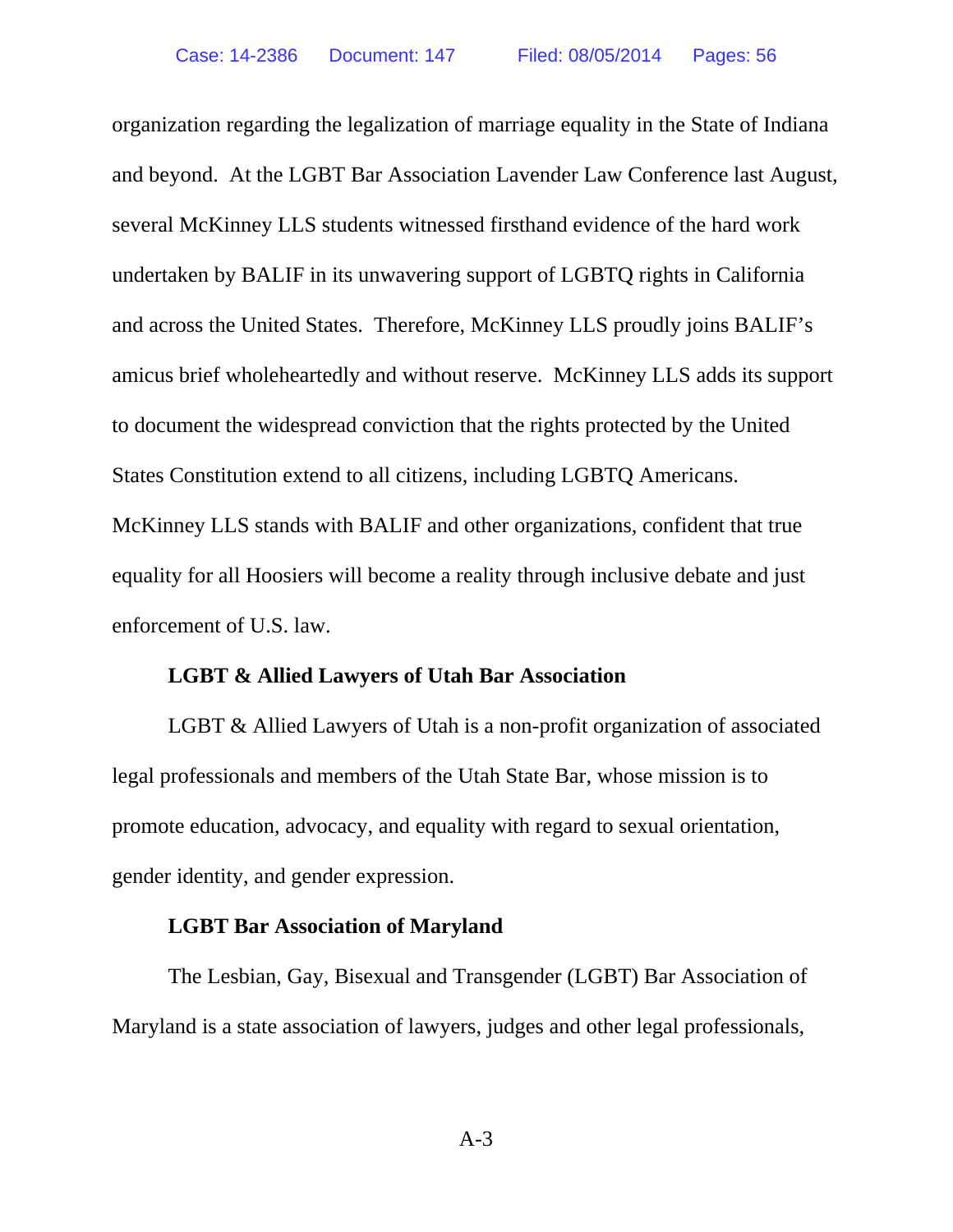organization regarding the legalization of marriage equality in the State of Indiana and beyond. At the LGBT Bar Association Lavender Law Conference last August, several McKinney LLS students witnessed firsthand evidence of the hard work undertaken by BALIF in its unwavering support of LGBTQ rights in California and across the United States. Therefore, McKinney LLS proudly joins BALIF's amicus brief wholeheartedly and without reserve. McKinney LLS adds its support to document the widespread conviction that the rights protected by the United States Constitution extend to all citizens, including LGBTQ Americans. McKinney LLS stands with BALIF and other organizations, confident that true equality for all Hoosiers will become a reality through inclusive debate and just enforcement of U.S. law.

#### **LGBT & Allied Lawyers of Utah Bar Association**

LGBT & Allied Lawyers of Utah is a non-profit organization of associated legal professionals and members of the Utah State Bar, whose mission is to promote education, advocacy, and equality with regard to sexual orientation, gender identity, and gender expression.

#### **LGBT Bar Association of Maryland**

The Lesbian, Gay, Bisexual and Transgender (LGBT) Bar Association of Maryland is a state association of lawyers, judges and other legal professionals,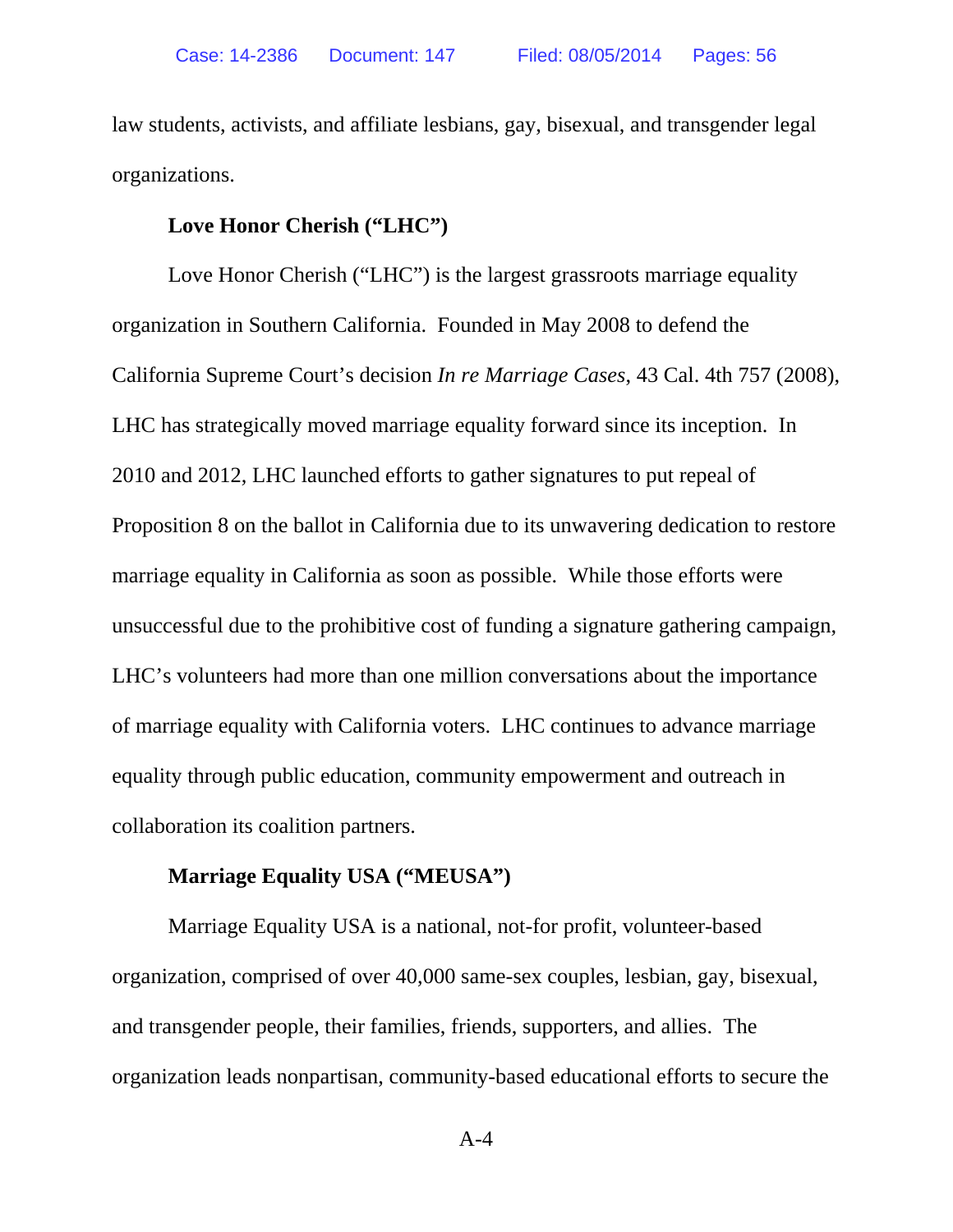law students, activists, and affiliate lesbians, gay, bisexual, and transgender legal organizations.

#### **Love Honor Cherish ("LHC")**

Love Honor Cherish ("LHC") is the largest grassroots marriage equality organization in Southern California. Founded in May 2008 to defend the California Supreme Court's decision *In re Marriage Cases*, 43 Cal. 4th 757 (2008), LHC has strategically moved marriage equality forward since its inception. In 2010 and 2012, LHC launched efforts to gather signatures to put repeal of Proposition 8 on the ballot in California due to its unwavering dedication to restore marriage equality in California as soon as possible. While those efforts were unsuccessful due to the prohibitive cost of funding a signature gathering campaign, LHC's volunteers had more than one million conversations about the importance of marriage equality with California voters. LHC continues to advance marriage equality through public education, community empowerment and outreach in collaboration its coalition partners.

#### **Marriage Equality USA ("MEUSA")**

Marriage Equality USA is a national, not-for profit, volunteer-based organization, comprised of over 40,000 same-sex couples, lesbian, gay, bisexual, and transgender people, their families, friends, supporters, and allies. The organization leads nonpartisan, community-based educational efforts to secure the

A-4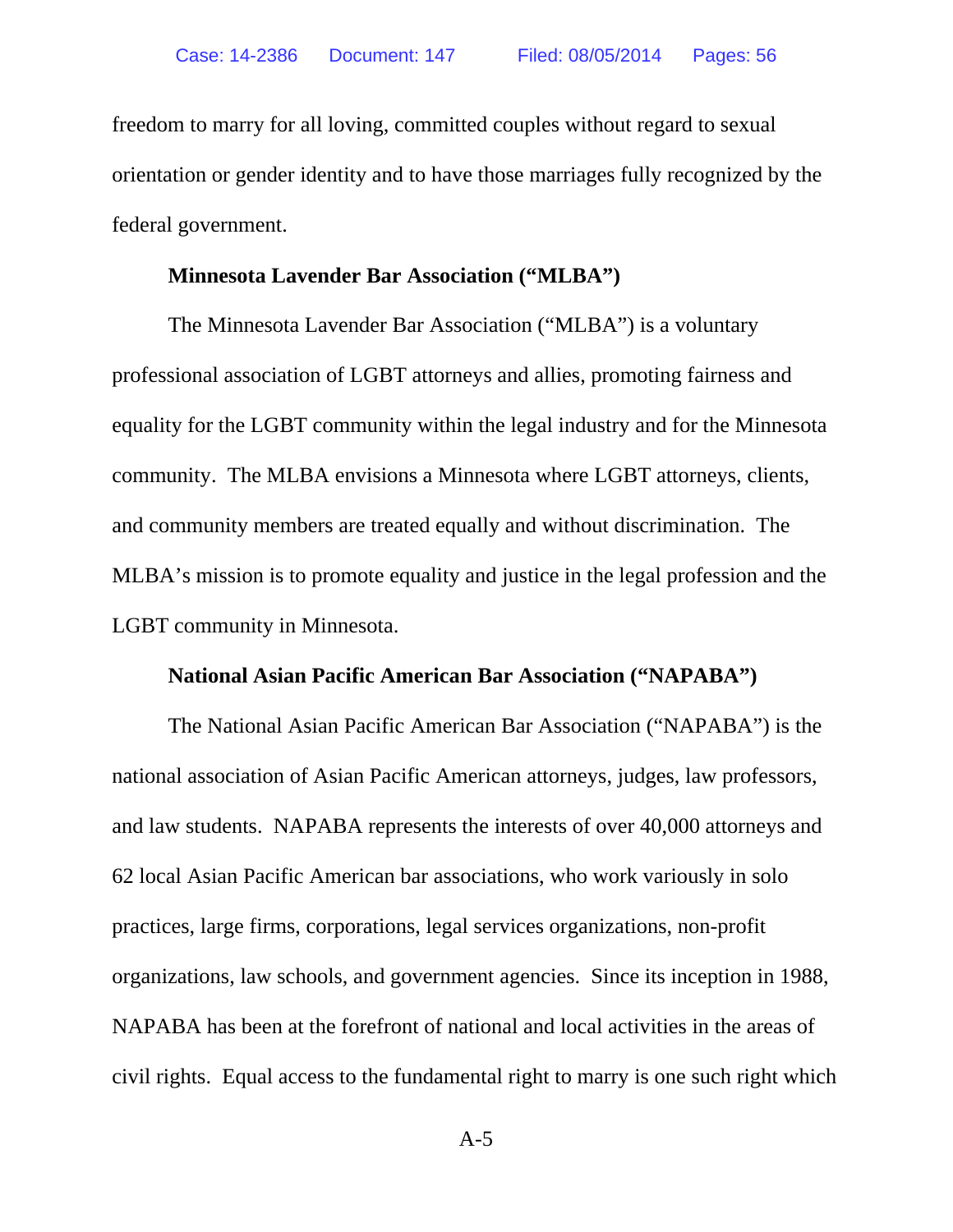freedom to marry for all loving, committed couples without regard to sexual orientation or gender identity and to have those marriages fully recognized by the federal government.

#### **Minnesota Lavender Bar Association ("MLBA")**

The Minnesota Lavender Bar Association ("MLBA") is a voluntary professional association of LGBT attorneys and allies, promoting fairness and equality for the LGBT community within the legal industry and for the Minnesota community. The MLBA envisions a Minnesota where LGBT attorneys, clients, and community members are treated equally and without discrimination. The MLBA's mission is to promote equality and justice in the legal profession and the LGBT community in Minnesota.

#### **National Asian Pacific American Bar Association ("NAPABA")**

The National Asian Pacific American Bar Association ("NAPABA") is the national association of Asian Pacific American attorneys, judges, law professors, and law students. NAPABA represents the interests of over 40,000 attorneys and 62 local Asian Pacific American bar associations, who work variously in solo practices, large firms, corporations, legal services organizations, non-profit organizations, law schools, and government agencies. Since its inception in 1988, NAPABA has been at the forefront of national and local activities in the areas of civil rights. Equal access to the fundamental right to marry is one such right which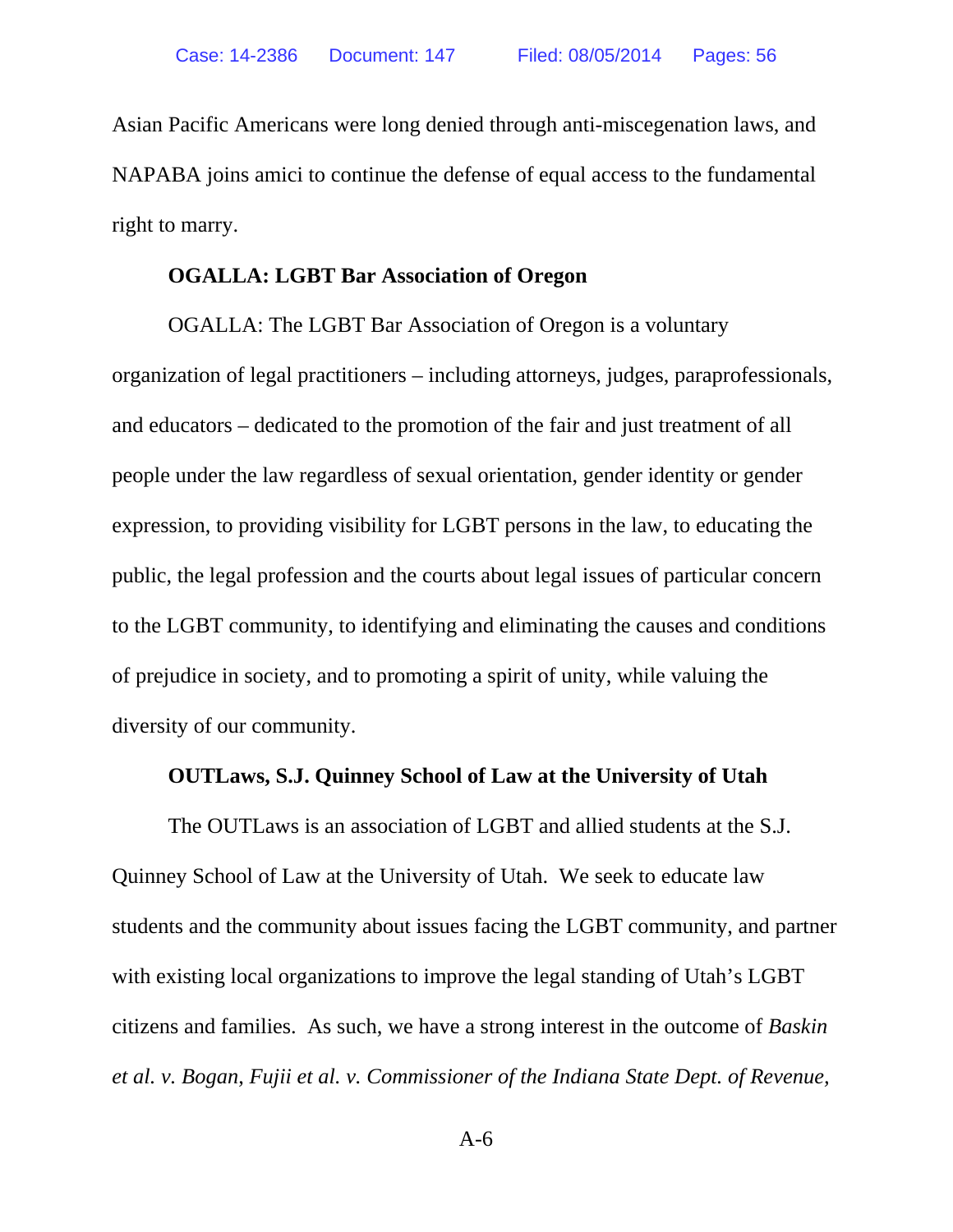Asian Pacific Americans were long denied through anti-miscegenation laws, and NAPABA joins amici to continue the defense of equal access to the fundamental right to marry.

#### **OGALLA: LGBT Bar Association of Oregon**

OGALLA: The LGBT Bar Association of Oregon is a voluntary organization of legal practitioners – including attorneys, judges, paraprofessionals, and educators – dedicated to the promotion of the fair and just treatment of all people under the law regardless of sexual orientation, gender identity or gender expression, to providing visibility for LGBT persons in the law, to educating the public, the legal profession and the courts about legal issues of particular concern to the LGBT community, to identifying and eliminating the causes and conditions of prejudice in society, and to promoting a spirit of unity, while valuing the diversity of our community.

#### **OUTLaws, S.J. Quinney School of Law at the University of Utah**

The OUTLaws is an association of LGBT and allied students at the S.J. Quinney School of Law at the University of Utah. We seek to educate law students and the community about issues facing the LGBT community, and partner with existing local organizations to improve the legal standing of Utah's LGBT citizens and families. As such, we have a strong interest in the outcome of *Baskin et al. v. Bogan*, *Fujii et al. v. Commissioner of the Indiana State Dept. of Revenue,*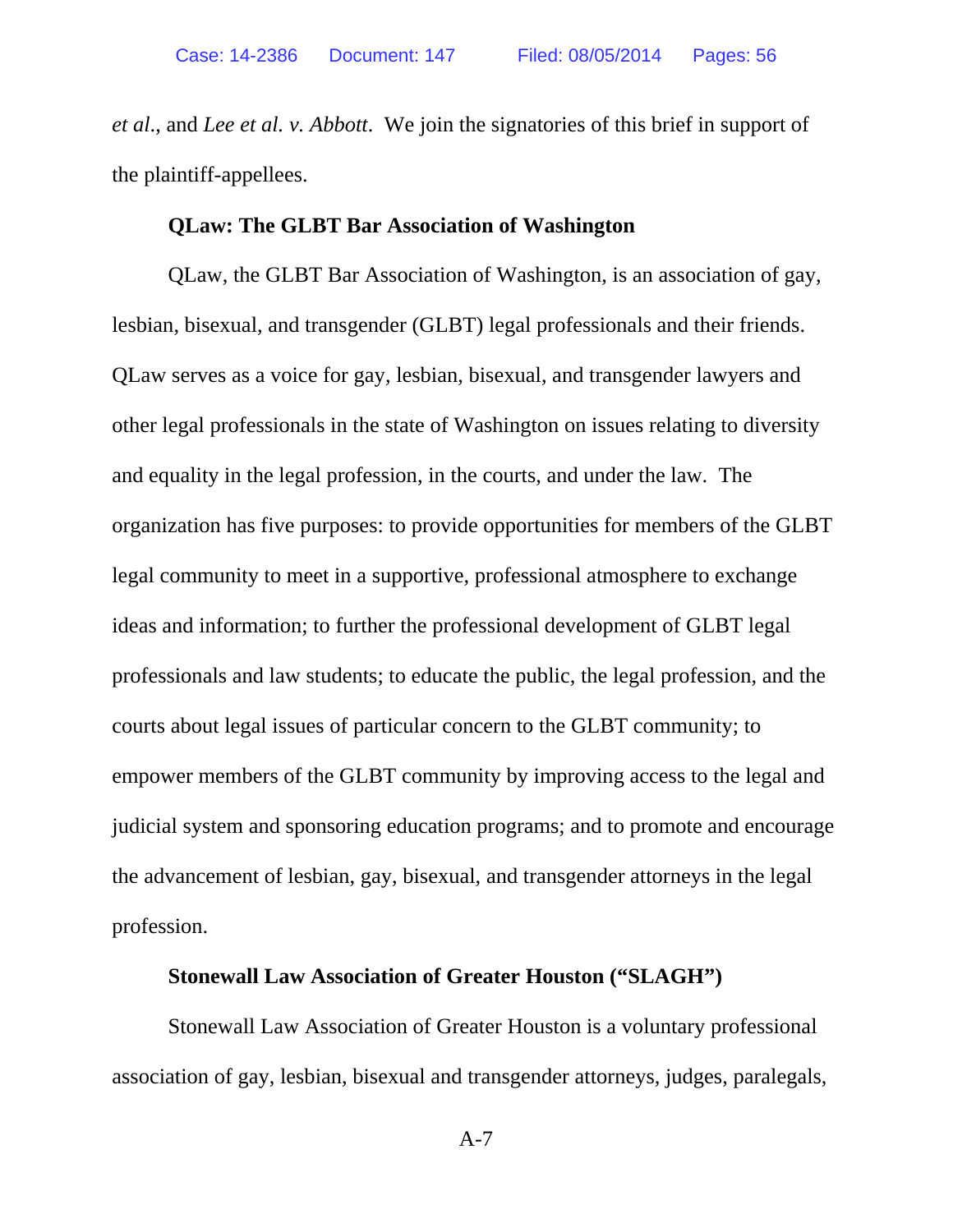*et al*., and *Lee et al. v. Abbott*. We join the signatories of this brief in support of the plaintiff-appellees.

#### **QLaw: The GLBT Bar Association of Washington**

QLaw, the GLBT Bar Association of Washington, is an association of gay, lesbian, bisexual, and transgender (GLBT) legal professionals and their friends. QLaw serves as a voice for gay, lesbian, bisexual, and transgender lawyers and other legal professionals in the state of Washington on issues relating to diversity and equality in the legal profession, in the courts, and under the law. The organization has five purposes: to provide opportunities for members of the GLBT legal community to meet in a supportive, professional atmosphere to exchange ideas and information; to further the professional development of GLBT legal professionals and law students; to educate the public, the legal profession, and the courts about legal issues of particular concern to the GLBT community; to empower members of the GLBT community by improving access to the legal and judicial system and sponsoring education programs; and to promote and encourage the advancement of lesbian, gay, bisexual, and transgender attorneys in the legal profession.

#### **Stonewall Law Association of Greater Houston ("SLAGH")**

Stonewall Law Association of Greater Houston is a voluntary professional association of gay, lesbian, bisexual and transgender attorneys, judges, paralegals,